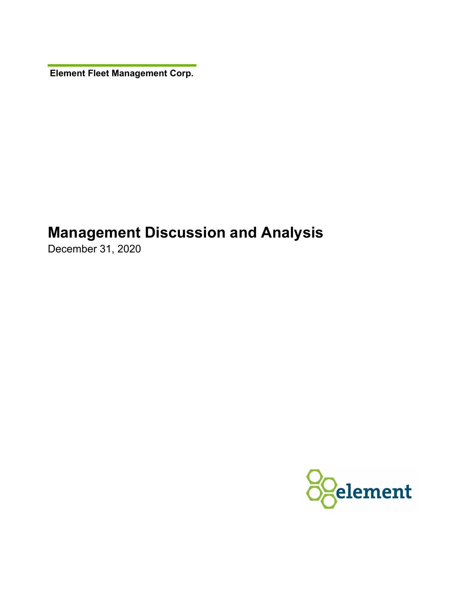**Element Fleet Management Corp.** 

# **Management Discussion and Analysis**

December 31, 2020

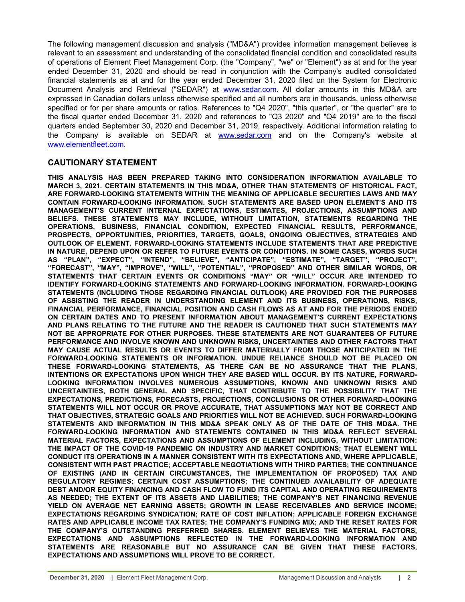The following management discussion and analysis ("MD&A") provides information management believes is relevant to an assessment and understanding of the consolidated financial condition and consolidated results of operations of Element Fleet Management Corp. (the "Company", "we" or "Element") as at and for the year ended December 31, 2020 and should be read in conjunction with the Company's audited consolidated financial statements as at and for the year ended December 31, 2020 filed on the System for Electronic Document Analysis and Retrieval ("SEDAR") at [www.sedar.com.](http://www.sedar.com) All dollar amounts in this MD&A are expressed in Canadian dollars unless otherwise specified and all numbers are in thousands, unless otherwise specified or for per share amounts or ratios. References to "Q4 2020", "this quarter", or "the quarter" are to the fiscal quarter ended December 31, 2020 and references to "Q3 2020" and "Q4 2019" are to the fiscal quarters ended September 30, 2020 and December 31, 2019, respectively. Additional information relating to the Company is available on SEDAR at [www.sedar.com](http://www.sedar.com) and on the Company's website at [www.elementfleet.com.](http://www.elementfleet.com)

# **CAUTIONARY STATEMENT**

**THIS ANALYSIS HAS BEEN PREPARED TAKING INTO CONSIDERATION INFORMATION AVAILABLE TO MARCH 3, 2021. CERTAIN STATEMENTS IN THIS MD&A, OTHER THAN STATEMENTS OF HISTORICAL FACT, ARE FORWARD-LOOKING STATEMENTS WITHIN THE MEANING OF APPLICABLE SECURITIES LAWS AND MAY CONTAIN FORWARD-LOOKING INFORMATION. SUCH STATEMENTS ARE BASED UPON ELEMENT'S AND ITS MANAGEMENT'S CURRENT INTERNAL EXPECTATIONS, ESTIMATES, PROJECTIONS, ASSUMPTIONS AND BELIEFS. THESE STATEMENTS MAY INCLUDE, WITHOUT LIMITATION, STATEMENTS REGARDING THE OPERATIONS, BUSINESS, FINANCIAL CONDITION, EXPECTED FINANCIAL RESULTS, PERFORMANCE, PROSPECTS, OPPORTUNITIES, PRIORITIES, TARGETS, GOALS, ONGOING OBJECTIVES, STRATEGIES AND OUTLOOK OF ELEMENT. FORWARD-LOOKING STATEMENTS INCLUDE STATEMENTS THAT ARE PREDICTIVE IN NATURE, DEPEND UPON OR REFER TO FUTURE EVENTS OR CONDITIONS. IN SOME CASES, WORDS SUCH AS "PLAN", "EXPECT", "INTEND", "BELIEVE", "ANTICIPATE", "ESTIMATE", "TARGET", "PROJECT", "FORECAST", "MAY", "IMPROVE", "WILL", "POTENTIAL", "PROPOSED" AND OTHER SIMILAR WORDS, OR STATEMENTS THAT CERTAIN EVENTS OR CONDITIONS "MAY" OR "WILL" OCCUR ARE INTENDED TO IDENTIFY FORWARD-LOOKING STATEMENTS AND FORWARD-LOOKING INFORMATION. FORWARD-LOOKING STATEMENTS (INCLUDING THOSE REGARDING FINANCIAL OUTLOOK) ARE PROVIDED FOR THE PURPOSES OF ASSISTING THE READER IN UNDERSTANDING ELEMENT AND ITS BUSINESS, OPERATIONS, RISKS, FINANCIAL PERFORMANCE, FINANCIAL POSITION AND CASH FLOWS AS AT AND FOR THE PERIODS ENDED ON CERTAIN DATES AND TO PRESENT INFORMATION ABOUT MANAGEMENT'S CURRENT EXPECTATIONS AND PLANS RELATING TO THE FUTURE AND THE READER IS CAUTIONED THAT SUCH STATEMENTS MAY NOT BE APPROPRIATE FOR OTHER PURPOSES. THESE STATEMENTS ARE NOT GUARANTEES OF FUTURE PERFORMANCE AND INVOLVE KNOWN AND UNKNOWN RISKS, UNCERTAINTIES AND OTHER FACTORS THAT MAY CAUSE ACTUAL RESULTS OR EVENTS TO DIFFER MATERIALLY FROM THOSE ANTICIPATED IN THE FORWARD-LOOKING STATEMENTS OR INFORMATION. UNDUE RELIANCE SHOULD NOT BE PLACED ON THESE FORWARD-LOOKING STATEMENTS, AS THERE CAN BE NO ASSURANCE THAT THE PLANS, INTENTIONS OR EXPECTATIONS UPON WHICH THEY ARE BASED WILL OCCUR. BY ITS NATURE, FORWARD-LOOKING INFORMATION INVOLVES NUMEROUS ASSUMPTIONS, KNOWN AND UNKNOWN RISKS AND UNCERTAINTIES, BOTH GENERAL AND SPECIFIC, THAT CONTRIBUTE TO THE POSSIBILITY THAT THE EXPECTATIONS, PREDICTIONS, FORECASTS, PROJECTIONS, CONCLUSIONS OR OTHER FORWARD-LOOKING STATEMENTS WILL NOT OCCUR OR PROVE ACCURATE, THAT ASSUMPTIONS MAY NOT BE CORRECT AND THAT OBJECTIVES, STRATEGIC GOALS AND PRIORITIES WILL NOT BE ACHIEVED. SUCH FORWARD-LOOKING STATEMENTS AND INFORMATION IN THIS MD&A SPEAK ONLY AS OF THE DATE OF THIS MD&A. THE FORWARD-LOOKING INFORMATION AND STATEMENTS CONTAINED IN THIS MD&A REFLECT SEVERAL MATERIAL FACTORS, EXPECTATIONS AND ASSUMPTIONS OF ELEMENT INCLUDING, WITHOUT LIMITATION: THE IMPACT OF THE COVID-19 PANDEMIC ON INDUSTRY AND MARKET CONDITIONS; THAT ELEMENT WILL CONDUCT ITS OPERATIONS IN A MANNER CONSISTENT WITH ITS EXPECTATIONS AND, WHERE APPLICABLE, CONSISTENT WITH PAST PRACTICE; ACCEPTABLE NEGOTIATIONS WITH THIRD PARTIES; THE CONTINUANCE OF EXISTING (AND IN CERTAIN CIRCUMSTANCES, THE IMPLEMENTATION OF PROPOSED) TAX AND REGULATORY REGIMES; CERTAIN COST ASSUMPTIONS; THE CONTINUED AVAILABILITY OF ADEQUATE DEBT AND/OR EQUITY FINANCING AND CASH FLOW TO FUND ITS CAPITAL AND OPERATING REQUIREMENTS AS NEEDED; THE EXTENT OF ITS ASSETS AND LIABILITIES; THE COMPANY'S NET FINANCING REVENUE YIELD ON AVERAGE NET EARNING ASSETS; GROWTH IN LEASE RECEIVABLES AND SERVICE INCOME; EXPECTATIONS REGARDING SYNDICATION; RATE OF COST INFLATION; APPLICABLE FOREIGN EXCHANGE RATES AND APPLICABLE INCOME TAX RATES; THE COMPANY'S FUNDING MIX; AND THE RESET RATES FOR THE COMPANY'S OUTSTANDING PREFERRED SHARES. ELEMENT BELIEVES THE MATERIAL FACTORS, EXPECTATIONS AND ASSUMPTIONS REFLECTED IN THE FORWARD-LOOKING INFORMATION AND STATEMENTS ARE REASONABLE BUT NO ASSURANCE CAN BE GIVEN THAT THESE FACTORS, EXPECTATIONS AND ASSUMPTIONS WILL PROVE TO BE CORRECT.**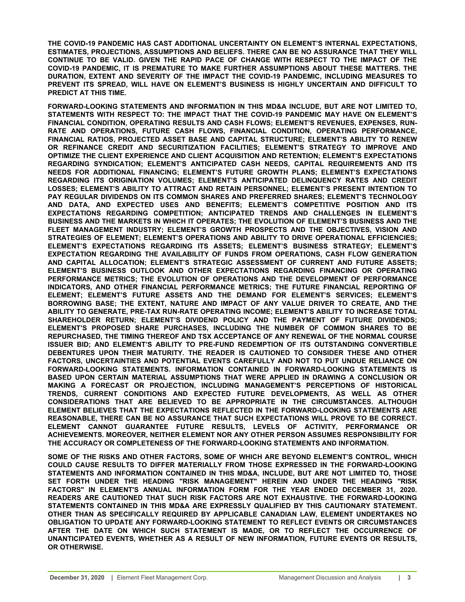**THE COVID-19 PANDEMIC HAS CAST ADDITIONAL UNCERTAINTY ON ELEMENT'S INTERNAL EXPECTATIONS, ESTIMATES, PROJECTIONS, ASSUMPTIONS AND BELIEFS. THERE CAN BE NO ASSURANCE THAT THEY WILL CONTINUE TO BE VALID. GIVEN THE RAPID PACE OF CHANGE WITH RESPECT TO THE IMPACT OF THE COVID-19 PANDEMIC, IT IS PREMATURE TO MAKE FURTHER ASSUMPTIONS ABOUT THESE MATTERS. THE DURATION, EXTENT AND SEVERITY OF THE IMPACT THE COVID-19 PANDEMIC, INCLUDING MEASURES TO PREVENT ITS SPREAD, WILL HAVE ON ELEMENT'S BUSINESS IS HIGHLY UNCERTAIN AND DIFFICULT TO PREDICT AT THIS TIME.**

**FORWARD-LOOKING STATEMENTS AND INFORMATION IN THIS MD&A INCLUDE, BUT ARE NOT LIMITED TO, STATEMENTS WITH RESPECT TO: THE IMPACT THAT THE COVID-19 PANDEMIC MAY HAVE ON ELEMENT'S FINANCIAL CONDITION, OPERATING RESULTS AND CASH FLOWS; ELEMENT'S REVENUES, EXPENSES, RUN-RATE AND OPERATIONS, FUTURE CASH FLOWS, FINANCIAL CONDITION, OPERATING PERFORMANCE, FINANCIAL RATIOS, PROJECTED ASSET BASE AND CAPITAL STRUCTURE; ELEMENT'S ABILITY TO RENEW OR REFINANCE CREDIT AND SECURITIZATION FACILITIES; ELEMENT'S STRATEGY TO IMPROVE AND OPTIMIZE THE CLIENT EXPERIENCE AND CLIENT ACQUISITION AND RETENTION; ELEMENT'S EXPECTATIONS REGARDING SYNDICATION; ELEMENT'S ANTICIPATED CASH NEEDS, CAPITAL REQUIREMENTS AND ITS NEEDS FOR ADDITIONAL FINANCING; ELEMENT'S FUTURE GROWTH PLANS; ELEMENT'S EXPECTATIONS REGARDING ITS ORIGINATION VOLUMES; ELEMENT'S ANTICIPATED DELINQUENCY RATES AND CREDIT LOSSES; ELEMENT'S ABILITY TO ATTRACT AND RETAIN PERSONNEL; ELEMENT'S PRESENT INTENTION TO PAY REGULAR DIVIDENDS ON ITS COMMON SHARES AND PREFERRED SHARES; ELEMENT'S TECHNOLOGY AND DATA, AND EXPECTED USES AND BENEFITS; ELEMENT'S COMPETITIVE POSITION AND ITS EXPECTATIONS REGARDING COMPETITION; ANTICIPATED TRENDS AND CHALLENGES IN ELEMENT'S BUSINESS AND THE MARKETS IN WHICH IT OPERATES; THE EVOLUTION OF ELEMENT'S BUSINESS AND THE FLEET MANAGEMENT INDUSTRY; ELEMENT'S GROWTH PROSPECTS AND THE OBJECTIVES, VISION AND STRATEGIES OF ELEMENT; ELEMENT'S OPERATIONS AND ABILITY TO DRIVE OPERATIONAL EFFICIENCIES; ELEMENT'S EXPECTATIONS REGARDING ITS ASSETS; ELEMENT'S BUSINESS STRATEGY; ELEMENT'S EXPECTATION REGARDING THE AVAILABILITY OF FUNDS FROM OPERATIONS, CASH FLOW GENERATION AND CAPITAL ALLOCATION; ELEMENT'S STRATEGIC ASSESSMENT OF CURRENT AND FUTURE ASSETS; ELEMENT'S BUSINESS OUTLOOK AND OTHER EXPECTATIONS REGARDING FINANCING OR OPERATING PERFORMANCE METRICS; THE EVOLUTION OF OPERATIONS AND THE DEVELOPMENT OF PERFORMANCE INDICATORS, AND OTHER FINANCIAL PERFORMANCE METRICS; THE FUTURE FINANCIAL REPORTING OF ELEMENT; ELEMENT'S FUTURE ASSETS AND THE DEMAND FOR ELEMENT'S SERVICES; ELEMENT'S BORROWING BASE; THE EXTENT, NATURE AND IMPACT OF ANY VALUE DRIVER TO CREATE, AND THE ABILITY TO GENERATE, PRE-TAX RUN-RATE OPERATING INCOME; ELEMENT'S ABILITY TO INCREASE TOTAL SHAREHOLDER RETURN; ELEMENT'S DIVIDEND POLICY AND THE PAYMENT OF FUTURE DIVIDENDS; ELEMENT'S PROPOSED SHARE PURCHASES, INCLUDING THE NUMBER OF COMMON SHARES TO BE REPURCHASED, THE TIMING THEREOF AND TSX ACCEPTANCE OF ANY RENEWAL OF THE NORMAL COURSE ISSUER BID; AND ELEMENT'S ABILITY TO PRE-FUND REDEMPTION OF ITS OUTSTANDING CONVERTIBLE DEBENTURES UPON THEIR MATURITY. THE READER IS CAUTIONED TO CONSIDER THESE AND OTHER FACTORS, UNCERTAINTIES AND POTENTIAL EVENTS CAREFULLY AND NOT TO PUT UNDUE RELIANCE ON FORWARD-LOOKING STATEMENTS. INFORMATION CONTAINED IN FORWARD-LOOKING STATEMENTS IS BASED UPON CERTAIN MATERIAL ASSUMPTIONS THAT WERE APPLIED IN DRAWING A CONCLUSION OR MAKING A FORECAST OR PROJECTION, INCLUDING MANAGEMENT'S PERCEPTIONS OF HISTORICAL TRENDS, CURRENT CONDITIONS AND EXPECTED FUTURE DEVELOPMENTS, AS WELL AS OTHER CONSIDERATIONS THAT ARE BELIEVED TO BE APPROPRIATE IN THE CIRCUMSTANCES. ALTHOUGH ELEMENT BELIEVES THAT THE EXPECTATIONS REFLECTED IN THE FORWARD-LOOKING STATEMENTS ARE REASONABLE, THERE CAN BE NO ASSURANCE THAT SUCH EXPECTATIONS WILL PROVE TO BE CORRECT. ELEMENT CANNOT GUARANTEE FUTURE RESULTS, LEVELS OF ACTIVITY, PERFORMANCE OR ACHIEVEMENTS. MOREOVER, NEITHER ELEMENT NOR ANY OTHER PERSON ASSUMES RESPONSIBILITY FOR THE ACCURACY OR COMPLETENESS OF THE FORWARD-LOOKING STATEMENTS AND INFORMATION.** 

**SOME OF THE RISKS AND OTHER FACTORS, SOME OF WHICH ARE BEYOND ELEMENT'S CONTROL, WHICH COULD CAUSE RESULTS TO DIFFER MATERIALLY FROM THOSE EXPRESSED IN THE FORWARD-LOOKING STATEMENTS AND INFORMATION CONTAINED IN THIS MD&A, INCLUDE, BUT ARE NOT LIMITED TO, THOSE SET FORTH UNDER THE HEADING "RISK MANAGEMENT" HEREIN AND UNDER THE HEADING "RISK FACTORS" IN ELEMENT'S ANNUAL INFORMATION FORM FOR THE YEAR ENDED DECEMBER 31, 2020. READERS ARE CAUTIONED THAT SUCH RISK FACTORS ARE NOT EXHAUSTIVE. THE FORWARD-LOOKING STATEMENTS CONTAINED IN THIS MD&A ARE EXPRESSLY QUALIFIED BY THIS CAUTIONARY STATEMENT. OTHER THAN AS SPECIFICALLY REQUIRED BY APPLICABLE CANADIAN LAW, ELEMENT UNDERTAKES NO OBLIGATION TO UPDATE ANY FORWARD-LOOKING STATEMENT TO REFLECT EVENTS OR CIRCUMSTANCES AFTER THE DATE ON WHICH SUCH STATEMENT IS MADE, OR TO REFLECT THE OCCURRENCE OF UNANTICIPATED EVENTS, WHETHER AS A RESULT OF NEW INFORMATION, FUTURE EVENTS OR RESULTS, OR OTHERWISE.**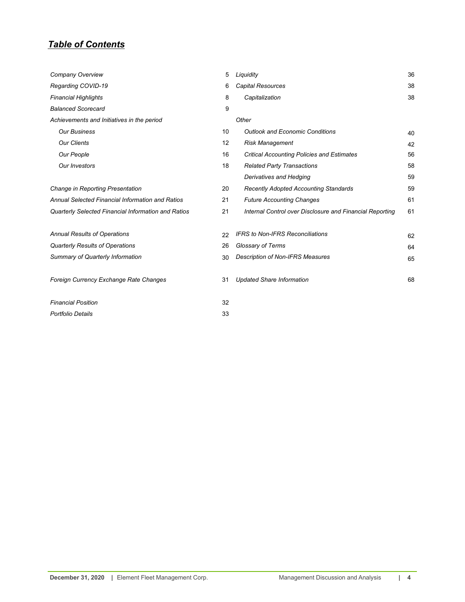# *Table of Contents*

| Company Overview                                    | 5  | Liguidity                                                |    |
|-----------------------------------------------------|----|----------------------------------------------------------|----|
| Regarding COVID-19                                  | 6  | <b>Capital Resources</b>                                 | 38 |
| <b>Financial Highlights</b>                         | 8  | Capitalization                                           | 38 |
| <b>Balanced Scorecard</b>                           | 9  |                                                          |    |
| Achievements and Initiatives in the period          |    | Other                                                    |    |
| <b>Our Business</b>                                 | 10 | <b>Outlook and Economic Conditions</b>                   | 40 |
| <b>Our Clients</b>                                  | 12 | <b>Risk Management</b>                                   | 42 |
| Our People                                          | 16 | <b>Critical Accounting Policies and Estimates</b>        | 56 |
| <b>Our Investors</b>                                | 18 | <b>Related Party Transactions</b>                        | 58 |
|                                                     |    | Derivatives and Hedging                                  | 59 |
| Change in Reporting Presentation                    | 20 | <b>Recently Adopted Accounting Standards</b>             | 59 |
| Annual Selected Financial Information and Ratios    | 21 | <b>Future Accounting Changes</b>                         | 61 |
| Quarterly Selected Financial Information and Ratios | 21 | Internal Control over Disclosure and Financial Reporting | 61 |
|                                                     |    |                                                          |    |
| <b>Annual Results of Operations</b>                 | 22 | <b>IFRS to Non-IFRS Reconciliations</b>                  | 62 |
| <b>Quarterly Results of Operations</b>              | 26 | Glossary of Terms                                        | 64 |
| Summary of Quarterly Information                    | 30 | <b>Description of Non-IFRS Measures</b>                  | 65 |
| Foreign Currency Exchange Rate Changes              | 31 | <b>Updated Share Information</b>                         | 68 |
| <b>Financial Position</b>                           | 32 |                                                          |    |
| <b>Portfolio Details</b>                            | 33 |                                                          |    |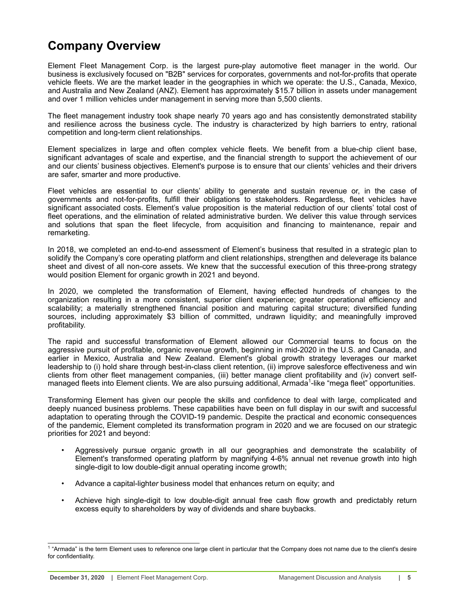# <span id="page-4-0"></span>**Company Overview**

Element Fleet Management Corp. is the largest pure-play automotive fleet manager in the world. Our business is exclusively focused on "B2B" services for corporates, governments and not-for-profits that operate vehicle fleets. We are the market leader in the geographies in which we operate: the U.S., Canada, Mexico, and Australia and New Zealand (ANZ). Element has approximately \$15.7 billion in assets under management and over 1 million vehicles under management in serving more than 5,500 clients.

The fleet management industry took shape nearly 70 years ago and has consistently demonstrated stability and resilience across the business cycle. The industry is characterized by high barriers to entry, rational competition and long-term client relationships.

Element specializes in large and often complex vehicle fleets. We benefit from a blue-chip client base, significant advantages of scale and expertise, and the financial strength to support the achievement of our and our clients' business objectives. Element's purpose is to ensure that our clients' vehicles and their drivers are safer, smarter and more productive.

Fleet vehicles are essential to our clients' ability to generate and sustain revenue or, in the case of governments and not-for-profits, fulfill their obligations to stakeholders. Regardless, fleet vehicles have significant associated costs. Element's value proposition is the material reduction of our clients' total cost of fleet operations, and the elimination of related administrative burden. We deliver this value through services and solutions that span the fleet lifecycle, from acquisition and financing to maintenance, repair and remarketing.

In 2018, we completed an end-to-end assessment of Element's business that resulted in a strategic plan to solidify the Company's core operating platform and client relationships, strengthen and deleverage its balance sheet and divest of all non-core assets. We knew that the successful execution of this three-prong strategy would position Element for organic growth in 2021 and beyond.

In 2020, we completed the transformation of Element, having effected hundreds of changes to the organization resulting in a more consistent, superior client experience; greater operational efficiency and scalability; a materially strengthened financial position and maturing capital structure; diversified funding sources, including approximately \$3 billion of committed, undrawn liquidity; and meaningfully improved profitability.

The rapid and successful transformation of Element allowed our Commercial teams to focus on the aggressive pursuit of profitable, organic revenue growth, beginning in mid-2020 in the U.S. and Canada, and earlier in Mexico, Australia and New Zealand. Element's global growth strategy leverages our market leadership to (i) hold share through best-in-class client retention, (ii) improve salesforce effectiveness and win clients from other fleet management companies, (iii) better manage client profitability and (iv) convert selfmanaged fleets into Element clients. We are also pursuing additional, Armada<sup>1</sup>-like "mega fleet" opportunities.

Transforming Element has given our people the skills and confidence to deal with large, complicated and deeply nuanced business problems. These capabilities have been on full display in our swift and successful adaptation to operating through the COVID-19 pandemic. Despite the practical and economic consequences of the pandemic, Element completed its transformation program in 2020 and we are focused on our strategic priorities for 2021 and beyond:

- Aggressively pursue organic growth in all our geographies and demonstrate the scalability of Element's transformed operating platform by magnifying 4-6% annual net revenue growth into high single-digit to low double-digit annual operating income growth;
- Advance a capital-light*er* business model that enhances return on equity; and
- Achieve high single-digit to low double-digit annual free cash flow growth and predictably return excess equity to shareholders by way of dividends and share buybacks.

<sup>&</sup>lt;sup>1</sup> "Armada" is the term Element uses to reference one large client in particular that the Company does not name due to the client's desire for confidentiality.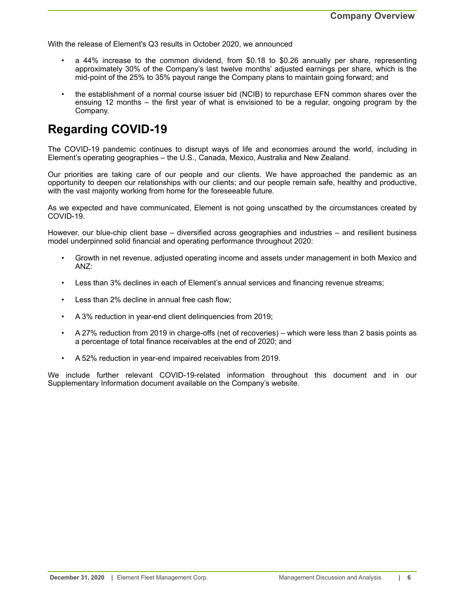<span id="page-5-0"></span>With the release of Element's Q3 results in October 2020, we announced

- a 44% increase to the common dividend, from \$0.18 to \$0.26 annually per share, representing approximately 30% of the Company's last twelve months' adjusted earnings per share, which is the mid-point of the 25% to 35% payout range the Company plans to maintain going forward; and
- the establishment of a normal course issuer bid (NCIB) to repurchase EFN common shares over the ensuing 12 months – the first year of what is envisioned to be a regular, ongoing program by the Company.

# **Regarding COVID-19**

The COVID-19 pandemic continues to disrupt ways of life and economies around the world, including in Element's operating geographies – the U.S., Canada, Mexico, Australia and New Zealand.

Our priorities are taking care of our people and our clients. We have approached the pandemic as an opportunity to deepen our relationships with our clients; and our people remain safe, healthy and productive, with the vast majority working from home for the foreseeable future.

As we expected and have communicated, Element is not going unscathed by the circumstances created by COVID-19.

However, our blue-chip client base – diversified across geographies and industries – and resilient business model underpinned solid financial and operating performance throughout 2020:

- Growth in net revenue, adjusted operating income and assets under management in both Mexico and ANZ:
- Less than 3% declines in each of Element's annual services and financing revenue streams;
- Less than 2% decline in annual free cash flow;
- A 3% reduction in year-end client delinquencies from 2019;
- A 27% reduction from 2019 in charge-offs (net of recoveries) which were less than 2 basis points as a percentage of total finance receivables at the end of 2020; and
- A 52% reduction in year-end impaired receivables from 2019.

We include further relevant COVID-19-related information throughout this document and in our Supplementary Information document available on the Company's website.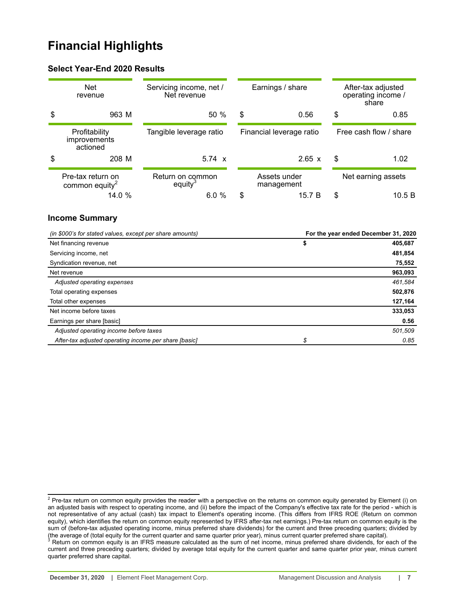# **Financial Highlights**

# **Select Year-End 2020 Results**

| <b>Net</b><br>revenue                           | Servicing income, net /<br>Net revenue  |    | Earnings / share           |    |                        |  | After-tax adjusted<br>operating income /<br>share |
|-------------------------------------------------|-----------------------------------------|----|----------------------------|----|------------------------|--|---------------------------------------------------|
| \$<br>963 M                                     | 50%                                     | \$ | 0.56                       | \$ | 0.85                   |  |                                                   |
| Profitability<br>improvements<br>actioned       | Tangible leverage ratio                 |    | Financial leverage ratio   |    | Free cash flow / share |  |                                                   |
| \$<br>208 M                                     | $5.74 \times$                           |    | $2.65 \times$              | \$ | 1.02                   |  |                                                   |
| Pre-tax return on<br>common equity <sup>2</sup> | Return on common<br>equity <sup>3</sup> |    | Assets under<br>management |    | Net earning assets     |  |                                                   |
| 14.0%                                           | 6.0%                                    | \$ | 15.7 B                     | \$ | 10.5 B                 |  |                                                   |

# **Income Summary**

| (in \$000's for stated values, except per share amounts) | For the year ended December 31, 2020 |
|----------------------------------------------------------|--------------------------------------|
| Net financing revenue                                    | \$<br>405,687                        |
| Servicing income, net                                    | 481,854                              |
| Syndication revenue, net                                 | 75,552                               |
| Net revenue                                              | 963,093                              |
| Adjusted operating expenses                              | 461,584                              |
| Total operating expenses                                 | 502,876                              |
| Total other expenses                                     | 127,164                              |
| Net income before taxes                                  | 333,053                              |
| Earnings per share [basic]                               | 0.56                                 |
| Adjusted operating income before taxes                   | 501,509                              |
| After-tax adjusted operating income per share [basic]    | \$<br>0.85                           |

<sup>&</sup>lt;sup>2</sup> Pre-tax return on common equity provides the reader with a perspective on the returns on common equity generated by Element (i) on an adjusted basis with respect to operating income, and (ii) before the impact of the Company's effective tax rate for the period - which is not representative of any actual (cash) tax impact to Element's operating income. (This differs from IFRS ROE (Return on common equity), which identifies the return on common equity represented by IFRS after-tax net earnings.) Pre-tax return on common equity is the sum of (before-tax adjusted operating income, minus preferred share dividends) for the current and three preceding quarters; divided by (the average of (total equity for the current quarter and same quarter prior year), minus current quarter preferred share capital).<br><sup>3</sup> Peture an common equity is an IEBS measure calculated as the sum of not income, minus

Return on common equity is an IFRS measure calculated as the sum of net income, minus preferred share dividends, for each of the current and three preceding quarters; divided by average total equity for the current quarter and same quarter prior year, minus current quarter preferred share capital.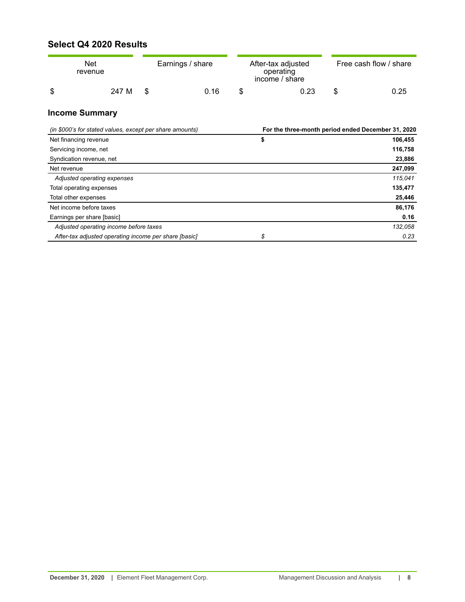# <span id="page-7-0"></span>**Select Q4 2020 Results**

| Net<br>revenue |       |      | Earnings / share | After-tax adjusted<br>operating<br>income / share | Free cash flow / share |
|----------------|-------|------|------------------|---------------------------------------------------|------------------------|
| \$             | 247 M | - \$ | 0.16             | 0.23                                              | \$<br>0.25             |

# **Income Summary**

| (in \$000's for stated values, except per share amounts) | For the three-month period ended December 31, 2020 |         |  |
|----------------------------------------------------------|----------------------------------------------------|---------|--|
| Net financing revenue                                    | \$                                                 | 106,455 |  |
| Servicing income, net                                    |                                                    | 116,758 |  |
| Syndication revenue, net                                 |                                                    | 23,886  |  |
| Net revenue                                              |                                                    | 247,099 |  |
| Adjusted operating expenses                              |                                                    | 115,041 |  |
| Total operating expenses                                 |                                                    | 135,477 |  |
| Total other expenses                                     |                                                    | 25,446  |  |
| Net income before taxes                                  |                                                    | 86,176  |  |
| Earnings per share [basic]                               |                                                    | 0.16    |  |
| Adjusted operating income before taxes                   |                                                    | 132,058 |  |
| After-tax adjusted operating income per share [basic]    | \$                                                 | 0.23    |  |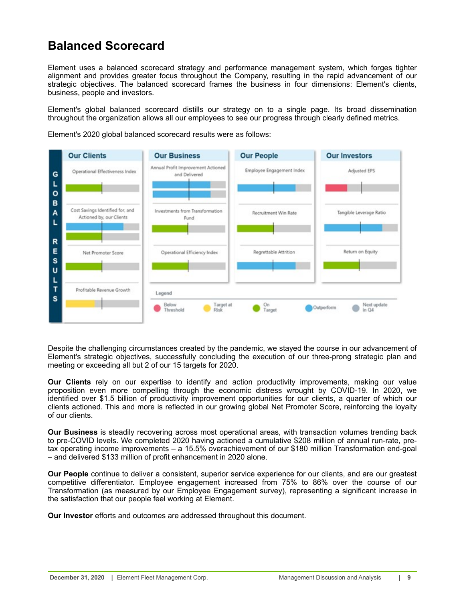# <span id="page-8-0"></span>**Balanced Scorecard**

Element uses a balanced scorecard strategy and performance management system, which forges tighter alignment and provides greater focus throughout the Company, resulting in the rapid advancement of our strategic objectives. The balanced scorecard frames the business in four dimensions: Element's clients, business, people and investors.

Element's global balanced scorecard distills our strategy on to a single page. Its broad dissemination throughout the organization allows all our employees to see our progress through clearly defined metrics.



Element's 2020 global balanced scorecard results were as follows:

Despite the challenging circumstances created by the pandemic, we stayed the course in our advancement of Element's strategic objectives, successfully concluding the execution of our three-prong strategic plan and meeting or exceeding all but 2 of our 15 targets for 2020.

**Our Clients** rely on our expertise to identify and action productivity improvements, making our value proposition even more compelling through the economic distress wrought by COVID-19. In 2020, we identified over \$1.5 billion of productivity improvement opportunities for our clients, a quarter of which our clients actioned. This and more is reflected in our growing global Net Promoter Score, reinforcing the loyalty of our clients.

**Our Business** is steadily recovering across most operational areas, with transaction volumes trending back to pre-COVID levels. We completed 2020 having actioned a cumulative \$208 million of annual run-rate, pretax operating income improvements – a 15.5% overachievement of our \$180 million Transformation end-goal – and delivered \$133 million of profit enhancement in 2020 alone.

**Our People** continue to deliver a consistent, superior service experience for our clients, and are our greatest competitive differentiator. Employee engagement increased from 75% to 86% over the course of our Transformation (as measured by our Employee Engagement survey), representing a significant increase in the satisfaction that our people feel working at Element.

**Our Investor** efforts and outcomes are addressed throughout this document.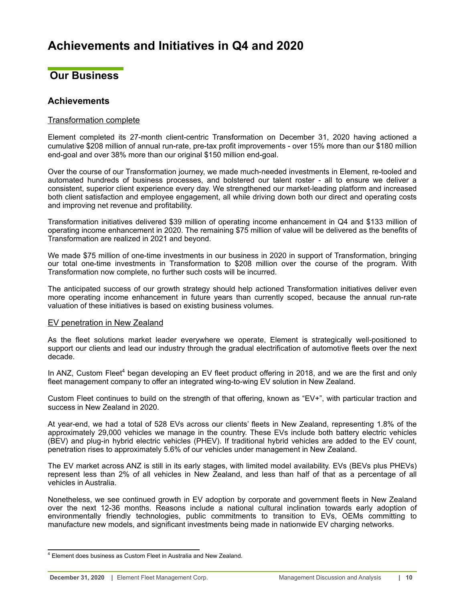# <span id="page-9-0"></span>**Our Business**

# **Achievements**

# Transformation complete

Element completed its 27-month client-centric Transformation on December 31, 2020 having actioned a cumulative \$208 million of annual run-rate, pre-tax profit improvements - over 15% more than our \$180 million end-goal and over 38% more than our original \$150 million end-goal.

Over the course of our Transformation journey, we made much-needed investments in Element, re-tooled and automated hundreds of business processes, and bolstered our talent roster - all to ensure we deliver a consistent, superior client experience every day. We strengthened our market-leading platform and increased both client satisfaction and employee engagement, all while driving down both our direct and operating costs and improving net revenue and profitability.

Transformation initiatives delivered \$39 million of operating income enhancement in Q4 and \$133 million of operating income enhancement in 2020. The remaining \$75 million of value will be delivered as the benefits of Transformation are realized in 2021 and beyond.

We made \$75 million of one-time investments in our business in 2020 in support of Transformation, bringing our total one-time investments in Transformation to \$208 million over the course of the program. With Transformation now complete, no further such costs will be incurred.

The anticipated success of our growth strategy should help actioned Transformation initiatives deliver even more operating income enhancement in future years than currently scoped, because the annual run-rate valuation of these initiatives is based on existing business volumes.

# EV penetration in New Zealand

As the fleet solutions market leader everywhere we operate, Element is strategically well-positioned to support our clients and lead our industry through the gradual electrification of automotive fleets over the next decade.

In ANZ, Custom Fleet<sup>4</sup> began developing an EV fleet product offering in 2018, and we are the first and only fleet management company to offer an integrated wing-to-wing EV solution in New Zealand.

Custom Fleet continues to build on the strength of that offering, known as "EV+", with particular traction and success in New Zealand in 2020.

At year-end, we had a total of 528 EVs across our clients' fleets in New Zealand, representing 1.8% of the approximately 29,000 vehicles we manage in the country. These EVs include both battery electric vehicles (BEV) and plug-in hybrid electric vehicles (PHEV). If traditional hybrid vehicles are added to the EV count, penetration rises to approximately 5.6% of our vehicles under management in New Zealand.

The EV market across ANZ is still in its early stages, with limited model availability. EVs (BEVs plus PHEVs) represent less than 2% of all vehicles in New Zealand, and less than half of that as a percentage of all vehicles in Australia.

Nonetheless, we see continued growth in EV adoption by corporate and government fleets in New Zealand over the next 12-36 months. Reasons include a national cultural inclination towards early adoption of environmentally friendly technologies, public commitments to transition to EVs, OEMs committing to manufacture new models, and significant investments being made in nationwide EV charging networks.

<sup>&</sup>lt;sup>4</sup> Element does business as Custom Fleet in Australia and New Zealand.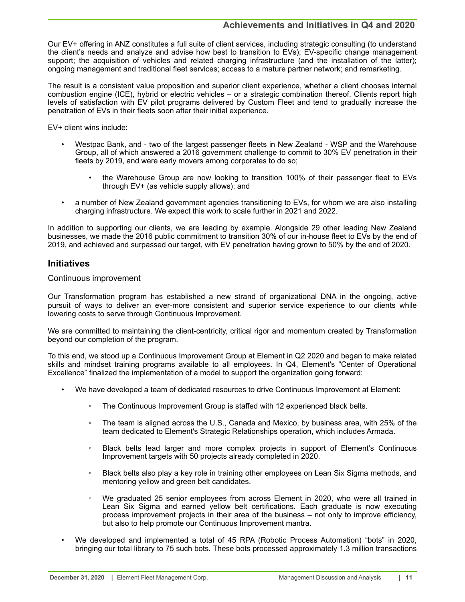Our EV+ offering in ANZ constitutes a full suite of client services, including strategic consulting (to understand the client's needs and analyze and advise how best to transition to EVs); EV-specific change management support; the acquisition of vehicles and related charging infrastructure (and the installation of the latter); ongoing management and traditional fleet services; access to a mature partner network; and remarketing.

The result is a consistent value proposition and superior client experience, whether a client chooses internal combustion engine (ICE), hybrid or electric vehicles – or a strategic combination thereof. Clients report high levels of satisfaction with EV pilot programs delivered by Custom Fleet and tend to gradually increase the penetration of EVs in their fleets soon after their initial experience.

EV+ client wins include:

- Westpac Bank, and two of the largest passenger fleets in New Zealand WSP and the Warehouse Group, all of which answered a 2016 government challenge to commit to 30% EV penetration in their fleets by 2019, and were early movers among corporates to do so;
	- the Warehouse Group are now looking to transition 100% of their passenger fleet to EVs through EV+ (as vehicle supply allows); and
- a number of New Zealand government agencies transitioning to EVs, for whom we are also installing charging infrastructure. We expect this work to scale further in 2021 and 2022.

In addition to supporting our clients, we are leading by example. Alongside 29 other leading New Zealand businesses, we made the 2016 public commitment to transition 30% of our in-house fleet to EVs by the end of 2019, and achieved and surpassed our target, with EV penetration having grown to 50% by the end of 2020.

# **Initiatives**

# Continuous improvement

Our Transformation program has established a new strand of organizational DNA in the ongoing, active pursuit of ways to deliver an ever-more consistent and superior service experience to our clients while lowering costs to serve through Continuous Improvement.

We are committed to maintaining the client-centricity, critical rigor and momentum created by Transformation beyond our completion of the program.

To this end, we stood up a Continuous Improvement Group at Element in Q2 2020 and began to make related skills and mindset training programs available to all employees. In Q4, Element's "Center of Operational Excellence" finalized the implementation of a model to support the organization going forward:

- We have developed a team of dedicated resources to drive Continuous Improvement at Element:
	- The Continuous Improvement Group is staffed with 12 experienced black belts.
	- The team is aligned across the U.S., Canada and Mexico, by business area, with 25% of the team dedicated to Element's Strategic Relationships operation, which includes Armada.
	- Black belts lead larger and more complex projects in support of Element's Continuous Improvement targets with 50 projects already completed in 2020.
	- Black belts also play a key role in training other employees on Lean Six Sigma methods, and mentoring yellow and green belt candidates.
	- We graduated 25 senior employees from across Element in 2020, who were all trained in Lean Six Sigma and earned yellow belt certifications. Each graduate is now executing process improvement projects in their area of the business – not only to improve efficiency, but also to help promote our Continuous Improvement mantra.
- We developed and implemented a total of 45 RPA (Robotic Process Automation) "bots" in 2020, bringing our total library to 75 such bots. These bots processed approximately 1.3 million transactions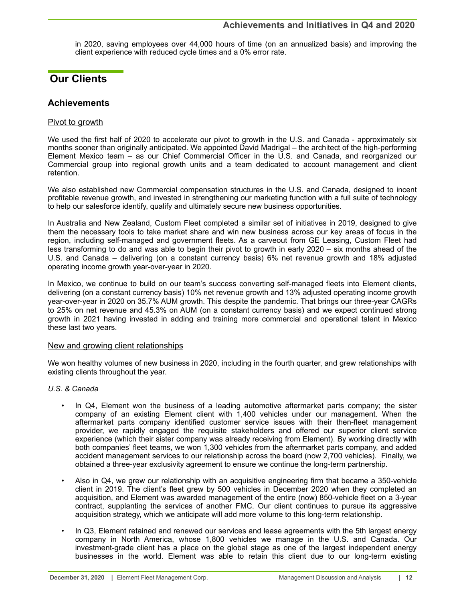<span id="page-11-0"></span>in 2020, saving employees over 44,000 hours of time (on an annualized basis) and improving the client experience with reduced cycle times and a 0% error rate.

# **Our Clients**

# **Achievements**

# Pivot to growth

We used the first half of 2020 to accelerate our pivot to growth in the U.S. and Canada - approximately six months sooner than originally anticipated. We appointed David Madrigal – the architect of the high-performing Element Mexico team – as our Chief Commercial Officer in the U.S. and Canada, and reorganized our Commercial group into regional growth units and a team dedicated to account management and client retention.

We also established new Commercial compensation structures in the U.S. and Canada, designed to incent profitable revenue growth, and invested in strengthening our marketing function with a full suite of technology to help our salesforce identify, qualify and ultimately secure new business opportunities.

In Australia and New Zealand, Custom Fleet completed a similar set of initiatives in 2019, designed to give them the necessary tools to take market share and win new business across our key areas of focus in the region, including self-managed and government fleets. As a carveout from GE Leasing, Custom Fleet had less transforming to do and was able to begin their pivot to growth in early 2020 – six months ahead of the U.S. and Canada – delivering (on a constant currency basis) 6% net revenue growth and 18% adjusted operating income growth year-over-year in 2020.

In Mexico, we continue to build on our team's success converting self-managed fleets into Element clients, delivering (on a constant currency basis) 10% net revenue growth and 13% adjusted operating income growth year-over-year in 2020 on 35.7% AUM growth. This despite the pandemic. That brings our three-year CAGRs to 25% on net revenue and 45.3% on AUM (on a constant currency basis) and we expect continued strong growth in 2021 having invested in adding and training more commercial and operational talent in Mexico these last two years.

# New and growing client relationships

We won healthy volumes of new business in 2020, including in the fourth quarter, and grew relationships with existing clients throughout the year.

# *U.S. & Canada*

- In Q4, Element won the business of a leading automotive aftermarket parts company; the sister company of an existing Element client with 1,400 vehicles under our management. When the aftermarket parts company identified customer service issues with their then-fleet management provider, we rapidly engaged the requisite stakeholders and offered our superior client service experience (which their sister company was already receiving from Element). By working directly with both companies' fleet teams, we won 1,300 vehicles from the aftermarket parts company, and added accident management services to our relationship across the board (now 2,700 vehicles). Finally, we obtained a three-year exclusivity agreement to ensure we continue the long-term partnership.
- Also in Q4, we grew our relationship with an acquisitive engineering firm that became a 350-vehicle client in 2019. The client's fleet grew by 500 vehicles in December 2020 when they completed an acquisition, and Element was awarded management of the entire (now) 850-vehicle fleet on a 3-year contract, supplanting the services of another FMC. Our client continues to pursue its aggressive acquisition strategy, which we anticipate will add more volume to this long-term relationship.
- In Q3, Element retained and renewed our services and lease agreements with the 5th largest energy company in North America, whose 1,800 vehicles we manage in the U.S. and Canada. Our investment-grade client has a place on the global stage as one of the largest independent energy businesses in the world. Element was able to retain this client due to our long-term existing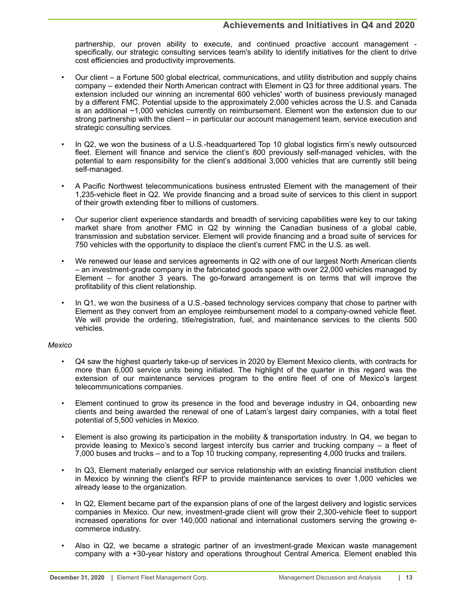partnership, our proven ability to execute, and continued proactive account management specifically, our strategic consulting services team's ability to identify initiatives for the client to drive cost efficiencies and productivity improvements.

- Our client a Fortune 500 global electrical, communications, and utility distribution and supply chains company – extended their North American contract with Element in Q3 for three additional years. The extension included our winning an incremental 600 vehicles' worth of business previously managed by a different FMC. Potential upside to the approximately 2,000 vehicles across the U.S. and Canada is an additional ~1,000 vehicles currently on reimbursement. Element won the extension due to our strong partnership with the client – in particular our account management team, service execution and strategic consulting services.
- In Q2, we won the business of a U.S.-headquartered Top 10 global logistics firm's newly outsourced fleet. Element will finance and service the client's 800 previously self-managed vehicles, with the potential to earn responsibility for the client's additional 3,000 vehicles that are currently still being self-managed.
- A Pacific Northwest telecommunications business entrusted Element with the management of their 1,235-vehicle fleet in Q2. We provide financing and a broad suite of services to this client in support of their growth extending fiber to millions of customers.
- Our superior client experience standards and breadth of servicing capabilities were key to our taking market share from another FMC in Q2 by winning the Canadian business of a global cable, transmission and substation servicer. Element will provide financing and a broad suite of services for 750 vehicles with the opportunity to displace the client's current FMC in the U.S. as well.
- We renewed our lease and services agreements in Q2 with one of our largest North American clients – an investment-grade company in the fabricated goods space with over 22,000 vehicles managed by Element – for another 3 years. The go-forward arrangement is on terms that will improve the profitability of this client relationship.
- In Q1, we won the business of a U.S.-based technology services company that chose to partner with Element as they convert from an employee reimbursement model to a company-owned vehicle fleet. We will provide the ordering, title/registration, fuel, and maintenance services to the clients 500 vehicles.

### *Mexico*

- Q4 saw the highest quarterly take-up of services in 2020 by Element Mexico clients, with contracts for more than 6,000 service units being initiated. The highlight of the quarter in this regard was the extension of our maintenance services program to the entire fleet of one of Mexico's largest telecommunications companies.
- Element continued to grow its presence in the food and beverage industry in Q4, onboarding new clients and being awarded the renewal of one of Latam's largest dairy companies, with a total fleet potential of 5,500 vehicles in Mexico.
- Element is also growing its participation in the mobility & transportation industry. In Q4, we began to provide leasing to Mexico's second largest intercity bus carrier and trucking company – a fleet of 7,000 buses and trucks – and to a Top 10 trucking company, representing 4,000 trucks and trailers.
- In Q3, Element materially enlarged our service relationship with an existing financial institution client in Mexico by winning the client's RFP to provide maintenance services to over 1,000 vehicles we already lease to the organization.
- In Q2, Element became part of the expansion plans of one of the largest delivery and logistic services companies in Mexico. Our new, investment-grade client will grow their 2,300-vehicle fleet to support increased operations for over 140,000 national and international customers serving the growing ecommerce industry.
- Also in Q2, we became a strategic partner of an investment-grade Mexican waste management company with a +30-year history and operations throughout Central America. Element enabled this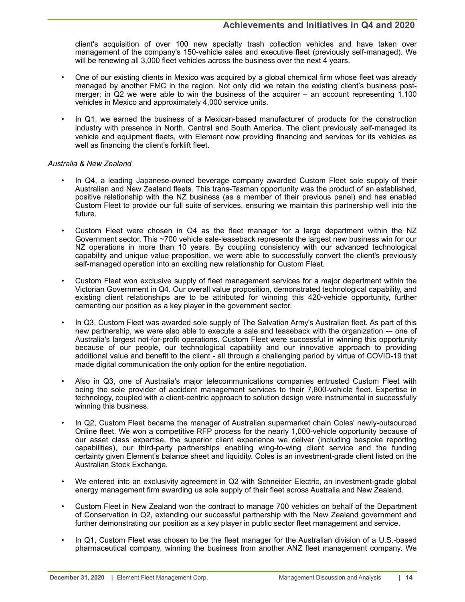client's acquisition of over 100 new specialty trash collection vehicles and have taken over management of the company's 150-vehicle sales and executive fleet (previously self-managed). We will be renewing all 3,000 fleet vehicles across the business over the next 4 years.

- One of our existing clients in Mexico was acquired by a global chemical firm whose fleet was already managed by another FMC in the region. Not only did we retain the existing client's business postmerger; in Q2 we were able to win the business of the acquirer – an account representing 1,100 vehicles in Mexico and approximately 4,000 service units.
- In Q1, we earned the business of a Mexican-based manufacturer of products for the construction industry with presence in North, Central and South America. The client previously self-managed its vehicle and equipment fleets, with Element now providing financing and services for its vehicles as well as financing the client's forklift fleet.

# *Australia & New Zealand*

- In Q4, a leading Japanese-owned beverage company awarded Custom Fleet sole supply of their Australian and New Zealand fleets. This trans-Tasman opportunity was the product of an established, positive relationship with the NZ business (as a member of their previous panel) and has enabled Custom Fleet to provide our full suite of services, ensuring we maintain this partnership well into the future.
- Custom Fleet were chosen in Q4 as the fleet manager for a large department within the NZ Government sector. This ~700 vehicle sale-leaseback represents the largest new business win for our NZ operations in more than 10 years. By coupling consistency with our advanced technological capability and unique value proposition, we were able to successfully convert the client's previously self-managed operation into an exciting new relationship for Custom Fleet.
- Custom Fleet won exclusive supply of fleet management services for a major department within the Victorian Government in Q4. Our overall value proposition, demonstrated technological capability, and existing client relationships are to be attributed for winning this 420-vehicle opportunity, further cementing our position as a key player in the government sector.
- In Q3, Custom Fleet was awarded sole supply of The Salvation Army's Australian fleet. As part of this new partnership, we were also able to execute a sale and leaseback with the organization – one of Australia's largest not-for-profit operations. Custom Fleet were successful in winning this opportunity because of our people, our technological capability and our innovative approach to providing additional value and benefit to the client - all through a challenging period by virtue of COVID-19 that made digital communication the only option for the entire negotiation.
- Also in Q3, one of Australia's major telecommunications companies entrusted Custom Fleet with being the sole provider of accident management services to their 7,800-vehicle fleet. Expertise in technology, coupled with a client-centric approach to solution design were instrumental in successfully winning this business.
- In Q2, Custom Fleet became the manager of Australian supermarket chain Coles' newly-outsourced Online fleet. We won a competitive RFP process for the nearly 1,000-vehicle opportunity because of our asset class expertise, the superior client experience we deliver (including bespoke reporting capabilities), our third-party partnerships enabling wing-to-wing client service and the funding certainty given Element's balance sheet and liquidity. Coles is an investment-grade client listed on the Australian Stock Exchange.
- We entered into an exclusivity agreement in Q2 with Schneider Electric, an investment-grade global energy management firm awarding us sole supply of their fleet across Australia and New Zealand.
- Custom Fleet in New Zealand won the contract to manage 700 vehicles on behalf of the Department of Conservation in Q2, extending our successful partnership with the New Zealand government and further demonstrating our position as a key player in public sector fleet management and service.
- In Q1, Custom Fleet was chosen to be the fleet manager for the Australian division of a U.S.-based pharmaceutical company, winning the business from another ANZ fleet management company. We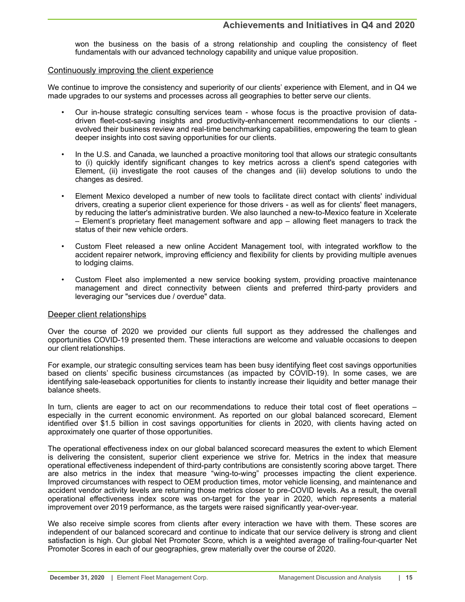won the business on the basis of a strong relationship and coupling the consistency of fleet fundamentals with our advanced technology capability and unique value proposition.

### Continuously improving the client experience

We continue to improve the consistency and superiority of our clients' experience with Element, and in Q4 we made upgrades to our systems and processes across all geographies to better serve our clients.

- Our in-house strategic consulting services team whose focus is the proactive provision of datadriven fleet-cost-saving insights and productivity-enhancement recommendations to our clients evolved their business review and real-time benchmarking capabilities, empowering the team to glean deeper insights into cost saving opportunities for our clients.
- In the U.S. and Canada, we launched a proactive monitoring tool that allows our strategic consultants to (i) quickly identify significant changes to key metrics across a client's spend categories with Element, (ii) investigate the root causes of the changes and (iii) develop solutions to undo the changes as desired.
- Element Mexico developed a number of new tools to facilitate direct contact with clients' individual drivers, creating a superior client experience for those drivers - as well as for clients' fleet managers, by reducing the latter's administrative burden. We also launched a new-to-Mexico feature in Xcelerate – Element's proprietary fleet management software and app – allowing fleet managers to track the status of their new vehicle orders.
- Custom Fleet released a new online Accident Management tool, with integrated workflow to the accident repairer network, improving efficiency and flexibility for clients by providing multiple avenues to lodging claims.
- Custom Fleet also implemented a new service booking system, providing proactive maintenance management and direct connectivity between clients and preferred third-party providers and leveraging our "services due / overdue" data.

### Deeper client relationships

Over the course of 2020 we provided our clients full support as they addressed the challenges and opportunities COVID-19 presented them. These interactions are welcome and valuable occasions to deepen our client relationships.

For example, our strategic consulting services team has been busy identifying fleet cost savings opportunities based on clients' specific business circumstances (as impacted by COVID-19). In some cases, we are identifying sale-leaseback opportunities for clients to instantly increase their liquidity and better manage their balance sheets.

In turn, clients are eager to act on our recommendations to reduce their total cost of fleet operations – especially in the current economic environment. As reported on our global balanced scorecard, Element identified over \$1.5 billion in cost savings opportunities for clients in 2020, with clients having acted on approximately one quarter of those opportunities.

The operational effectiveness index on our global balanced scorecard measures the extent to which Element is delivering the consistent, superior client experience we strive for. Metrics in the index that measure operational effectiveness independent of third-party contributions are consistently scoring above target. There are also metrics in the index that measure "wing-to-wing" processes impacting the client experience. Improved circumstances with respect to OEM production times, motor vehicle licensing, and maintenance and accident vendor activity levels are returning those metrics closer to pre-COVID levels. As a result, the overall operational effectiveness index score was on-target for the year in 2020, which represents a material improvement over 2019 performance, as the targets were raised significantly year-over-year.

We also receive simple scores from clients after every interaction we have with them. These scores are independent of our balanced scorecard and continue to indicate that our service delivery is strong and client satisfaction is high. Our global Net Promoter Score, which is a weighted average of trailing-four-quarter Net Promoter Scores in each of our geographies, grew materially over the course of 2020.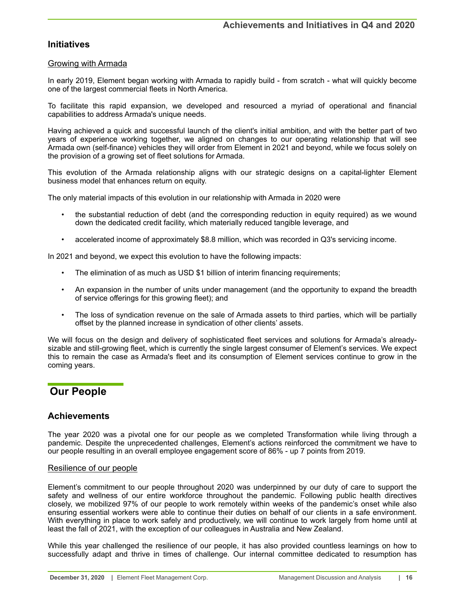# <span id="page-15-0"></span>**Initiatives**

# Growing with Armada

In early 2019, Element began working with Armada to rapidly build - from scratch - what will quickly become one of the largest commercial fleets in North America.

To facilitate this rapid expansion, we developed and resourced a myriad of operational and financial capabilities to address Armada's unique needs.

Having achieved a quick and successful launch of the client's initial ambition, and with the better part of two years of experience working together, we aligned on changes to our operating relationship that will see Armada own (self-finance) vehicles they will order from Element in 2021 and beyond, while we focus solely on the provision of a growing set of fleet solutions for Armada.

This evolution of the Armada relationship aligns with our strategic designs on a capital-lighter Element business model that enhances return on equity.

The only material impacts of this evolution in our relationship with Armada in 2020 were

- the substantial reduction of debt (and the corresponding reduction in equity required) as we wound down the dedicated credit facility, which materially reduced tangible leverage, and
- accelerated income of approximately \$8.8 million, which was recorded in Q3's servicing income.

In 2021 and beyond, we expect this evolution to have the following impacts:

- The elimination of as much as USD \$1 billion of interim financing requirements;
- An expansion in the number of units under management (and the opportunity to expand the breadth of service offerings for this growing fleet); and
- The loss of syndication revenue on the sale of Armada assets to third parties, which will be partially offset by the planned increase in syndication of other clients' assets.

We will focus on the design and delivery of sophisticated fleet services and solutions for Armada's alreadysizable and still-growing fleet, which is currently the single largest consumer of Element's services. We expect this to remain the case as Armada's fleet and its consumption of Element services continue to grow in the coming years.

# **Our People**

# **Achievements**

The year 2020 was a pivotal one for our people as we completed Transformation while living through a pandemic. Despite the unprecedented challenges, Element's actions reinforced the commitment we have to our people resulting in an overall employee engagement score of 86% - up 7 points from 2019.

# Resilience of our people

Element's commitment to our people throughout 2020 was underpinned by our duty of care to support the safety and wellness of our entire workforce throughout the pandemic. Following public health directives closely, we mobilized 97% of our people to work remotely within weeks of the pandemic's onset while also ensuring essential workers were able to continue their duties on behalf of our clients in a safe environment. With everything in place to work safely and productively, we will continue to work largely from home until at least the fall of 2021, with the exception of our colleagues in Australia and New Zealand.

While this year challenged the resilience of our people, it has also provided countless learnings on how to successfully adapt and thrive in times of challenge. Our internal committee dedicated to resumption has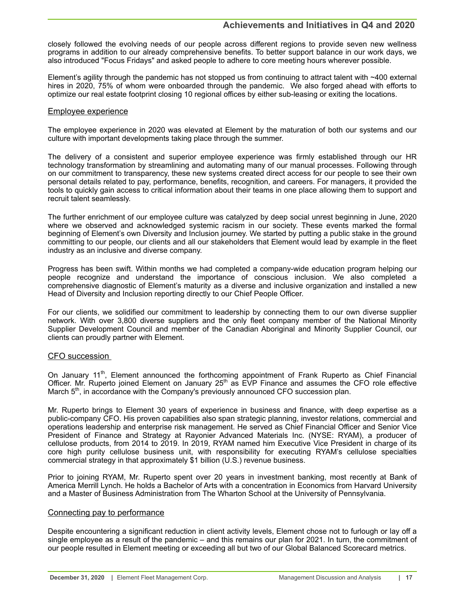closely followed the evolving needs of our people across different regions to provide seven new wellness programs in addition to our already comprehensive benefits. To better support balance in our work days, we also introduced "Focus Fridays" and asked people to adhere to core meeting hours wherever possible.

Element's agility through the pandemic has not stopped us from continuing to attract talent with ~400 external hires in 2020, 75% of whom were onboarded through the pandemic. We also forged ahead with efforts to optimize our real estate footprint closing 10 regional offices by either sub-leasing or exiting the locations.

### Employee experience

The employee experience in 2020 was elevated at Element by the maturation of both our systems and our culture with important developments taking place through the summer.

The delivery of a consistent and superior employee experience was firmly established through our HR technology transformation by streamlining and automating many of our manual processes. Following through on our commitment to transparency, these new systems created direct access for our people to see their own personal details related to pay, performance, benefits, recognition, and careers. For managers, it provided the tools to quickly gain access to critical information about their teams in one place allowing them to support and recruit talent seamlessly.

The further enrichment of our employee culture was catalyzed by deep social unrest beginning in June, 2020 where we observed and acknowledged systemic racism in our society. These events marked the formal beginning of Element's own Diversity and Inclusion journey. We started by putting a public stake in the ground committing to our people, our clients and all our stakeholders that Element would lead by example in the fleet industry as an inclusive and diverse company.

Progress has been swift. Within months we had completed a company-wide education program helping our people recognize and understand the importance of conscious inclusion. We also completed a comprehensive diagnostic of Element's maturity as a diverse and inclusive organization and installed a new Head of Diversity and Inclusion reporting directly to our Chief People Officer.

For our clients, we solidified our commitment to leadership by connecting them to our own diverse supplier network. With over 3,800 diverse suppliers and the only fleet company member of the National Minority Supplier Development Council and member of the Canadian Aboriginal and Minority Supplier Council, our clients can proudly partner with Element.

# CFO succession

On January 11<sup>th</sup>, Element announced the forthcoming appointment of Frank Ruperto as Chief Financial Officer. Mr. Ruperto joined Element on January  $25<sup>th</sup>$  as EVP Finance and assumes the CFO role effective March  $5<sup>th</sup>$ , in accordance with the Company's previously announced CFO succession plan.

Mr. Ruperto brings to Element 30 years of experience in business and finance, with deep expertise as a public-company CFO. His proven capabilities also span strategic planning, investor relations, commercial and operations leadership and enterprise risk management. He served as Chief Financial Officer and Senior Vice President of Finance and Strategy at Rayonier Advanced Materials Inc. (NYSE: RYAM), a producer of cellulose products, from 2014 to 2019. In 2019, RYAM named him Executive Vice President in charge of its core high purity cellulose business unit, with responsibility for executing RYAM's cellulose specialties commercial strategy in that approximately \$1 billion (U.S.) revenue business.

Prior to joining RYAM, Mr. Ruperto spent over 20 years in investment banking, most recently at Bank of America Merrill Lynch. He holds a Bachelor of Arts with a concentration in Economics from Harvard University and a Master of Business Administration from The Wharton School at the University of Pennsylvania.

### Connecting pay to performance

Despite encountering a significant reduction in client activity levels, Element chose not to furlough or lay off a single employee as a result of the pandemic – and this remains our plan for 2021. In turn, the commitment of our people resulted in Element meeting or exceeding all but two of our Global Balanced Scorecard metrics.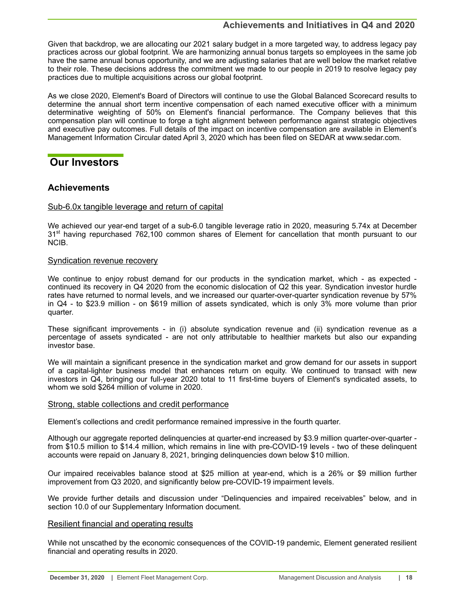<span id="page-17-0"></span>Given that backdrop, we are allocating our 2021 salary budget in a more targeted way, to address legacy pay practices across our global footprint. We are harmonizing annual bonus targets so employees in the same job have the same annual bonus opportunity, and we are adjusting salaries that are well below the market relative to their role. These decisions address the commitment we made to our people in 2019 to resolve legacy pay practices due to multiple acquisitions across our global footprint.

As we close 2020, Element's Board of Directors will continue to use the Global Balanced Scorecard results to determine the annual short term incentive compensation of each named executive officer with a minimum determinative weighting of 50% on Element's financial performance. The Company believes that this compensation plan will continue to forge a tight alignment between performance against strategic objectives and executive pay outcomes. Full details of the impact on incentive compensation are available in Element's Management Information Circular dated April 3, 2020 which has been filed on SEDAR at www.sedar.com.

# **Our Investors**

# **Achievements**

# Sub-6.0x tangible leverage and return of capital

We achieved our year-end target of a sub-6.0 tangible leverage ratio in 2020, measuring 5.74x at December 31<sup>st</sup> having repurchased 762,100 common shares of Element for cancellation that month pursuant to our NCIB.

# Syndication revenue recovery

We continue to enjoy robust demand for our products in the syndication market, which - as expected continued its recovery in Q4 2020 from the economic dislocation of Q2 this year. Syndication investor hurdle rates have returned to normal levels, and we increased our quarter-over-quarter syndication revenue by 57% in Q4 - to \$23.9 million - on \$619 million of assets syndicated, which is only 3% more volume than prior quarter.

These significant improvements - in (i) absolute syndication revenue and (ii) syndication revenue as a percentage of assets syndicated - are not only attributable to healthier markets but also our expanding investor base.

We will maintain a significant presence in the syndication market and grow demand for our assets in support of a capital-light*er* business model that enhances return on equity. We continued to transact with new investors in Q4, bringing our full-year 2020 total to 11 first-time buyers of Element's syndicated assets, to whom we sold \$264 million of volume in 2020.

### Strong, stable collections and credit performance

Element's collections and credit performance remained impressive in the fourth quarter.

Although our aggregate reported delinquencies at quarter-end increased by \$3.9 million quarter-over-quarter from \$10.5 million to \$14.4 million, which remains in line with pre-COVID-19 levels - two of these delinquent accounts were repaid on January 8, 2021, bringing delinquencies down below \$10 million.

Our impaired receivables balance stood at \$25 million at year-end, which is a 26% or \$9 million further improvement from Q3 2020, and significantly below pre-COVID-19 impairment levels.

We provide further details and discussion under "Delinquencies and impaired receivables" below, and in section 10.0 of our Supplementary Information document.

# Resilient financial and operating results

While not unscathed by the economic consequences of the COVID-19 pandemic, Element generated resilient financial and operating results in 2020.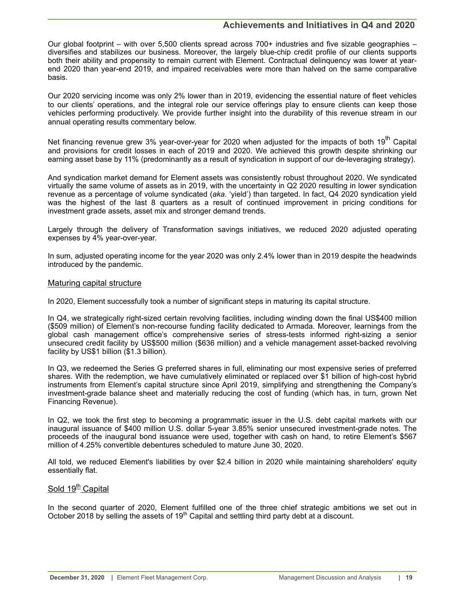Our global footprint – with over 5,500 clients spread across  $700+$  industries and five sizable geographies – diversifies and stabilizes our business. Moreover, the largely blue-chip credit profile of our clients supports both their ability and propensity to remain current with Element. Contractual delinquency was lower at yearend 2020 than year-end 2019, and impaired receivables were more than halved on the same comparative basis.

Our 2020 servicing income was only 2% lower than in 2019, evidencing the essential nature of fleet vehicles to our clients' operations, and the integral role our service offerings play to ensure clients can keep those vehicles performing productively. We provide further insight into the durability of this revenue stream in our annual operating results commentary below.

Net financing revenue grew 3% year-over-year for 2020 when adjusted for the impacts of both 19<sup>th</sup> Capital and provisions for credit losses in each of 2019 and 2020. We achieved this growth despite shrinking our earning asset base by 11% (predominantly as a result of syndication in support of our de-leveraging strategy).

And syndication market demand for Element assets was consistently robust throughout 2020. We syndicated virtually the same volume of assets as in 2019, with the uncertainty in Q2 2020 resulting in lower syndication revenue as a percentage of volume syndicated (*aka*. 'yield') than targeted. In fact, Q4 2020 syndication yield was the highest of the last 8 quarters as a result of continued improvement in pricing conditions for investment grade assets, asset mix and stronger demand trends.

Largely through the delivery of Transformation savings initiatives, we reduced 2020 adjusted operating expenses by 4% year-over-year.

In sum, adjusted operating income for the year 2020 was only 2.4% lower than in 2019 despite the headwinds introduced by the pandemic.

### Maturing capital structure

In 2020, Element successfully took a number of significant steps in maturing its capital structure.

In Q4, we strategically right-sized certain revolving facilities, including winding down the final US\$400 million (\$509 million) of Element's non-recourse funding facility dedicated to Armada. Moreover, learnings from the global cash management office's comprehensive series of stress-tests informed right-sizing a senior unsecured credit facility by US\$500 million (\$636 million) and a vehicle management asset-backed revolving facility by US\$1 billion (\$1.3 billion).

In Q3, we redeemed the Series G preferred shares in full, eliminating our most expensive series of preferred shares. With the redemption, we have cumulatively eliminated or replaced over \$1 billion of high-cost hybrid instruments from Element's capital structure since April 2019, simplifying and strengthening the Company's investment-grade balance sheet and materially reducing the cost of funding (which has, in turn, grown Net Financing Revenue).

In Q2, we took the first step to becoming a programmatic issuer in the U.S. debt capital markets with our inaugural issuance of \$400 million U.S. dollar 5-year 3.85% senior unsecured investment-grade notes. The proceeds of the inaugural bond issuance were used, together with cash on hand, to retire Element's \$567 million of 4.25% convertible debentures scheduled to mature June 30, 2020.

All told, we reduced Element's liabilities by over \$2.4 billion in 2020 while maintaining shareholders' equity essentially flat.

# Sold  $19<sup>th</sup>$  Capital

In the second quarter of 2020, Element fulfilled one of the three chief strategic ambitions we set out in October 2018 by selling the assets of  $19<sup>th</sup>$  Capital and settling third party debt at a discount.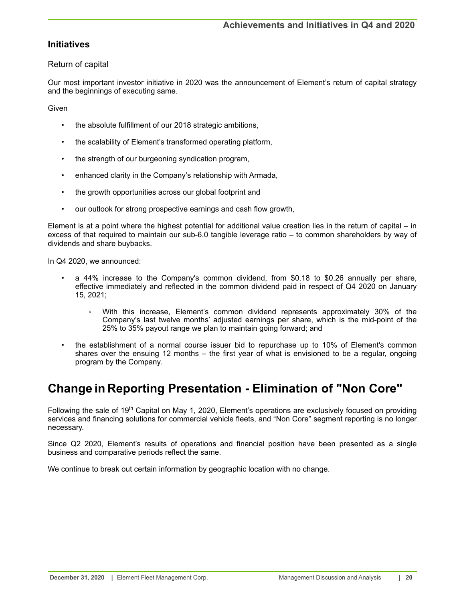# <span id="page-19-0"></span>**Initiatives**

# Return of capital

Our most important investor initiative in 2020 was the announcement of Element's return of capital strategy and the beginnings of executing same.

**Given** 

- the absolute fulfillment of our 2018 strategic ambitions,
- the scalability of Element's transformed operating platform,
- the strength of our burgeoning syndication program,
- enhanced clarity in the Company's relationship with Armada,
- the growth opportunities across our global footprint and
- our outlook for strong prospective earnings and cash flow growth,

Element is at a point where the highest potential for additional value creation lies in the return of capital – in excess of that required to maintain our sub-6.0 tangible leverage ratio – to common shareholders by way of dividends and share buybacks.

In Q4 2020, we announced:

- a 44% increase to the Company's common dividend, from \$0.18 to \$0.26 annually per share, effective immediately and reflected in the common dividend paid in respect of Q4 2020 on January 15, 2021;
	- With this increase, Element's common dividend represents approximately 30% of the Company's last twelve months' adjusted earnings per share, which is the mid-point of the 25% to 35% payout range we plan to maintain going forward; and
- the establishment of a normal course issuer bid to repurchase up to 10% of Element's common shares over the ensuing 12 months – the first year of what is envisioned to be a regular, ongoing program by the Company.

# **Change in Reporting Presentation - Elimination of "Non Core"**

Following the sale of 19<sup>th</sup> Capital on May 1, 2020, Element's operations are exclusively focused on providing services and financing solutions for commercial vehicle fleets, and "Non Core" segment reporting is no longer necessary.

Since Q2 2020, Element's results of operations and financial position have been presented as a single business and comparative periods reflect the same.

We continue to break out certain information by geographic location with no change.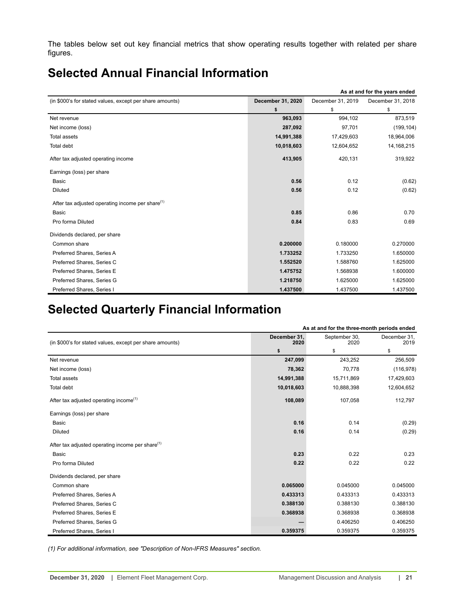<span id="page-20-0"></span>The tables below set out key financial metrics that show operating results together with related per share figures.

# **Selected Annual Financial Information**

| As at and for the years ended                                |                   |                   |                   |
|--------------------------------------------------------------|-------------------|-------------------|-------------------|
| (in \$000's for stated values, except per share amounts)     | December 31, 2020 | December 31, 2019 | December 31, 2018 |
|                                                              | \$                | \$                | \$                |
| Net revenue                                                  | 963,093           | 994,102           | 873,519           |
| Net income (loss)                                            | 287,092           | 97,701            | (199, 104)        |
| <b>Total assets</b>                                          | 14,991,388        | 17,429,603        | 18,964,006        |
| Total debt                                                   | 10,018,603        | 12,604,652        | 14, 168, 215      |
| After tax adjusted operating income                          | 413,905           | 420,131           | 319,922           |
| Earnings (loss) per share                                    |                   |                   |                   |
| Basic                                                        | 0.56              | 0.12              | (0.62)            |
| <b>Diluted</b>                                               | 0.56              | 0.12              | (0.62)            |
| After tax adjusted operating income per share <sup>(1)</sup> |                   |                   |                   |
| Basic                                                        | 0.85              | 0.86              | 0.70              |
| Pro forma Diluted                                            | 0.84              | 0.83              | 0.69              |
| Dividends declared, per share                                |                   |                   |                   |
| Common share                                                 | 0.200000          | 0.180000          | 0.270000          |
| Preferred Shares, Series A                                   | 1.733252          | 1.733250          | 1.650000          |
| Preferred Shares, Series C                                   | 1.552520          | 1.588760          | 1.625000          |
| Preferred Shares, Series E                                   | 1.475752          | 1.568938          | 1.600000          |
| Preferred Shares, Series G                                   | 1.218750          | 1.625000          | 1.625000          |
| Preferred Shares, Series I                                   | 1.437500          | 1.437500          | 1.437500          |

# **Selected Quarterly Financial Information**

|                                                              | As at and for the three-month periods ended |                       |                      |  |
|--------------------------------------------------------------|---------------------------------------------|-----------------------|----------------------|--|
| (in \$000's for stated values, except per share amounts)     | December 31,<br>2020                        | September 30,<br>2020 | December 31,<br>2019 |  |
|                                                              | \$                                          | \$                    | \$                   |  |
| Net revenue                                                  | 247,099                                     | 243,252               | 256,509              |  |
| Net income (loss)                                            | 78,362                                      | 70,778                | (116, 978)           |  |
| <b>Total assets</b>                                          | 14,991,388                                  | 15,711,869            | 17,429,603           |  |
| Total debt                                                   | 10,018,603                                  | 10,888,398            | 12,604,652           |  |
| After tax adjusted operating income <sup>(1)</sup>           | 108,089                                     | 107,058               | 112,797              |  |
| Earnings (loss) per share                                    |                                             |                       |                      |  |
| Basic                                                        | 0.16                                        | 0.14                  | (0.29)               |  |
| <b>Diluted</b>                                               | 0.16                                        | 0.14                  | (0.29)               |  |
| After tax adjusted operating income per share <sup>(1)</sup> |                                             |                       |                      |  |
| Basic                                                        | 0.23                                        | 0.22                  | 0.23                 |  |
| Pro forma Diluted                                            | 0.22                                        | 0.22                  | 0.22                 |  |
| Dividends declared, per share                                |                                             |                       |                      |  |
| Common share                                                 | 0.065000                                    | 0.045000              | 0.045000             |  |
| Preferred Shares, Series A                                   | 0.433313                                    | 0.433313              | 0.433313             |  |
| Preferred Shares, Series C                                   | 0.388130                                    | 0.388130              | 0.388130             |  |
| Preferred Shares, Series E                                   | 0.368938                                    | 0.368938              | 0.368938             |  |
| Preferred Shares, Series G                                   |                                             | 0.406250              | 0.406250             |  |
| Preferred Shares, Series I                                   | 0.359375                                    | 0.359375              | 0.359375             |  |

*(1) For additional information, see "Description of Non-IFRS Measures" section.*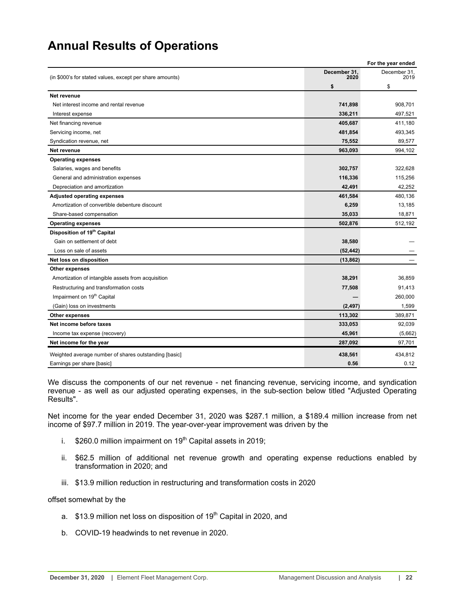# <span id="page-21-0"></span>**Annual Results of Operations**

|                                                          |                      | For the year ended   |
|----------------------------------------------------------|----------------------|----------------------|
| (in \$000's for stated values, except per share amounts) | December 31.<br>2020 | December 31,<br>2019 |
|                                                          | \$                   | \$                   |
| Net revenue                                              |                      |                      |
| Net interest income and rental revenue                   | 741,898              | 908,701              |
| Interest expense                                         | 336,211              | 497,521              |
| Net financing revenue                                    | 405,687              | 411,180              |
| Servicing income, net                                    | 481,854              | 493,345              |
| Syndication revenue, net                                 | 75,552               | 89,577               |
| Net revenue                                              | 963,093              | 994,102              |
| <b>Operating expenses</b>                                |                      |                      |
| Salaries, wages and benefits                             | 302,757              | 322,628              |
| General and administration expenses                      | 116,336              | 115,256              |
| Depreciation and amortization                            | 42,491               | 42,252               |
| <b>Adjusted operating expenses</b>                       | 461,584              | 480,136              |
| Amortization of convertible debenture discount           | 6,259                | 13,185               |
| Share-based compensation                                 | 35,033               | 18,871               |
| <b>Operating expenses</b>                                | 502,876              | 512,192              |
| Disposition of 19 <sup>th</sup> Capital                  |                      |                      |
| Gain on settlement of debt                               | 38,580               |                      |
| Loss on sale of assets                                   | (52, 442)            |                      |
| Net loss on disposition                                  | (13, 862)            |                      |
| <b>Other expenses</b>                                    |                      |                      |
| Amortization of intangible assets from acquisition       | 38,291               | 36,859               |
| Restructuring and transformation costs                   | 77,508               | 91,413               |
| Impairment on 19 <sup>th</sup> Capital                   |                      | 260,000              |
| (Gain) loss on investments                               | (2, 497)             | 1,599                |
| Other expenses                                           | 113,302              | 389,871              |
| Net income before taxes                                  | 333,053              | 92,039               |
| Income tax expense (recovery)                            | 45,961               | (5,662)              |
| Net income for the year                                  | 287,092              | 97,701               |
| Weighted average number of shares outstanding [basic]    | 438,561              | 434,812              |
| Earnings per share [basic]                               | 0.56                 | 0.12                 |

We discuss the components of our net revenue - net financing revenue, servicing income, and syndication revenue - as well as our adjusted operating expenses, in the sub-section below titled "Adjusted Operating Results".

Net income for the year ended December 31, 2020 was \$287.1 million, a \$189.4 million increase from net income of \$97.7 million in 2019. The year-over-year improvement was driven by the

- i.  $$260.0$  million impairment on  $19<sup>th</sup>$  Capital assets in 2019;
- ii. \$62.5 million of additional net revenue growth and operating expense reductions enabled by transformation in 2020; and
- iii. \$13.9 million reduction in restructuring and transformation costs in 2020

offset somewhat by the

- a.  $$13.9$  million net loss on disposition of  $19<sup>th</sup>$  Capital in 2020, and
- b. COVID-19 headwinds to net revenue in 2020.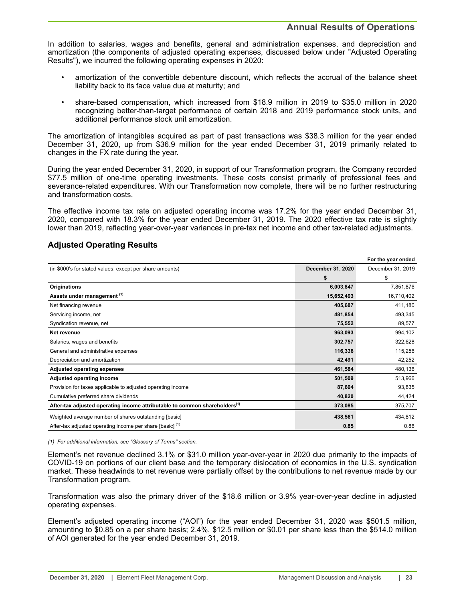**For the year ended**

In addition to salaries, wages and benefits, general and administration expenses, and depreciation and amortization (the components of adjusted operating expenses, discussed below under "Adjusted Operating Results"), we incurred the following operating expenses in 2020:

- amortization of the convertible debenture discount, which reflects the accrual of the balance sheet liability back to its face value due at maturity; and
- share-based compensation, which increased from \$18.9 million in 2019 to \$35.0 million in 2020 recognizing better-than-target performance of certain 2018 and 2019 performance stock units, and additional performance stock unit amortization.

The amortization of intangibles acquired as part of past transactions was \$38.3 million for the year ended December 31, 2020, up from \$36.9 million for the year ended December 31, 2019 primarily related to changes in the FX rate during the year.

During the year ended December 31, 2020, in support of our Transformation program, the Company recorded \$77.5 million of one-time operating investments. These costs consist primarily of professional fees and severance-related expenditures. With our Transformation now complete, there will be no further restructuring and transformation costs.

The effective income tax rate on adjusted operating income was 17.2% for the year ended December 31, 2020, compared with 18.3% for the year ended December 31, 2019. The 2020 effective tax rate is slightly lower than 2019, reflecting year-over-year variances in pre-tax net income and other tax-related adjustments.

|                                                                                        |                   | i vi ulu juul viluvu |
|----------------------------------------------------------------------------------------|-------------------|----------------------|
| (in \$000's for stated values, except per share amounts)                               | December 31, 2020 | December 31, 2019    |
|                                                                                        | S                 | \$                   |
| Originations                                                                           | 6,003,847         | 7,851,876            |
| Assets under management <sup>(1)</sup>                                                 | 15,652,493        | 16,710,402           |
| Net financing revenue                                                                  | 405,687           | 411,180              |
| Servicing income, net                                                                  | 481,854           | 493,345              |
| Syndication revenue, net                                                               | 75,552            | 89,577               |
| Net revenue                                                                            | 963,093           | 994,102              |
| Salaries, wages and benefits                                                           | 302,757           | 322,628              |
| General and administrative expenses                                                    | 116,336           | 115,256              |
| Depreciation and amortization                                                          | 42,491            | 42,252               |
| <b>Adjusted operating expenses</b>                                                     | 461,584           | 480,136              |
| Adjusted operating income                                                              | 501,509           | 513,966              |
| Provision for taxes applicable to adjusted operating income                            | 87,604            | 93,835               |
| Cumulative preferred share dividends                                                   | 40,820            | 44,424               |
| After-tax adjusted operating income attributable to common shareholders <sup>(1)</sup> | 373,085           | 375,707              |
| Weighted average number of shares outstanding [basic]                                  | 438,561           | 434,812              |
| After-tax adjusted operating income per share [basic] <sup>(1)</sup>                   | 0.85              | 0.86                 |

# **Adjusted Operating Results**

*(1) For additional information, see "Glossary of Terms" section.*

Element's net revenue declined 3.1% or \$31.0 million year-over-year in 2020 due primarily to the impacts of COVID-19 on portions of our client base and the temporary dislocation of economics in the U.S. syndication market. These headwinds to net revenue were partially offset by the contributions to net revenue made by our Transformation program.

Transformation was also the primary driver of the \$18.6 million or 3.9% year-over-year decline in adjusted operating expenses.

Element's adjusted operating income ("AOI") for the year ended December 31, 2020 was \$501.5 million, amounting to \$0.85 on a per share basis; 2.4%, \$12.5 million or \$0.01 per share less than the \$514.0 million of AOI generated for the year ended December 31, 2019.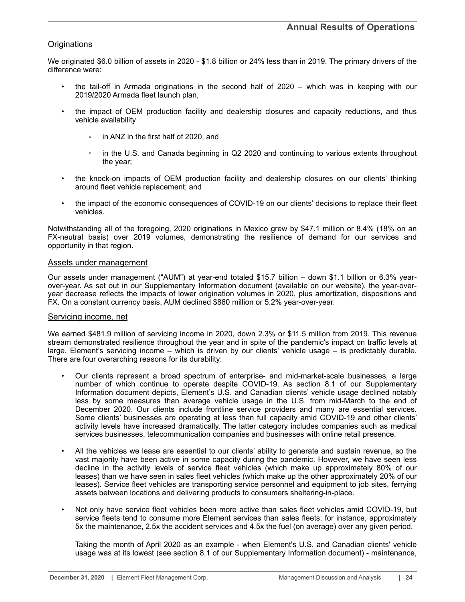# **Originations**

We originated \$6.0 billion of assets in 2020 - \$1.8 billion or 24% less than in 2019. The primary drivers of the difference were:

- the tail-off in Armada originations in the second half of 2020 which was in keeping with our 2019/2020 Armada fleet launch plan,
- the impact of OEM production facility and dealership closures and capacity reductions, and thus vehicle availability
	- in ANZ in the first half of 2020, and
	- in the U.S. and Canada beginning in Q2 2020 and continuing to various extents throughout the year;
- the knock-on impacts of OEM production facility and dealership closures on our clients' thinking around fleet vehicle replacement; and
- the impact of the economic consequences of COVID-19 on our clients' decisions to replace their fleet vehicles.

Notwithstanding all of the foregoing, 2020 originations in Mexico grew by \$47.1 million or 8.4% (18% on an FX-neutral basis) over 2019 volumes, demonstrating the resilience of demand for our services and opportunity in that region.

#### Assets under management

Our assets under management ("AUM") at year-end totaled \$15.7 billion – down \$1.1 billion or 6.3% yearover-year. As set out in our Supplementary Information document (available on our website), the year-overyear decrease reflects the impacts of lower origination volumes in 2020, plus amortization, dispositions and FX. On a constant currency basis, AUM declined \$860 million or 5.2% year-over-year.

### Servicing income, net

We earned \$481.9 million of servicing income in 2020, down 2.3% or \$11.5 million from 2019. This revenue stream demonstrated resilience throughout the year and in spite of the pandemic's impact on traffic levels at large. Element's servicing income – which is driven by our clients' vehicle usage – is predictably durable. There are four overarching reasons for its durability:

- Our clients represent a broad spectrum of enterprise- and mid-market-scale businesses, a large number of which continue to operate despite COVID-19. As section 8.1 of our Supplementary Information document depicts, Element's U.S. and Canadian clients' vehicle usage declined notably less by some measures than average vehicle usage in the U.S. from mid-March to the end of December 2020. Our clients include frontline service providers and many are essential services. Some clients' businesses are operating at less than full capacity amid COVID-19 and other clients' activity levels have increased dramatically. The latter category includes companies such as medical services businesses, telecommunication companies and businesses with online retail presence.
- All the vehicles we lease are essential to our clients' ability to generate and sustain revenue, so the vast majority have been active in some capacity during the pandemic. However, we have seen less decline in the activity levels of service fleet vehicles (which make up approximately 80% of our leases) than we have seen in sales fleet vehicles (which make up the other approximately 20% of our leases). Service fleet vehicles are transporting service personnel and equipment to job sites, ferrying assets between locations and delivering products to consumers sheltering-in-place.
- Not only have service fleet vehicles been more active than sales fleet vehicles amid COVID-19, but service fleets tend to consume more Element services than sales fleets; for instance, approximately 5x the maintenance, 2.5x the accident services and 4.5x the fuel (on average) over any given period.

Taking the month of April 2020 as an example - when Element's U.S. and Canadian clients' vehicle usage was at its lowest (see section 8.1 of our Supplementary Information document) - maintenance,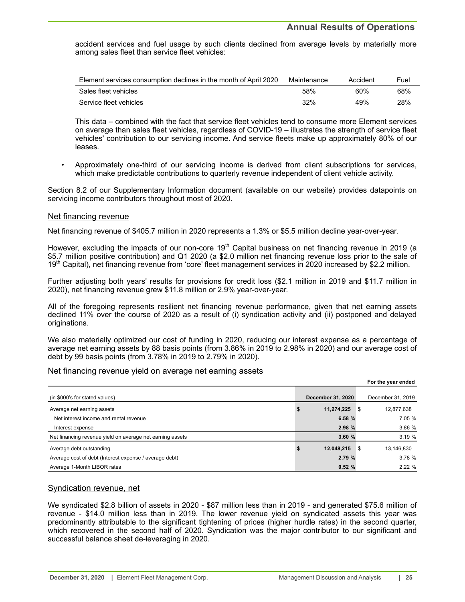# **Annual Results of Operations**

accident services and fuel usage by such clients declined from average levels by materially more among sales fleet than service fleet vehicles:

| Element services consumption declines in the month of April 2020 | Maintenance | Accident | Fuel |
|------------------------------------------------------------------|-------------|----------|------|
| Sales fleet vehicles                                             | 58%         | 60%      | 68%  |
| Service fleet vehicles                                           | 32%         | 49%      | 28%  |

This data – combined with the fact that service fleet vehicles tend to consume more Element services on average than sales fleet vehicles, regardless of COVID-19 – illustrates the strength of service fleet vehicles' contribution to our servicing income. And service fleets make up approximately 80% of our leases.

• Approximately one-third of our servicing income is derived from client subscriptions for services, which make predictable contributions to quarterly revenue independent of client vehicle activity.

Section 8.2 of our Supplementary Information document (available on our website) provides datapoints on servicing income contributors throughout most of 2020.

### Net financing revenue

Net financing revenue of \$405.7 million in 2020 represents a 1.3% or \$5.5 million decline year-over-year.

However, excluding the impacts of our non-core  $19<sup>th</sup>$  Capital business on net financing revenue in 2019 (a \$5.7 million positive contribution) and Q1 2020 (a \$2.0 million net financing revenue loss prior to the sale of 19<sup>th</sup> Capital), net financing revenue from 'core' fleet management services in 2020 increased by \$2.2 million.

Further adjusting both years' results for provisions for credit loss (\$2.1 million in 2019 and \$11.7 million in 2020), net financing revenue grew \$11.8 million or 2.9% year-over-year.

All of the foregoing represents resilient net financing revenue performance, given that net earning assets declined 11% over the course of 2020 as a result of (i) syndication activity and (ii) postponed and delayed originations.

We also materially optimized our cost of funding in 2020, reducing our interest expense as a percentage of average net earning assets by 88 basis points (from 3.86% in 2019 to 2.98% in 2020) and our average cost of debt by 99 basis points (from 3.78% in 2019 to 2.79% in 2020).

### Net financing revenue yield on average net earning assets

|                                                           |                          |   | For the year ended |
|-----------------------------------------------------------|--------------------------|---|--------------------|
| (in \$000's for stated values)                            | <b>December 31, 2020</b> |   | December 31, 2019  |
| Average net earning assets                                | \$<br>11,274,225         | S | 12,877,638         |
| Net interest income and rental revenue                    | 6.58 %                   |   | 7.05 %             |
| Interest expense                                          | 2.98 %                   |   | 3.86 %             |
| Net financing revenue yield on average net earning assets | 3.60%                    |   | 3.19%              |
| Average debt outstanding                                  | \$<br>12,048,215         | S | 13,146,830         |
| Average cost of debt (Interest expense / average debt)    | 2.79 %                   |   | 3.78%              |
| Average 1-Month LIBOR rates                               | 0.52%                    |   | 2.22%              |

### Syndication revenue, net

We syndicated \$2.8 billion of assets in 2020 - \$87 million less than in 2019 - and generated \$75.6 million of revenue - \$14.0 million less than in 2019. The lower revenue yield on syndicated assets this year was predominantly attributable to the significant tightening of prices (higher hurdle rates) in the second quarter, which recovered in the second half of 2020. Syndication was the major contributor to our significant and successful balance sheet de-leveraging in 2020.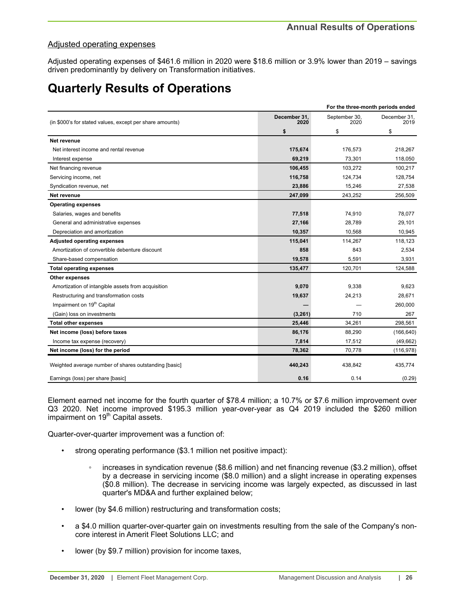# <span id="page-25-0"></span>Adjusted operating expenses

Adjusted operating expenses of \$461.6 million in 2020 were \$18.6 million or 3.9% lower than 2019 – savings driven predominantly by delivery on Transformation initiatives.

# **Quarterly Results of Operations**

|                                                          |                      |                       | For the three-month periods ended |
|----------------------------------------------------------|----------------------|-----------------------|-----------------------------------|
| (in \$000's for stated values, except per share amounts) | December 31,<br>2020 | September 30,<br>2020 | December 31,<br>2019              |
|                                                          | \$                   | \$                    | \$                                |
| Net revenue                                              |                      |                       |                                   |
| Net interest income and rental revenue                   | 175.674              | 176,573               | 218,267                           |
| Interest expense                                         | 69,219               | 73,301                | 118,050                           |
| Net financing revenue                                    | 106,455              | 103,272               | 100,217                           |
| Servicing income, net                                    | 116,758              | 124,734               | 128,754                           |
| Syndication revenue, net                                 | 23,886               | 15,246                | 27,538                            |
| Net revenue                                              | 247,099              | 243,252               | 256,509                           |
| <b>Operating expenses</b>                                |                      |                       |                                   |
| Salaries, wages and benefits                             | 77,518               | 74,910                | 78,077                            |
| General and administrative expenses                      | 27,166               | 28,789                | 29,101                            |
| Depreciation and amortization                            | 10,357               | 10,568                | 10,945                            |
| <b>Adjusted operating expenses</b>                       | 115,041              | 114,267               | 118,123                           |
| Amortization of convertible debenture discount           | 858                  | 843                   | 2,534                             |
| Share-based compensation                                 | 19,578               | 5,591                 | 3,931                             |
| <b>Total operating expenses</b>                          | 135,477              | 120,701               | 124,588                           |
| Other expenses                                           |                      |                       |                                   |
| Amortization of intangible assets from acquisition       | 9.070                | 9.338                 | 9,623                             |
| Restructuring and transformation costs                   | 19,637               | 24,213                | 28,671                            |
| Impairment on 19 <sup>th</sup> Capital                   |                      |                       | 260,000                           |
| (Gain) loss on investments                               | (3,261)              | 710                   | 267                               |
| <b>Total other expenses</b>                              | 25,446               | 34,261                | 298,561                           |
| Net income (loss) before taxes                           | 86,176               | 88,290                | (166, 640)                        |
| Income tax expense (recovery)                            | 7,814                | 17,512                | (49, 662)                         |
| Net income (loss) for the period                         | 78,362               | 70,778                | (116, 978)                        |
| Weighted average number of shares outstanding [basic]    | 440,243              | 438,842               | 435,774                           |
| Earnings (loss) per share [basic]                        | 0.16                 | 0.14                  | (0.29)                            |

Element earned net income for the fourth quarter of \$78.4 million; a 10.7% or \$7.6 million improvement over Q3 2020. Net income improved \$195.3 million year-over-year as Q4 2019 included the \$260 million impairment on 19<sup>th</sup> Capital assets.

Quarter-over-quarter improvement was a function of:

- strong operating performance (\$3.1 million net positive impact):
	- increases in syndication revenue (\$8.6 million) and net financing revenue (\$3.2 million), offset by a decrease in servicing income (\$8.0 million) and a slight increase in operating expenses (\$0.8 million). The decrease in servicing income was largely expected, as discussed in last quarter's MD&A and further explained below;
- lower (by \$4.6 million) restructuring and transformation costs;
- a \$4.0 million quarter-over-quarter gain on investments resulting from the sale of the Company's noncore interest in Amerit Fleet Solutions LLC; and
- lower (by \$9.7 million) provision for income taxes,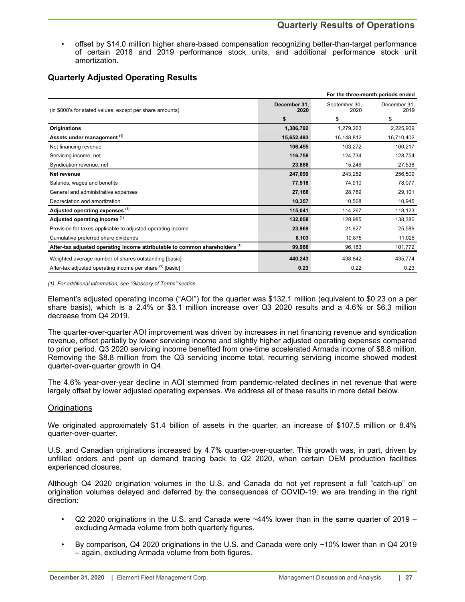• offset by \$14.0 million higher share-based compensation recognizing better-than-target performance of certain 2018 and 2019 performance stock units, and additional performance stock unit amortization.

| For the three-month periods ended                                                      |                      |                       |                      |  |  |  |
|----------------------------------------------------------------------------------------|----------------------|-----------------------|----------------------|--|--|--|
| (in \$000's for stated values, except per share amounts)                               | December 31.<br>2020 | September 30,<br>2020 | December 31,<br>2019 |  |  |  |
|                                                                                        | \$                   | \$                    | \$                   |  |  |  |
| Originations                                                                           | 1,386,792            | 1,279,263             | 2,225,909            |  |  |  |
| Assets under management (1)                                                            | 15,652,493           | 16,148,812            | 16,710,402           |  |  |  |
| Net financing revenue                                                                  | 106,455              | 103,272               | 100,217              |  |  |  |
| Servicing income, net                                                                  | 116,758              | 124,734               | 128,754              |  |  |  |
| Syndication revenue, net                                                               | 23,886               | 15,246                | 27,538               |  |  |  |
| Net revenue                                                                            | 247,099              | 243,252               | 256,509              |  |  |  |
| Salaries, wages and benefits                                                           | 77,518               | 74,910                | 78,077               |  |  |  |
| General and administrative expenses                                                    | 27,166               | 28,789                | 29,101               |  |  |  |
| Depreciation and amortization                                                          | 10,357               | 10,568                | 10,945               |  |  |  |
| Adjusted operating expenses (1)                                                        | 115,041              | 114,267               | 118,123              |  |  |  |
| Adjusted operating income (1)                                                          | 132,058              | 128,985               | 138,386              |  |  |  |
| Provision for taxes applicable to adjusted operating income                            | 23,969               | 21,927                | 25,589               |  |  |  |
| Cumulative preferred share dividends                                                   | 8,103                | 10.875                | 11,025               |  |  |  |
| After-tax adjusted operating income attributable to common shareholders <sup>(1)</sup> | 99,986               | 96,183                | 101,772              |  |  |  |
| Weighted average number of shares outstanding [basic]                                  | 440,243              | 438,842               | 435,774              |  |  |  |
| After-tax adjusted operating income per share (1) [basic]                              | 0.23                 | 0.22                  | 0.23                 |  |  |  |

# **Quarterly Adjusted Operating Results**

*(1) For additional information, see "Glossary of Terms" section.*

Element's adjusted operating income ("AOI") for the quarter was \$132.1 million (equivalent to \$0.23 on a per share basis), which is a 2.4% or \$3.1 million increase over Q3 2020 results and a 4.6% or \$6.3 million decrease from Q4 2019.

The quarter-over-quarter AOI improvement was driven by increases in net financing revenue and syndication revenue, offset partially by lower servicing income and slightly higher adjusted operating expenses compared to prior period. Q3 2020 servicing income benefited from one-time accelerated Armada income of \$8.8 million. Removing the \$8.8 million from the Q3 servicing income total, recurring servicing income showed modest quarter-over-quarter growth in Q4.

The 4.6% year-over-year decline in AOI stemmed from pandemic-related declines in net revenue that were largely offset by lower adjusted operating expenses. We address all of these results in more detail below.

# **Originations**

We originated approximately \$1.4 billion of assets in the quarter, an increase of \$107.5 million or 8.4% quarter-over-quarter.

U.S. and Canadian originations increased by 4.7% quarter-over-quarter. This growth was, in part, driven by unfilled orders and pent up demand tracing back to Q2 2020, when certain OEM production facilities experienced closures.

Although Q4 2020 origination volumes in the U.S. and Canada do not yet represent a full "catch-up" on origination volumes delayed and deferred by the consequences of COVID-19, we are trending in the right direction:

- Q2 2020 originations in the U.S. and Canada were ~44% lower than in the same quarter of 2019 excluding Armada volume from both quarterly figures.
- By comparison, Q4 2020 originations in the U.S. and Canada were only ~10% lower than in Q4 2019 – again, excluding Armada volume from both figures.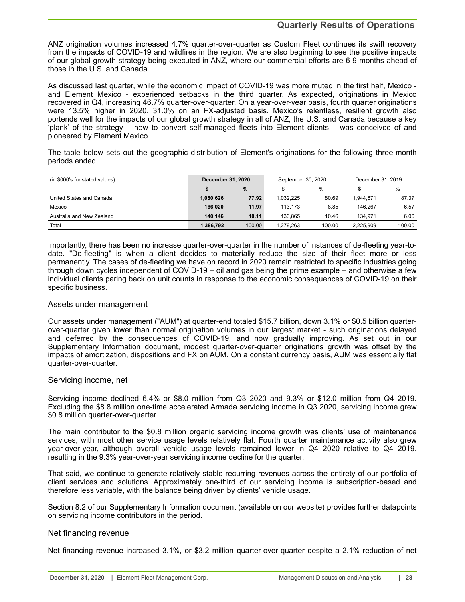# **Quarterly Results of Operations**

ANZ origination volumes increased 4.7% quarter-over-quarter as Custom Fleet continues its swift recovery from the impacts of COVID-19 and wildfires in the region. We are also beginning to see the positive impacts of our global growth strategy being executed in ANZ, where our commercial efforts are 6-9 months ahead of those in the U.S. and Canada.

As discussed last quarter, while the economic impact of COVID-19 was more muted in the first half, Mexico and Element Mexico - experienced setbacks in the third quarter. As expected, originations in Mexico recovered in Q4, increasing 46.7% quarter-over-quarter. On a year-over-year basis, fourth quarter originations were 13.5% higher in 2020, 31.0% on an FX-adjusted basis. Mexico's relentless, resilient growth also portends well for the impacts of our global growth strategy in all of ANZ, the U.S. and Canada because a key 'plank' of the strategy – how to convert self-managed fleets into Element clients – was conceived of and pioneered by Element Mexico.

The table below sets out the geographic distribution of Element's originations for the following three-month periods ended.

| (in \$000's for stated values) | December 31, 2020 |        | September 30, 2020 |        | December 31, 2019 |        |
|--------------------------------|-------------------|--------|--------------------|--------|-------------------|--------|
|                                |                   | $\%$   |                    | %      |                   | %      |
| United States and Canada       | 1.080.626         | 77.92  | 1.032.225          | 80.69  | 1.944.671         | 87.37  |
| Mexico                         | 166.020           | 11.97  | 113.173            | 8.85   | 146.267           | 6.57   |
| Australia and New Zealand      | 140.146           | 10.11  | 133.865            | 10.46  | 134.971           | 6.06   |
| Total                          | 1,386,792         | 100.00 | 1.279.263          | 100.00 | 2,225,909         | 100.00 |

Importantly, there has been no increase quarter-over-quarter in the number of instances of de-fleeting year-todate. "De-fleeting" is when a client decides to materially reduce the size of their fleet more or less permanently. The cases of de-fleeting we have on record in 2020 remain restricted to specific industries going through down cycles independent of COVID-19 – oil and gas being the prime example – and otherwise a few individual clients paring back on unit counts in response to the economic consequences of COVID-19 on their specific business.

### Assets under management

Our assets under management ("AUM") at quarter-end totaled \$15.7 billion, down 3.1% or \$0.5 billion quarterover-quarter given lower than normal origination volumes in our largest market - such originations delayed and deferred by the consequences of COVID-19, and now gradually improving. As set out in our Supplementary Information document, modest quarter-over-quarter originations growth was offset by the impacts of amortization, dispositions and FX on AUM. On a constant currency basis, AUM was essentially flat quarter-over-quarter.

### Servicing income, net

Servicing income declined 6.4% or \$8.0 million from Q3 2020 and 9.3% or \$12.0 million from Q4 2019. Excluding the \$8.8 million one-time accelerated Armada servicing income in Q3 2020, servicing income grew \$0.8 million quarter-over-quarter.

The main contributor to the \$0.8 million organic servicing income growth was clients' use of maintenance services, with most other service usage levels relatively flat. Fourth quarter maintenance activity also grew year-over-year, although overall vehicle usage levels remained lower in Q4 2020 relative to Q4 2019, resulting in the 9.3% year-over-year servicing income decline for the quarter.

That said, we continue to generate relatively stable recurring revenues across the entirety of our portfolio of client services and solutions. Approximately one-third of our servicing income is subscription-based and therefore less variable, with the balance being driven by clients' vehicle usage.

Section 8.2 of our Supplementary Information document (available on our website) provides further datapoints on servicing income contributors in the period.

### Net financing revenue

Net financing revenue increased 3.1%, or \$3.2 million quarter-over-quarter despite a 2.1% reduction of net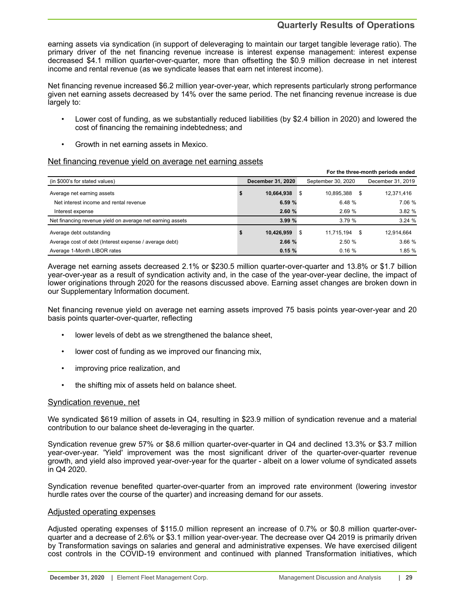# **Quarterly Results of Operations**

earning assets via syndication (in support of deleveraging to maintain our target tangible leverage ratio). The primary driver of the net financing revenue increase is interest expense management: interest expense decreased \$4.1 million quarter-over-quarter, more than offsetting the \$0.9 million decrease in net interest income and rental revenue (as we syndicate leases that earn net interest income).

Net financing revenue increased \$6.2 million year-over-year, which represents particularly strong performance given net earning assets decreased by 14% over the same period. The net financing revenue increase is due largely to:

- Lower cost of funding, as we substantially reduced liabilities (by \$2.4 billion in 2020) and lowered the cost of financing the remaining indebtedness; and
- Growth in net earning assets in Mexico.

# Net financing revenue yield on average net earning assets

|                                                           | For the three-month periods ended |                          |   |                    |      |                   |  |  |
|-----------------------------------------------------------|-----------------------------------|--------------------------|---|--------------------|------|-------------------|--|--|
| (in \$000's for stated values)                            |                                   | <b>December 31, 2020</b> |   | September 30, 2020 |      | December 31, 2019 |  |  |
| Average net earning assets                                | Ъ,                                | 10,664,938               | S | 10.895.388         | S    | 12,371,416        |  |  |
| Net interest income and rental revenue                    |                                   | 6.59%                    |   | 6.48%              |      | 7.06 %            |  |  |
| Interest expense                                          |                                   | 2.60%                    |   | 2.69%              |      | 3.82%             |  |  |
| Net financing revenue yield on average net earning assets |                                   | 3.99%                    |   | 3.79%              |      | 3.24%             |  |  |
| Average debt outstanding                                  |                                   | 10,426,959               | S | 11,715,194         | - \$ | 12,914,664        |  |  |
| Average cost of debt (Interest expense / average debt)    |                                   | 2.66 %                   |   | 2.50 %             |      | 3.66%             |  |  |
| Average 1-Month LIBOR rates                               |                                   | 0.15%                    |   | 0.16%              |      | 1.85%             |  |  |

Average net earning assets decreased 2.1% or \$230.5 million quarter-over-quarter and 13.8% or \$1.7 billion year-over-year as a result of syndication activity and, in the case of the year-over-year decline, the impact of lower originations through 2020 for the reasons discussed above. Earning asset changes are broken down in our Supplementary Information document.

Net financing revenue yield on average net earning assets improved 75 basis points year-over-year and 20 basis points quarter-over-quarter, reflecting

- lower levels of debt as we strengthened the balance sheet,
- lower cost of funding as we improved our financing mix,
- improving price realization, and
- the shifting mix of assets held on balance sheet.

### Syndication revenue, net

We syndicated \$619 million of assets in Q4, resulting in \$23.9 million of syndication revenue and a material contribution to our balance sheet de-leveraging in the quarter.

Syndication revenue grew 57% or \$8.6 million quarter-over-quarter in Q4 and declined 13.3% or \$3.7 million year-over-year. 'Yield' improvement was the most significant driver of the quarter-over-quarter revenue growth, and yield also improved year-over-year for the quarter - albeit on a lower volume of syndicated assets in Q4 2020.

Syndication revenue benefited quarter-over-quarter from an improved rate environment (lowering investor hurdle rates over the course of the quarter) and increasing demand for our assets.

### Adjusted operating expenses

Adjusted operating expenses of \$115.0 million represent an increase of 0.7% or \$0.8 million quarter-overquarter and a decrease of 2.6% or \$3.1 million year-over-year. The decrease over Q4 2019 is primarily driven by Transformation savings on salaries and general and administrative expenses. We have exercised diligent cost controls in the COVID-19 environment and continued with planned Transformation initiatives, which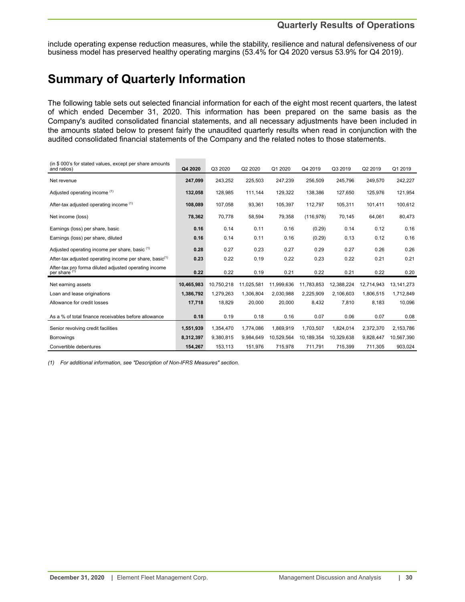# **Quarterly Results of Operations**

<span id="page-29-0"></span>include operating expense reduction measures, while the stability, resilience and natural defensiveness of our business model has preserved healthy operating margins (53.4% for Q4 2020 versus 53.9% for Q4 2019).

# **Summary of Quarterly Information**

The following table sets out selected financial information for each of the eight most recent quarters, the latest of which ended December 31, 2020. This information has been prepared on the same basis as the Company's audited consolidated financial statements, and all necessary adjustments have been included in the amounts stated below to present fairly the unaudited quarterly results when read in conjunction with the audited consolidated financial statements of the Company and the related notes to those statements.

| (in \$000's for stated values, except per share amounts<br>and ratios)            | Q4 2020    | Q3 2020    | Q2 2020    | Q1 2020    | Q4 2019    | Q3 2019    | Q2 2019    | Q1 2019      |
|-----------------------------------------------------------------------------------|------------|------------|------------|------------|------------|------------|------------|--------------|
| Net revenue                                                                       | 247,099    | 243,252    | 225,503    | 247,239    | 256,509    | 245,796    | 249,570    | 242,227      |
| Adjusted operating income (1)                                                     | 132,058    | 128,985    | 111,144    | 129,322    | 138,386    | 127,650    | 125,976    | 121,954      |
| After-tax adjusted operating income (1)                                           | 108,089    | 107,058    | 93,361     | 105,397    | 112,797    | 105,311    | 101,411    | 100,612      |
| Net income (loss)                                                                 | 78,362     | 70,778     | 58,594     | 79,358     | (116, 978) | 70,145     | 64,061     | 80,473       |
| Earnings (loss) per share, basic                                                  | 0.16       | 0.14       | 0.11       | 0.16       | (0.29)     | 0.14       | 0.12       | 0.16         |
| Earnings (loss) per share, diluted                                                | 0.16       | 0.14       | 0.11       | 0.16       | (0.29)     | 0.13       | 0.12       | 0.16         |
| Adjusted operating income per share, basic <sup>(1)</sup>                         | 0.28       | 0.27       | 0.23       | 0.27       | 0.29       | 0.27       | 0.26       | 0.26         |
| After-tax adjusted operating income per share, basic <sup>(1)</sup>               | 0.23       | 0.22       | 0.19       | 0.22       | 0.23       | 0.22       | 0.21       | 0.21         |
| After-tax pro forma diluted adjusted operating income<br>per share <sup>(1)</sup> | 0.22       | 0.22       | 0.19       | 0.21       | 0.22       | 0.21       | 0.22       | 0.20         |
| Net earning assets                                                                | 10,465,983 | 10,750,218 | 11,025,581 | 11,999,636 | 11,783,853 | 12,388,224 | 12,714,943 | 13, 141, 273 |
| Loan and lease originations                                                       | 1,386,792  | 1,279,263  | 1,306,804  | 2,030,988  | 2,225,909  | 2,106,603  | 1,806,515  | 1,712,849    |
| Allowance for credit losses                                                       | 17,718     | 18,829     | 20,000     | 20,000     | 8,432      | 7,810      | 8,183      | 10,096       |
| As a % of total finance receivables before allowance                              | 0.18       | 0.19       | 0.18       | 0.16       | 0.07       | 0.06       | 0.07       | 0.08         |
| Senior revolving credit facilities                                                | 1,551,939  | 1,354,470  | 1,774,086  | 1,869,919  | 1,703,507  | 1,824,014  | 2,372,370  | 2,153,786    |
| <b>Borrowings</b>                                                                 | 8,312,397  | 9,380,815  | 9,984,649  | 10,529,564 | 10,189,354 | 10,329,638 | 9,828,447  | 10,567,390   |
| Convertible debentures                                                            | 154,267    | 153.113    | 151,976    | 715,978    | 711,791    | 715,399    | 711,305    | 903,024      |

*(1) For additional information, see "Description of Non-IFRS Measures" section.*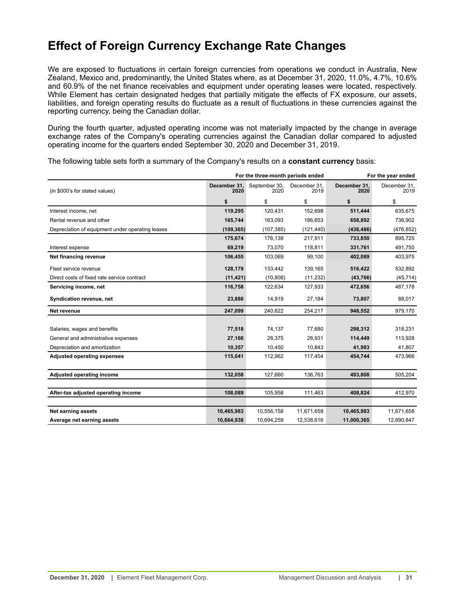# <span id="page-30-0"></span>**Effect of Foreign Currency Exchange Rate Changes**

We are exposed to fluctuations in certain foreign currencies from operations we conduct in Australia, New Zealand, Mexico and, predominantly, the United States where, as at December 31, 2020, 11.0%, 4.7%, 10.6% and 60.9% of the net finance receivables and equipment under operating leases were located, respectively. While Element has certain designated hedges that partially mitigate the effects of FX exposure, our assets, liabilities, and foreign operating results do fluctuate as a result of fluctuations in these currencies against the reporting currency, being the Canadian dollar.

During the fourth quarter, adjusted operating income was not materially impacted by the change in average exchange rates of the Company's operating currencies against the Canadian dollar compared to adjusted operating income for the quarters ended September 30, 2020 and December 31, 2019.

| The following table sets forth a summary of the Company's results on a constant currency basis: |
|-------------------------------------------------------------------------------------------------|
|                                                                                                 |

|                                                  |                      | For the three-month periods ended | For the year ended   |                      |                      |  |
|--------------------------------------------------|----------------------|-----------------------------------|----------------------|----------------------|----------------------|--|
| (in \$000's for stated values)                   | December 31,<br>2020 | September 30,<br>2020             | December 31,<br>2019 | December 31,<br>2020 | December 31,<br>2019 |  |
|                                                  | \$                   | \$                                | \$                   | \$                   | \$                   |  |
| Interest income, net                             | 119,295              | 120,431                           | 152,698              | 511,444              | 635,675              |  |
| Rental revenue and other                         | 165,744              | 163,093                           | 186,653              | 658,892              | 736,902              |  |
| Depreciation of equipment under operating leases | (109, 365)           | (107, 385)                        | (121, 440)           | (436, 486)           | (476, 852)           |  |
|                                                  | 175,674              | 176.139                           | 217.911              | 733,850              | 895.725              |  |
| Interest expense                                 | 69,219               | 73,070                            | 118,811              | 331,761              | 491,750              |  |
| Net financing revenue                            | 106,455              | 103,069                           | 99,100               | 402,089              | 403,975              |  |
| Fleet service revenue                            | 128,179              | 133,442                           | 139,165              | 516,422              | 532,892              |  |
| Direct costs of fixed rate service contract      | (11, 421)            | (10, 808)                         | (11, 232)            | (43, 766)            | (45, 714)            |  |
| Servicing income, net                            | 116,758              | 122,634                           | 127,933              | 472,656              | 487,178              |  |
| Syndication revenue, net                         | 23,886               | 14,919                            | 27,184               | 73,807               | 88,017               |  |
| Net revenue                                      | 247,099              | 240,622                           | 254,217              | 948,552              | 979,170              |  |
|                                                  |                      |                                   |                      |                      |                      |  |
| Salaries, wages and benefits                     | 77,518               | 74,137                            | 77,680               | 298,312              | 318,231              |  |
| General and administrative expenses              | 27,166               | 28,375                            | 28,931               | 114,449              | 113,928              |  |
| Depreciation and amortization                    | 10,357               | 10,450                            | 10.843               | 41,983               | 41,807               |  |
| <b>Adjusted operating expenses</b>               | 115,041              | 112,962                           | 117,454              | 454,744              | 473,966              |  |
|                                                  |                      |                                   |                      |                      |                      |  |
| Adjusted operating income                        | 132,058              | 127,660                           | 136,763              | 493,808              | 505,204              |  |
|                                                  |                      |                                   |                      |                      |                      |  |
| After-tax adjusted operating income              | 108,089              | 105,958                           | 111,463              | 408,824              | 412,970              |  |
|                                                  |                      |                                   |                      |                      |                      |  |
| Net earning assets                               | 10,465,983           | 10,556,158                        | 11,671,658           | 10,465,983           | 11,671,658           |  |
| Average net earning assets                       | 10,664,938           | 10,694,259                        | 12,538,616           | 11,000,365           | 12,690,847           |  |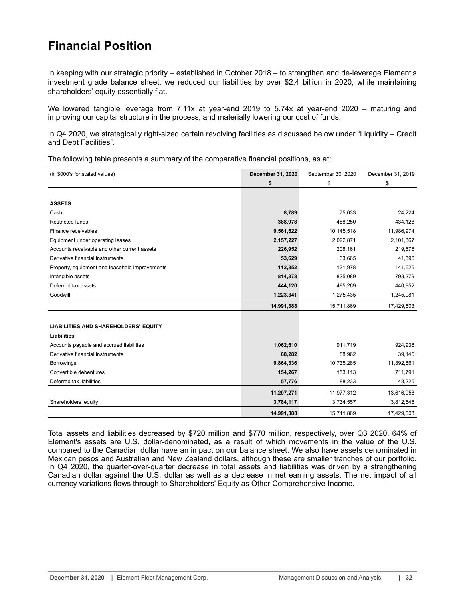# <span id="page-31-0"></span>**Financial Position**

In keeping with our strategic priority – established in October 2018 – to strengthen and de-leverage Element's investment grade balance sheet, we reduced our liabilities by over \$2.4 billion in 2020, while maintaining shareholders' equity essentially flat.

We lowered tangible leverage from 7.11x at year-end 2019 to 5.74x at year-end 2020 – maturing and improving our capital structure in the process, and materially lowering our cost of funds.

In Q4 2020, we strategically right-sized certain revolving facilities as discussed below under "Liquidity – Credit and Debt Facilities".

The following table presents a summary of the comparative financial positions, as at:

| (in \$000's for stated values)                 | December 31, 2020 | September 30, 2020 | December 31, 2019 |
|------------------------------------------------|-------------------|--------------------|-------------------|
|                                                | \$                | \$                 | \$                |
|                                                |                   |                    |                   |
| <b>ASSETS</b>                                  |                   |                    |                   |
| Cash                                           | 8,789             | 75,633             | 24,224            |
| <b>Restricted funds</b>                        | 388,978           | 488,250            | 434,128           |
| Finance receivables                            | 9,561,622         | 10,145,518         | 11,986,974        |
| Equipment under operating leases               | 2,157,227         | 2,022,871          | 2,101,367         |
| Accounts receivable and other current assets   | 226,952           | 208,161            | 219,676           |
| Derivative financial instruments               | 53,629            | 63,665             | 41,396            |
| Property, equipment and leasehold improvements | 112,352           | 121,978            | 141,626           |
| Intangible assets                              | 814,378           | 825,089            | 793,279           |
| Deferred tax assets                            | 444,120           | 485,269            | 440,952           |
| Goodwill                                       | 1,223,341         | 1,275,435          | 1,245,981         |
|                                                | 14,991,388        | 15,711,869         | 17,429,603        |
|                                                |                   |                    |                   |
| <b>LIABILITIES AND SHAREHOLDERS' EQUITY</b>    |                   |                    |                   |
| <b>Liabilities</b>                             |                   |                    |                   |
| Accounts payable and accrued liabilities       | 1,062,610         | 911,719            | 924,936           |
| Derivative financial instruments               | 68,282            | 88,962             | 39,145            |
| <b>Borrowings</b>                              | 9,864,336         | 10,735,285         | 11,892,861        |
| Convertible debentures                         | 154,267           | 153,113            | 711,791           |
| Deferred tax liabilities                       | 57,776            | 88,233             | 48,225            |
|                                                | 11,207,271        | 11,977,312         | 13,616,958        |
| Shareholders' equity                           | 3,784,117         | 3,734,557          | 3,812,645         |
|                                                | 14,991,388        | 15,711,869         | 17,429,603        |

Total assets and liabilities decreased by \$720 million and \$770 million, respectively, over Q3 2020. 64% of Element's assets are U.S. dollar-denominated, as a result of which movements in the value of the U.S. compared to the Canadian dollar have an impact on our balance sheet. We also have assets denominated in Mexican pesos and Australian and New Zealand dollars, although these are smaller tranches of our portfolio. In Q4 2020, the quarter-over-quarter decrease in total assets and liabilities was driven by a strengthening Canadian dollar against the U.S. dollar as well as a decrease in net earning assets. The net impact of all currency variations flows through to Shareholders' Equity as Other Comprehensive Income.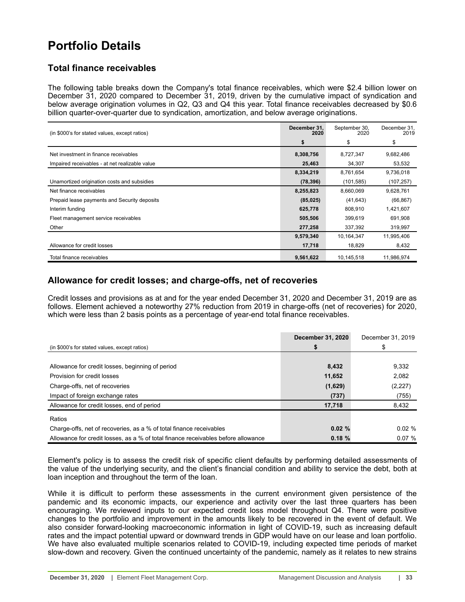# <span id="page-32-0"></span>**Portfolio Details**

# **Total finance receivables**

The following table breaks down the Company's total finance receivables, which were \$2.4 billion lower on December 31, 2020 compared to December 31, 2019, driven by the cumulative impact of syndication and below average origination volumes in Q2, Q3 and Q4 this year. Total finance receivables decreased by \$0.6 billion quarter-over-quarter due to syndication, amortization, and below average originations.

| (in \$000's for stated values, except ratios)  | December 31,<br>2020 | September 30,<br>2020 | December 31,<br>2019 |
|------------------------------------------------|----------------------|-----------------------|----------------------|
|                                                | \$                   | \$                    | \$                   |
| Net investment in finance receivables          | 8,308,756            | 8,727,347             | 9,682,486            |
| Impaired receivables - at net realizable value | 25,463               | 34,307                | 53,532               |
|                                                | 8,334,219            | 8,761,654             | 9,736,018            |
| Unamortized origination costs and subsidies    | (78, 396)            | (101, 585)            | (107, 257)           |
| Net finance receivables                        | 8,255,823            | 8,660,069             | 9,628,761            |
| Prepaid lease payments and Security deposits   | (85, 025)            | (41, 643)             | (66, 867)            |
| Interim funding                                | 625,778              | 808,910               | 1,421,607            |
| Fleet management service receivables           | 505,506              | 399,619               | 691,908              |
| Other                                          | 277,258              | 337,392               | 319,997              |
|                                                | 9,579,340            | 10,164,347            | 11,995,406           |
| Allowance for credit losses                    | 17,718               | 18,829                | 8,432                |
| Total finance receivables                      | 9,561,622            | 10,145,518            | 11,986,974           |

# **Allowance for credit losses; and charge-offs, net of recoveries**

Credit losses and provisions as at and for the year ended December 31, 2020 and December 31, 2019 are as follows. Element achieved a noteworthy 27% reduction from 2019 in charge-offs (net of recoveries) for 2020, which were less than 2 basis points as a percentage of year-end total finance receivables.

|                                                                                   | <b>December 31, 2020</b> | December 31, 2019 |
|-----------------------------------------------------------------------------------|--------------------------|-------------------|
| (in \$000's for stated values, except ratios)                                     |                          |                   |
|                                                                                   |                          |                   |
| Allowance for credit losses, beginning of period                                  | 8,432                    | 9,332             |
| Provision for credit losses                                                       | 11,652                   | 2,082             |
| Charge-offs, net of recoveries                                                    | (1,629)                  | (2,227)           |
| Impact of foreign exchange rates                                                  | (737)                    | (755)             |
| Allowance for credit losses, end of period                                        | 17,718                   | 8,432             |
| Ratios                                                                            |                          |                   |
| Charge-offs, net of recoveries, as a % of total finance receivables               | 0.02%                    | 0.02%             |
| Allowance for credit losses, as a % of total finance receivables before allowance | 0.18%                    | 0.07%             |

Element's policy is to assess the credit risk of specific client defaults by performing detailed assessments of the value of the underlying security, and the client's financial condition and ability to service the debt, both at loan inception and throughout the term of the loan.

While it is difficult to perform these assessments in the current environment given persistence of the pandemic and its economic impacts, our experience and activity over the last three quarters has been encouraging. We reviewed inputs to our expected credit loss model throughout Q4. There were positive changes to the portfolio and improvement in the amounts likely to be recovered in the event of default. We also consider forward-looking macroeconomic information in light of COVID-19, such as increasing default rates and the impact potential upward or downward trends in GDP would have on our lease and loan portfolio. We have also evaluated multiple scenarios related to COVID-19, including expected time periods of market slow-down and recovery. Given the continued uncertainty of the pandemic, namely as it relates to new strains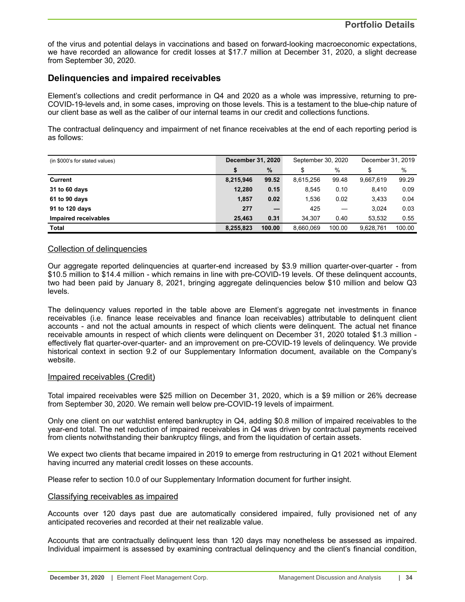of the virus and potential delays in vaccinations and based on forward-looking macroeconomic expectations, we have recorded an allowance for credit losses at \$17.7 million at December 31, 2020, a slight decrease from September 30, 2020.

# **Delinquencies and impaired receivables**

Element's collections and credit performance in Q4 and 2020 as a whole was impressive, returning to pre-COVID-19-levels and, in some cases, improving on those levels. This is a testament to the blue-chip nature of our client base as well as the caliber of our internal teams in our credit and collections functions.

The contractual delinquency and impairment of net finance receivables at the end of each reporting period is as follows:

| (in \$000's for stated values) | <b>December 31, 2020</b> |        | September 30, 2020 |        | December 31, 2019 |        |
|--------------------------------|--------------------------|--------|--------------------|--------|-------------------|--------|
|                                |                          | %      | \$                 | %      | \$                | %      |
| Current                        | 8,215,946                | 99.52  | 8,615,256          | 99.48  | 9.667.619         | 99.29  |
| 31 to 60 days                  | 12,280                   | 0.15   | 8.545              | 0.10   | 8,410             | 0.09   |
| 61 to 90 days                  | 1.857                    | 0.02   | 1,536              | 0.02   | 3,433             | 0.04   |
| 91 to 120 days                 | 277                      | –      | 425                |        | 3.024             | 0.03   |
| Impaired receivables           | 25,463                   | 0.31   | 34.307             | 0.40   | 53.532            | 0.55   |
| <b>Total</b>                   | 8.255.823                | 100.00 | 8.660.069          | 100.00 | 9.628.761         | 100.00 |

# Collection of delinquencies

Our aggregate reported delinquencies at quarter-end increased by \$3.9 million quarter-over-quarter - from \$10.5 million to \$14.4 million - which remains in line with pre-COVID-19 levels. Of these delinquent accounts, two had been paid by January 8, 2021, bringing aggregate delinquencies below \$10 million and below Q3 levels.

The delinquency values reported in the table above are Element's aggregate net investments in finance receivables (i.e. finance lease receivables and finance loan receivables) attributable to delinquent client accounts - and not the actual amounts in respect of which clients were delinquent. The actual net finance receivable amounts in respect of which clients were delinquent on December 31, 2020 totaled \$1.3 million effectively flat quarter-over-quarter- and an improvement on pre-COVID-19 levels of delinquency. We provide historical context in section 9.2 of our Supplementary Information document, available on the Company's website.

### Impaired receivables (Credit)

Total impaired receivables were \$25 million on December 31, 2020, which is a \$9 million or 26% decrease from September 30, 2020. We remain well below pre-COVID-19 levels of impairment.

Only one client on our watchlist entered bankruptcy in Q4, adding \$0.8 million of impaired receivables to the year-end total. The net reduction of impaired receivables in Q4 was driven by contractual payments received from clients notwithstanding their bankruptcy filings, and from the liquidation of certain assets.

We expect two clients that became impaired in 2019 to emerge from restructuring in Q1 2021 without Element having incurred any material credit losses on these accounts.

Please refer to section 10.0 of our Supplementary Information document for further insight.

### Classifying receivables as impaired

Accounts over 120 days past due are automatically considered impaired, fully provisioned net of any anticipated recoveries and recorded at their net realizable value.

Accounts that are contractually delinquent less than 120 days may nonetheless be assessed as impaired. Individual impairment is assessed by examining contractual delinquency and the client's financial condition,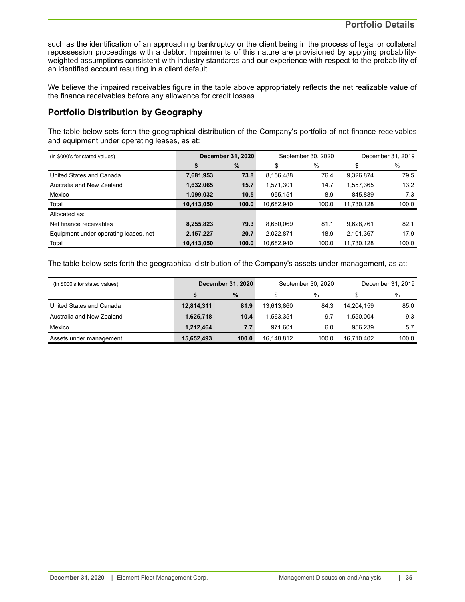such as the identification of an approaching bankruptcy or the client being in the process of legal or collateral repossession proceedings with a debtor. Impairments of this nature are provisioned by applying probabilityweighted assumptions consistent with industry standards and our experience with respect to the probability of an identified account resulting in a client default.

We believe the impaired receivables figure in the table above appropriately reflects the net realizable value of the finance receivables before any allowance for credit losses.

# **Portfolio Distribution by Geography**

The table below sets forth the geographical distribution of the Company's portfolio of net finance receivables and equipment under operating leases, as at:

| (in \$000's for stated values)        | <b>December 31, 2020</b> |       |            | September 30, 2020 | December 31, 2019 |       |  |
|---------------------------------------|--------------------------|-------|------------|--------------------|-------------------|-------|--|
|                                       | \$                       | $\%$  | \$         | $\%$               | \$                | $\%$  |  |
| United States and Canada              | 7,681,953                | 73.8  | 8,156,488  | 76.4               | 9,326,874         | 79.5  |  |
| Australia and New Zealand             | 1,632,065                | 15.7  | .571,301   | 14.7               | 1,557,365         | 13.2  |  |
| Mexico                                | 1,099,032                | 10.5  | 955,151    | 8.9                | 845,889           | 7.3   |  |
| Total                                 | 10,413,050               | 100.0 | 10,682,940 | 100.0              | 11,730,128        | 100.0 |  |
| Allocated as:                         |                          |       |            |                    |                   |       |  |
| Net finance receivables               | 8,255,823                | 79.3  | 8,660,069  | 81.1               | 9,628,761         | 82.1  |  |
| Equipment under operating leases, net | 2,157,227                | 20.7  | 2,022,871  | 18.9               | 2,101,367         | 17.9  |  |
| Total                                 | 10,413,050               | 100.0 | 10,682,940 | 100.0              | 11,730,128        | 100.0 |  |

The table below sets forth the geographical distribution of the Company's assets under management, as at:

| (in \$000's for stated values) | <b>December 31, 2020</b> |       |            | September 30, 2020 | December 31, 2019 |       |  |
|--------------------------------|--------------------------|-------|------------|--------------------|-------------------|-------|--|
|                                |                          | $\%$  | \$         | $\%$               |                   | $\%$  |  |
| United States and Canada       | 12,814,311               | 81.9  | 13.613.860 | 84.3               | 14.204.159        | 85.0  |  |
| Australia and New Zealand      | 1,625,718                | 10.4  | .563.351   | 9.7                | 1.550.004         | 9.3   |  |
| Mexico                         | 1.212.464                | 7.7   | 971.601    | 6.0                | 956.239           | 5.7   |  |
| Assets under management        | 15,652,493               | 100.0 | 16,148,812 | 100.0              | 16.710.402        | 100.0 |  |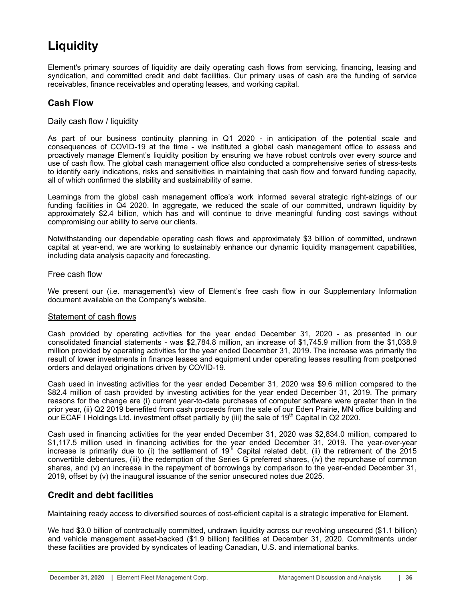# <span id="page-35-0"></span>**Liquidity**

Element's primary sources of liquidity are daily operating cash flows from servicing, financing, leasing and syndication, and committed credit and debt facilities. Our primary uses of cash are the funding of service receivables, finance receivables and operating leases, and working capital.

# **Cash Flow**

# Daily cash flow / liquidity

As part of our business continuity planning in Q1 2020 - in anticipation of the potential scale and consequences of COVID-19 at the time - we instituted a global cash management office to assess and proactively manage Element's liquidity position by ensuring we have robust controls over every source and use of cash flow. The global cash management office also conducted a comprehensive series of stress-tests to identify early indications, risks and sensitivities in maintaining that cash flow and forward funding capacity, all of which confirmed the stability and sustainability of same.

Learnings from the global cash management office's work informed several strategic right-sizings of our funding facilities in Q4 2020. In aggregate, we reduced the scale of our committed, undrawn liquidity by approximately \$2.4 billion, which has and will continue to drive meaningful funding cost savings without compromising our ability to serve our clients.

Notwithstanding our dependable operating cash flows and approximately \$3 billion of committed, undrawn capital at year-end, we are working to sustainably enhance our dynamic liquidity management capabilities, including data analysis capacity and forecasting.

# Free cash flow

We present our (i.e. management's) view of Element's free cash flow in our Supplementary Information document available on the Company's website.

### Statement of cash flows

Cash provided by operating activities for the year ended December 31, 2020 - as presented in our consolidated financial statements - was \$2,784.8 million, an increase of \$1,745.9 million from the \$1,038.9 million provided by operating activities for the year ended December 31, 2019. The increase was primarily the result of lower investments in finance leases and equipment under operating leases resulting from postponed orders and delayed originations driven by COVID-19.

Cash used in investing activities for the year ended December 31, 2020 was \$9.6 million compared to the \$82.4 million of cash provided by investing activities for the year ended December 31, 2019. The primary reasons for the change are (i) current year-to-date purchases of computer software were greater than in the prior year, (ii) Q2 2019 benefited from cash proceeds from the sale of our Eden Prairie, MN office building and our ECAF I Holdings Ltd. investment offset partially by (iii) the sale of  $19<sup>th</sup>$  Capital in Q2 2020.

Cash used in financing activities for the year ended December 31, 2020 was \$2,834.0 million, compared to \$1,117.5 million used in financing activities for the year ended December 31, 2019. The year-over-year increase is primarily due to (i) the settlement of 19<sup>th</sup> Capital related debt, (ii) the retirement of the 2015 convertible debentures, (iii) the redemption of the Series G preferred shares, (iv) the repurchase of common shares, and (v) an increase in the repayment of borrowings by comparison to the year-ended December 31, 2019, offset by (v) the inaugural issuance of the senior unsecured notes due 2025.

# **Credit and debt facilities**

Maintaining ready access to diversified sources of cost-efficient capital is a strategic imperative for Element.

We had \$3.0 billion of contractually committed, undrawn liquidity across our revolving unsecured (\$1.1 billion) and vehicle management asset-backed (\$1.9 billion) facilities at December 31, 2020. Commitments under these facilities are provided by syndicates of leading Canadian, U.S. and international banks.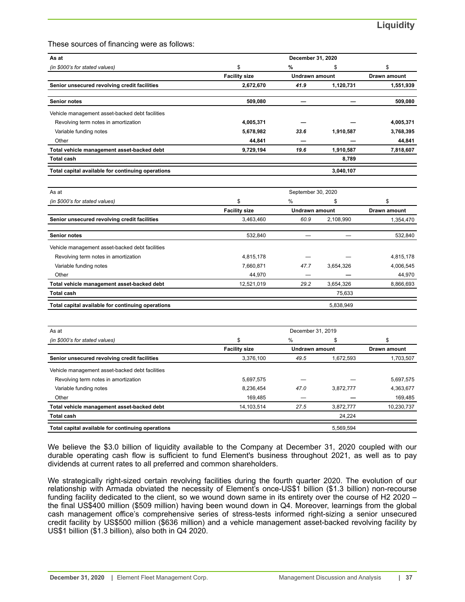These sources of financing were as follows:

| As at                                             |                      | December 31, 2020        |                     |                     |  |  |  |  |  |  |  |
|---------------------------------------------------|----------------------|--------------------------|---------------------|---------------------|--|--|--|--|--|--|--|
| (in \$000's for stated values)                    | \$                   | $\%$                     | \$                  | \$                  |  |  |  |  |  |  |  |
|                                                   | <b>Facility size</b> | <b>Undrawn amount</b>    |                     | <b>Drawn amount</b> |  |  |  |  |  |  |  |
| Senior unsecured revolving credit facilities      | 41.9<br>2,672,670    |                          | 1,120,731           | 1,551,939           |  |  |  |  |  |  |  |
| <b>Senior notes</b>                               | 509.080              | $\overline{\phantom{m}}$ |                     | 509,080             |  |  |  |  |  |  |  |
| Vehicle management asset-backed debt facilities   |                      |                          |                     |                     |  |  |  |  |  |  |  |
| Revolving term notes in amortization              | 4,005,371            |                          |                     | 4,005,371           |  |  |  |  |  |  |  |
| Variable funding notes                            | 5,678,982            | 33.6                     | 1,910,587           | 3,768,395           |  |  |  |  |  |  |  |
| Other                                             | 44,841               |                          |                     | 44,841              |  |  |  |  |  |  |  |
| Total vehicle management asset-backed debt        | 9,729,194            | 19.6                     | 1,910,587           | 7,818,607           |  |  |  |  |  |  |  |
| <b>Total cash</b>                                 |                      |                          | 8,789               |                     |  |  |  |  |  |  |  |
| Total capital available for continuing operations |                      |                          | 3,040,107           |                     |  |  |  |  |  |  |  |
| As at                                             |                      | September 30, 2020       |                     |                     |  |  |  |  |  |  |  |
| (in \$000's for stated values)                    | \$                   | %                        | \$                  | \$                  |  |  |  |  |  |  |  |
|                                                   | <b>Facility size</b> | Undrawn amount           | <b>Drawn amount</b> |                     |  |  |  |  |  |  |  |
| Senior unsecured revolving credit facilities      | 3,463,460            | 60.9                     | 2,108,990           | 1,354,470           |  |  |  |  |  |  |  |
| <b>Senior notes</b>                               | 532,840              |                          |                     | 532,840             |  |  |  |  |  |  |  |
| Vehicle management asset-backed debt facilities   |                      |                          |                     |                     |  |  |  |  |  |  |  |
| Revolving term notes in amortization              | 4,815,178            |                          |                     | 4,815,178           |  |  |  |  |  |  |  |
| Variable funding notes                            | 7,660,871            | 47.7                     | 3,654,326           | 4,006,545           |  |  |  |  |  |  |  |
| Other                                             | 44,970               |                          |                     | 44,970              |  |  |  |  |  |  |  |
| Total vehicle management asset-backed debt        | 12,521,019           | 29.2                     | 3,654,326           | 8,866,693           |  |  |  |  |  |  |  |
| <b>Total cash</b>                                 |                      |                          | 75,633              |                     |  |  |  |  |  |  |  |
| Total capital available for continuing operations |                      |                          | 5,838,949           |                     |  |  |  |  |  |  |  |

| As at                                             | December 31, 2019    |                |           |                     |  |  |  |
|---------------------------------------------------|----------------------|----------------|-----------|---------------------|--|--|--|
| (in \$000's for stated values)                    | \$                   | %<br>\$        |           |                     |  |  |  |
|                                                   | <b>Facility size</b> | Undrawn amount |           | <b>Drawn amount</b> |  |  |  |
| Senior unsecured revolving credit facilities      | 3,376,100            | 49.5           | 1,672,593 | 1,703,507           |  |  |  |
| Vehicle management asset-backed debt facilities   |                      |                |           |                     |  |  |  |
| Revolving term notes in amortization              | 5,697,575            |                |           | 5,697,575           |  |  |  |
| Variable funding notes                            | 8,236,454            | 47.0           | 3,872,777 | 4,363,677           |  |  |  |
| Other                                             | 169,485              |                |           | 169,485             |  |  |  |
| Total vehicle management asset-backed debt        | 14,103,514           | 27.5           | 3,872,777 | 10,230,737          |  |  |  |
| <b>Total cash</b>                                 |                      |                | 24,224    |                     |  |  |  |
| Total capital available for continuing operations |                      |                | 5.569.594 |                     |  |  |  |

We believe the \$3.0 billion of liquidity available to the Company at December 31, 2020 coupled with our durable operating cash flow is sufficient to fund Element's business throughout 2021, as well as to pay dividends at current rates to all preferred and common shareholders.

We strategically right-sized certain revolving facilities during the fourth quarter 2020. The evolution of our relationship with Armada obviated the necessity of Element's once-US\$1 billion (\$1.3 billion) non-recourse funding facility dedicated to the client, so we wound down same in its entirety over the course of H2 2020 – the final US\$400 million (\$509 million) having been wound down in Q4. Moreover, learnings from the global cash management office's comprehensive series of stress-tests informed right-sizing a senior unsecured credit facility by US\$500 million (\$636 million) and a vehicle management asset-backed revolving facility by US\$1 billion (\$1.3 billion), also both in Q4 2020.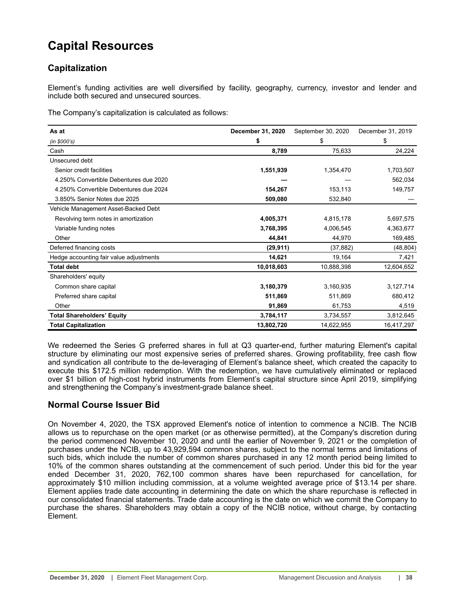# <span id="page-37-0"></span>**Capital Resources**

# **Capitalization**

Element's funding activities are well diversified by facility, geography, currency, investor and lender and include both secured and unsecured sources.

The Company's capitalization is calculated as follows:

| As at                                   | December 31, 2020 | September 30, 2020 | December 31, 2019 |
|-----------------------------------------|-------------------|--------------------|-------------------|
| (in \$000's)                            | \$                | \$                 | \$                |
| Cash                                    | 8,789             | 75,633             | 24,224            |
| Unsecured debt                          |                   |                    |                   |
| Senior credit facilities                | 1,551,939         | 1,354,470          | 1,703,507         |
| 4.250% Convertible Debentures due 2020  |                   |                    | 562,034           |
| 4.250% Convertible Debentures due 2024  | 154,267           | 153,113            | 149,757           |
| 3.850% Senior Notes due 2025            | 509,080           | 532,840            |                   |
| Vehicle Management Asset-Backed Debt    |                   |                    |                   |
| Revolving term notes in amortization    | 4,005,371         | 4,815,178          | 5,697,575         |
| Variable funding notes                  | 3,768,395         | 4,006,545          | 4,363,677         |
| Other                                   | 44,841            | 44,970             | 169,485           |
| Deferred financing costs                | (29, 911)         | (37, 882)          | (48, 804)         |
| Hedge accounting fair value adjustments | 14,621            | 19,164             | 7,421             |
| <b>Total debt</b>                       | 10,018,603        | 10,888,398         | 12,604,652        |
| Shareholders' equity                    |                   |                    |                   |
| Common share capital                    | 3,180,379         | 3,160,935          | 3,127,714         |
| Preferred share capital                 | 511,869           | 511,869            | 680,412           |
| Other                                   | 91,869            | 61,753             | 4,519             |
| <b>Total Shareholders' Equity</b>       | 3,784,117         | 3,734,557          | 3,812,645         |
| <b>Total Capitalization</b>             | 13,802,720        | 14,622,955         | 16,417,297        |

We redeemed the Series G preferred shares in full at Q3 quarter-end, further maturing Element's capital structure by eliminating our most expensive series of preferred shares. Growing profitability, free cash flow and syndication all contribute to the de-leveraging of Element's balance sheet, which created the capacity to execute this \$172.5 million redemption. With the redemption, we have cumulatively eliminated or replaced over \$1 billion of high-cost hybrid instruments from Element's capital structure since April 2019, simplifying and strengthening the Company's investment-grade balance sheet.

# **Normal Course Issuer Bid**

On November 4, 2020, the TSX approved Element's notice of intention to commence a NCIB. The NCIB allows us to repurchase on the open market (or as otherwise permitted), at the Company's discretion during the period commenced November 10, 2020 and until the earlier of November 9, 2021 or the completion of purchases under the NCIB, up to 43,929,594 common shares, subject to the normal terms and limitations of such bids, which include the number of common shares purchased in any 12 month period being limited to 10% of the common shares outstanding at the commencement of such period. Under this bid for the year ended December 31, 2020, 762,100 common shares have been repurchased for cancellation, for approximately \$10 million including commission, at a volume weighted average price of \$13.14 per share. Element applies trade date accounting in determining the date on which the share repurchase is reflected in our consolidated financial statements. Trade date accounting is the date on which we commit the Company to purchase the shares. Shareholders may obtain a copy of the NCIB notice, without charge, by contacting Element.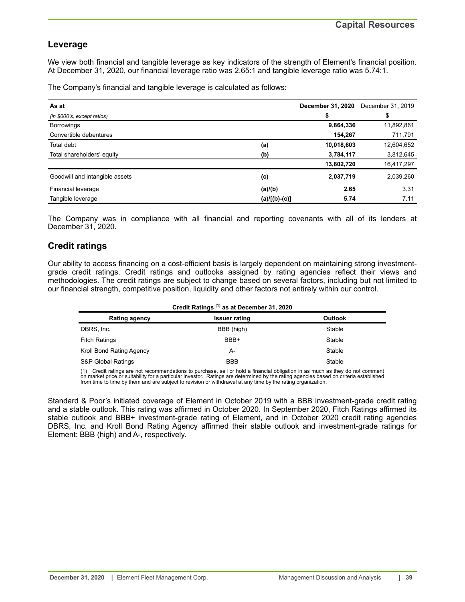# **Leverage**

We view both financial and tangible leverage as key indicators of the strength of Element's financial position. At December 31, 2020, our financial leverage ratio was 2.65:1 and tangible leverage ratio was 5.74:1.

The Company's financial and tangible leverage is calculated as follows:

| As at                          |                 | December 31, 2020 | December 31, 2019 |
|--------------------------------|-----------------|-------------------|-------------------|
| (in \$000's, except ratios)    |                 | \$                | \$                |
| <b>Borrowings</b>              |                 | 9,864,336         | 11,892,861        |
| Convertible debentures         |                 | 154,267           | 711,791           |
| Total debt                     | (a)             | 10,018,603        | 12,604,652        |
| Total shareholders' equity     | (b)             | 3,784,117         | 3,812,645         |
|                                |                 | 13,802,720        | 16,417,297        |
| Goodwill and intangible assets | (c)             | 2,037,719         | 2,039,260         |
| Financial leverage             | (a)/(b)         | 2.65              | 3.31              |
| Tangible leverage              | $(a)/[(b)-(c)]$ | 5.74              | 7.11              |

The Company was in compliance with all financial and reporting covenants with all of its lenders at December 31, 2020.

# **Credit ratings**

Our ability to access financing on a cost-efficient basis is largely dependent on maintaining strong investmentgrade credit ratings. Credit ratings and outlooks assigned by rating agencies reflect their views and methodologies. The credit ratings are subject to change based on several factors, including but not limited to our financial strength, competitive position, liquidity and other factors not entirely within our control.

| Credit Ratings <sup>(1)</sup> as at December 31, 2020 |                      |         |  |  |  |  |  |
|-------------------------------------------------------|----------------------|---------|--|--|--|--|--|
| <b>Rating agency</b>                                  | <b>Issuer rating</b> | Outlook |  |  |  |  |  |
| DBRS, Inc.                                            | BBB (high)           | Stable  |  |  |  |  |  |
| <b>Fitch Ratings</b>                                  | BBB+                 | Stable  |  |  |  |  |  |
| Kroll Bond Rating Agency                              | А-                   | Stable  |  |  |  |  |  |
| S&P Global Ratings                                    | <b>BBB</b>           | Stable  |  |  |  |  |  |

(1) Credit ratings are not recommendations to purchase, sell or hold a financial obligation in as much as they do not comment on market price or suitability for a particular investor. Ratings are determined by the rating agencies based on criteria established<br>from time to time by them and are subject to revision or withdrawal at any time by the r

Standard & Poor's initiated coverage of Element in October 2019 with a BBB investment-grade credit rating and a stable outlook. This rating was affirmed in October 2020. In September 2020, Fitch Ratings affirmed its stable outlook and BBB+ investment-grade rating of Element, and in October 2020 credit rating agencies DBRS, Inc. and Kroll Bond Rating Agency affirmed their stable outlook and investment-grade ratings for Element: BBB (high) and A-, respectively.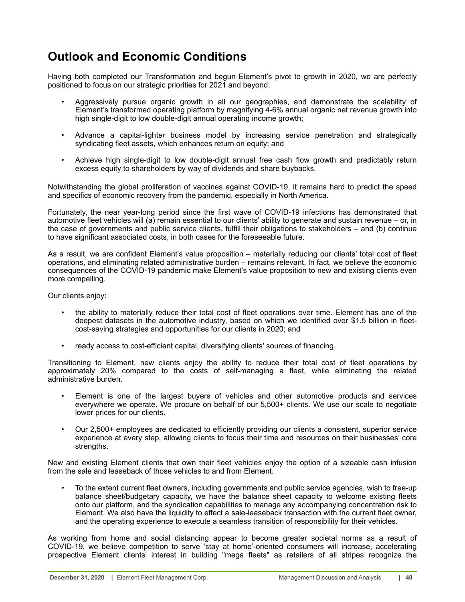# <span id="page-39-0"></span>**Outlook and Economic Conditions**

Having both completed our Transformation and begun Element's pivot to growth in 2020, we are perfectly positioned to focus on our strategic priorities for 2021 and beyond:

- Aggressively pursue organic growth in all our geographies, and demonstrate the scalability of Element's transformed operating platform by magnifying 4-6% annual organic net revenue growth into high single-digit to low double-digit annual operating income growth;
- Advance a capital-light*er* business model by increasing service penetration and strategically syndicating fleet assets, which enhances return on equity; and
- Achieve high single-digit to low double-digit annual free cash flow growth and predictably return excess equity to shareholders by way of dividends and share buybacks.

Notwithstanding the global proliferation of vaccines against COVID-19, it remains hard to predict the speed and specifics of economic recovery from the pandemic, especially in North America.

Fortunately, the near year-long period since the first wave of COVID-19 infections has demonstrated that automotive fleet vehicles will (a) remain essential to our clients' ability to generate and sustain revenue – or, in the case of governments and public service clients, fulfill their obligations to stakeholders – and (b) continue to have significant associated costs, in both cases for the foreseeable future.

As a result, we are confident Element's value proposition – materially reducing our clients' total cost of fleet operations, and eliminating related administrative burden – remains relevant. In fact, we believe the economic consequences of the COVID-19 pandemic make Element's value proposition to new and existing clients even more compelling.

Our clients enjoy:

- the ability to materially reduce their total cost of fleet operations over time. Element has one of the deepest datasets in the automotive industry, based on which we identified over \$1.5 billion in fleetcost-saving strategies and opportunities for our clients in 2020; and
- ready access to cost-efficient capital, diversifying clients' sources of financing.

Transitioning to Element, new clients enjoy the ability to reduce their total cost of fleet operations by approximately 20% compared to the costs of self-managing a fleet, while eliminating the related administrative burden.

- Element is one of the largest buyers of vehicles and other automotive products and services everywhere we operate. We procure on behalf of our 5,500+ clients. We use our scale to negotiate lower prices for our clients.
- Our 2,500+ employees are dedicated to efficiently providing our clients a consistent, superior service experience at every step, allowing clients to focus their time and resources on their businesses' core strengths.

New and existing Element clients that own their fleet vehicles enjoy the option of a sizeable cash infusion from the sale and leaseback of those vehicles to and from Element.

• To the extent current fleet owners, including governments and public service agencies, wish to free-up balance sheet/budgetary capacity, we have the balance sheet capacity to welcome existing fleets onto our platform, and the syndication capabilities to manage any accompanying concentration risk to Element. We also have the liquidity to effect a sale-leaseback transaction with the current fleet owner, and the operating experience to execute a seamless transition of responsibility for their vehicles.

As working from home and social distancing appear to become greater societal norms as a result of COVID-19, we believe competition to serve 'stay at home'-oriented consumers will increase, accelerating prospective Element clients' interest in building "mega fleets" as retailers of all stripes recognize the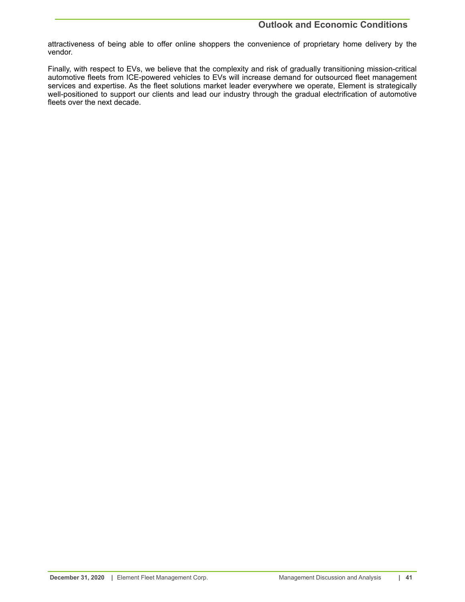# **Outlook and Economic Conditions**

attractiveness of being able to offer online shoppers the convenience of proprietary home delivery by the vendor.

Finally, with respect to EVs, we believe that the complexity and risk of gradually transitioning mission-critical automotive fleets from ICE-powered vehicles to EVs will increase demand for outsourced fleet management services and expertise. As the fleet solutions market leader everywhere we operate, Element is strategically well-positioned to support our clients and lead our industry through the gradual electrification of automotive fleets over the next decade.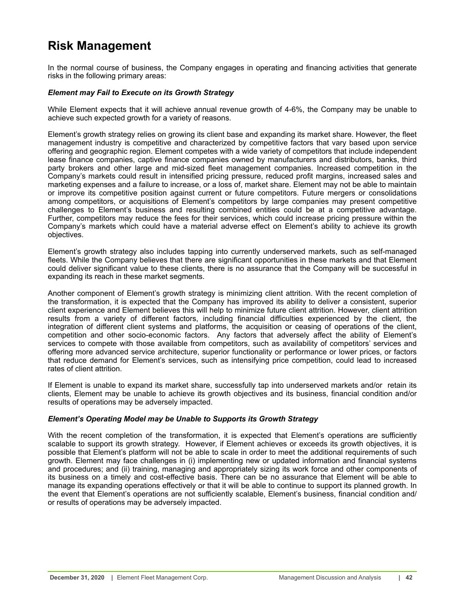# <span id="page-41-0"></span>**Risk Management**

In the normal course of business, the Company engages in operating and financing activities that generate risks in the following primary areas:

### *Element may Fail to Execute on its Growth Strategy*

While Element expects that it will achieve annual revenue growth of 4-6%, the Company may be unable to achieve such expected growth for a variety of reasons.

Element's growth strategy relies on growing its client base and expanding its market share. However, the fleet management industry is competitive and characterized by competitive factors that vary based upon service offering and geographic region. Element competes with a wide variety of competitors that include independent lease finance companies, captive finance companies owned by manufacturers and distributors, banks, third party brokers and other large and mid-sized fleet management companies. Increased competition in the Company's markets could result in intensified pricing pressure, reduced profit margins, increased sales and marketing expenses and a failure to increase, or a loss of, market share. Element may not be able to maintain or improve its competitive position against current or future competitors. Future mergers or consolidations among competitors, or acquisitions of Element's competitors by large companies may present competitive challenges to Element's business and resulting combined entities could be at a competitive advantage. Further, competitors may reduce the fees for their services, which could increase pricing pressure within the Company's markets which could have a material adverse effect on Element's ability to achieve its growth objectives.

Element's growth strategy also includes tapping into currently underserved markets, such as self-managed fleets. While the Company believes that there are significant opportunities in these markets and that Element could deliver significant value to these clients, there is no assurance that the Company will be successful in expanding its reach in these market segments.

Another component of Element's growth strategy is minimizing client attrition. With the recent completion of the transformation, it is expected that the Company has improved its ability to deliver a consistent, superior client experience and Element believes this will help to minimize future client attrition. However, client attrition results from a variety of different factors, including financial difficulties experienced by the client, the integration of different client systems and platforms, the acquisition or ceasing of operations of the client, competition and other socio-economic factors. Any factors that adversely affect the ability of Element's services to compete with those available from competitors, such as availability of competitors' services and offering more advanced service architecture, superior functionality or performance or lower prices, or factors that reduce demand for Element's services, such as intensifying price competition, could lead to increased rates of client attrition.

If Element is unable to expand its market share, successfully tap into underserved markets and/or retain its clients, Element may be unable to achieve its growth objectives and its business, financial condition and/or results of operations may be adversely impacted.

### *Element's Operating Model may be Unable to Supports its Growth Strategy*

With the recent completion of the transformation, it is expected that Element's operations are sufficiently scalable to support its growth strategy. However, if Element achieves or exceeds its growth objectives, it is possible that Element's platform will not be able to scale in order to meet the additional requirements of such growth. Element may face challenges in (i) implementing new or updated information and financial systems and procedures; and (ii) training, managing and appropriately sizing its work force and other components of its business on a timely and cost-effective basis. There can be no assurance that Element will be able to manage its expanding operations effectively or that it will be able to continue to support its planned growth. In the event that Element's operations are not sufficiently scalable, Element's business, financial condition and/ or results of operations may be adversely impacted.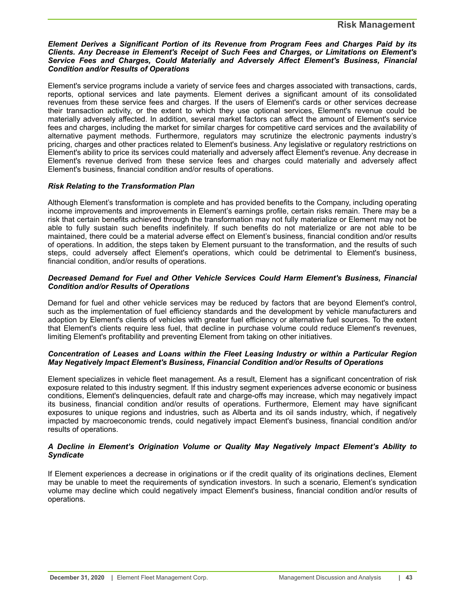### *Element Derives a Significant Portion of its Revenue from Program Fees and Charges Paid by its Clients. Any Decrease in Element's Receipt of Such Fees and Charges, or Limitations on Element's Service Fees and Charges, Could Materially and Adversely Affect Element's Business, Financial Condition and/or Results of Operations*

Element's service programs include a variety of service fees and charges associated with transactions, cards, reports, optional services and late payments. Element derives a significant amount of its consolidated revenues from these service fees and charges. If the users of Element's cards or other services decrease their transaction activity, or the extent to which they use optional services, Element's revenue could be materially adversely affected. In addition, several market factors can affect the amount of Element's service fees and charges, including the market for similar charges for competitive card services and the availability of alternative payment methods. Furthermore, regulators may scrutinize the electronic payments industry's pricing, charges and other practices related to Element's business. Any legislative or regulatory restrictions on Element's ability to price its services could materially and adversely affect Element's revenue. Any decrease in Element's revenue derived from these service fees and charges could materially and adversely affect Element's business, financial condition and/or results of operations.

# *Risk Relating to the Transformation Plan*

Although Element's transformation is complete and has provided benefits to the Company, including operating income improvements and improvements in Element's earnings profile, certain risks remain. There may be a risk that certain benefits achieved through the transformation may not fully materialize or Element may not be able to fully sustain such benefits indefinitely. If such benefits do not materialize or are not able to be maintained, there could be a material adverse effect on Element's business, financial condition and/or results of operations. In addition, the steps taken by Element pursuant to the transformation, and the results of such steps, could adversely affect Element's operations, which could be detrimental to Element's business, financial condition, and/or results of operations.

### *Decreased Demand for Fuel and Other Vehicle Services Could Harm Element's Business, Financial Condition and/or Results of Operations*

Demand for fuel and other vehicle services may be reduced by factors that are beyond Element's control, such as the implementation of fuel efficiency standards and the development by vehicle manufacturers and adoption by Element's clients of vehicles with greater fuel efficiency or alternative fuel sources. To the extent that Element's clients require less fuel, that decline in purchase volume could reduce Element's revenues, limiting Element's profitability and preventing Element from taking on other initiatives.

#### *Concentration of Leases and Loans within the Fleet Leasing Industry or within a Particular Region May Negatively Impact Element's Business, Financial Condition and/or Results of Operations*

Element specializes in vehicle fleet management. As a result, Element has a significant concentration of risk exposure related to this industry segment. If this industry segment experiences adverse economic or business conditions, Element's delinquencies, default rate and charge-offs may increase, which may negatively impact its business, financial condition and/or results of operations. Furthermore, Element may have significant exposures to unique regions and industries, such as Alberta and its oil sands industry, which, if negatively impacted by macroeconomic trends, could negatively impact Element's business, financial condition and/or results of operations.

### *A Decline in Element's Origination Volume or Quality May Negatively Impact Element's Ability to Syndicate*

If Element experiences a decrease in originations or if the credit quality of its originations declines, Element may be unable to meet the requirements of syndication investors. In such a scenario, Element's syndication volume may decline which could negatively impact Element's business, financial condition and/or results of operations.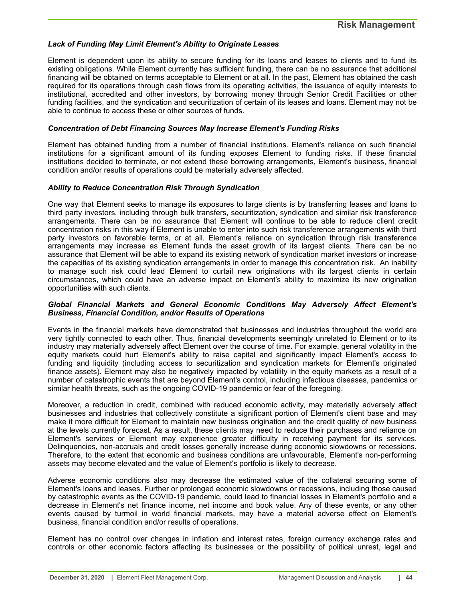# *Lack of Funding May Limit Element's Ability to Originate Leases*

Element is dependent upon its ability to secure funding for its loans and leases to clients and to fund its existing obligations. While Element currently has sufficient funding, there can be no assurance that additional financing will be obtained on terms acceptable to Element or at all. In the past, Element has obtained the cash required for its operations through cash flows from its operating activities, the issuance of equity interests to institutional, accredited and other investors, by borrowing money through Senior Credit Facilities or other funding facilities, and the syndication and securitization of certain of its leases and loans. Element may not be able to continue to access these or other sources of funds.

#### *Concentration of Debt Financing Sources May Increase Element's Funding Risks*

Element has obtained funding from a number of financial institutions. Element's reliance on such financial institutions for a significant amount of its funding exposes Element to funding risks. If these financial institutions decided to terminate, or not extend these borrowing arrangements, Element's business, financial condition and/or results of operations could be materially adversely affected.

#### *Ability to Reduce Concentration Risk Through Syndication*

One way that Element seeks to manage its exposures to large clients is by transferring leases and loans to third party investors, including through bulk transfers, securitization, syndication and similar risk transference arrangements. There can be no assurance that Element will continue to be able to reduce client credit concentration risks in this way if Element is unable to enter into such risk transference arrangements with third party investors on favorable terms, or at all. Element's reliance on syndication through risk transference arrangements may increase as Element funds the asset growth of its largest clients. There can be no assurance that Element will be able to expand its existing network of syndication market investors or increase the capacities of its existing syndication arrangements in order to manage this concentration risk. An inability to manage such risk could lead Element to curtail new originations with its largest clients in certain circumstances, which could have an adverse impact on Element's ability to maximize its new origination opportunities with such clients.

### *Global Financial Markets and General Economic Conditions May Adversely Affect Element's Business, Financial Condition, and/or Results of Operations*

Events in the financial markets have demonstrated that businesses and industries throughout the world are very tightly connected to each other. Thus, financial developments seemingly unrelated to Element or to its industry may materially adversely affect Element over the course of time. For example, general volatility in the equity markets could hurt Element's ability to raise capital and significantly impact Element's access to funding and liquidity (including access to securitization and syndication markets for Element's originated finance assets). Element may also be negatively impacted by volatility in the equity markets as a result of a number of catastrophic events that are beyond Element's control, including infectious diseases, pandemics or similar health threats, such as the ongoing COVID-19 pandemic or fear of the foregoing.

Moreover, a reduction in credit, combined with reduced economic activity, may materially adversely affect businesses and industries that collectively constitute a significant portion of Element's client base and may make it more difficult for Element to maintain new business origination and the credit quality of new business at the levels currently forecast. As a result, these clients may need to reduce their purchases and reliance on Element's services or Element may experience greater difficulty in receiving payment for its services. Delinquencies, non-accruals and credit losses generally increase during economic slowdowns or recessions. Therefore, to the extent that economic and business conditions are unfavourable, Element's non-performing assets may become elevated and the value of Element's portfolio is likely to decrease.

Adverse economic conditions also may decrease the estimated value of the collateral securing some of Element's loans and leases. Further or prolonged economic slowdowns or recessions, including those caused by catastrophic events as the COVID-19 pandemic, could lead to financial losses in Element's portfolio and a decrease in Element's net finance income, net income and book value. Any of these events, or any other events caused by turmoil in world financial markets, may have a material adverse effect on Element's business, financial condition and/or results of operations.

Element has no control over changes in inflation and interest rates, foreign currency exchange rates and controls or other economic factors affecting its businesses or the possibility of political unrest, legal and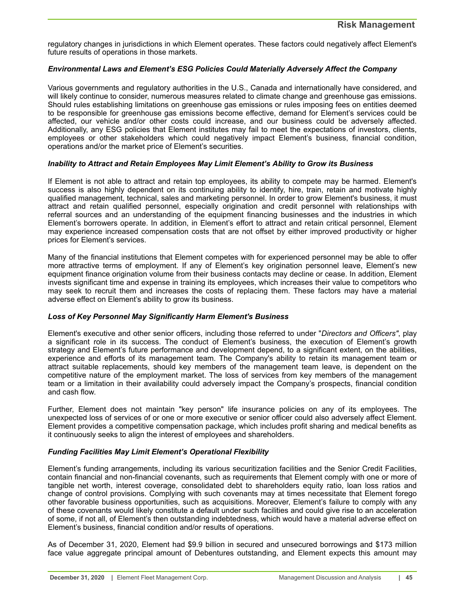regulatory changes in jurisdictions in which Element operates. These factors could negatively affect Element's future results of operations in those markets.

# *Environmental Laws and Element's ESG Policies Could Materially Adversely Affect the Company*

Various governments and regulatory authorities in the U.S., Canada and internationally have considered, and will likely continue to consider, numerous measures related to climate change and greenhouse gas emissions. Should rules establishing limitations on greenhouse gas emissions or rules imposing fees on entities deemed to be responsible for greenhouse gas emissions become effective, demand for Element's services could be affected, our vehicle and/or other costs could increase, and our business could be adversely affected. Additionally, any ESG policies that Element institutes may fail to meet the expectations of investors, clients, employees or other stakeholders which could negatively impact Element's business, financial condition, operations and/or the market price of Element's securities.

# *Inability to Attract and Retain Employees May Limit Element's Ability to Grow its Business*

If Element is not able to attract and retain top employees, its ability to compete may be harmed. Element's success is also highly dependent on its continuing ability to identify, hire, train, retain and motivate highly qualified management, technical, sales and marketing personnel. In order to grow Element's business, it must attract and retain qualified personnel, especially origination and credit personnel with relationships with referral sources and an understanding of the equipment financing businesses and the industries in which Element's borrowers operate. In addition, in Element's effort to attract and retain critical personnel, Element may experience increased compensation costs that are not offset by either improved productivity or higher prices for Element's services.

Many of the financial institutions that Element competes with for experienced personnel may be able to offer more attractive terms of employment. If any of Element's key origination personnel leave, Element's new equipment finance origination volume from their business contacts may decline or cease. In addition, Element invests significant time and expense in training its employees, which increases their value to competitors who may seek to recruit them and increases the costs of replacing them. These factors may have a material adverse effect on Element's ability to grow its business.

### *Loss of Key Personnel May Significantly Harm Element's Business*

Element's executive and other senior officers, including those referred to under "*Directors and Officers"*, play a significant role in its success. The conduct of Element's business, the execution of Element's growth strategy and Element's future performance and development depend, to a significant extent, on the abilities, experience and efforts of its management team. The Company's ability to retain its management team or attract suitable replacements, should key members of the management team leave, is dependent on the competitive nature of the employment market. The loss of services from key members of the management team or a limitation in their availability could adversely impact the Company's prospects, financial condition and cash flow.

Further, Element does not maintain "key person" life insurance policies on any of its employees. The unexpected loss of services of or one or more executive or senior officer could also adversely affect Element. Element provides a competitive compensation package, which includes profit sharing and medical benefits as it continuously seeks to align the interest of employees and shareholders.

# *Funding Facilities May Limit Element's Operational Flexibility*

Element's funding arrangements, including its various securitization facilities and the Senior Credit Facilities, contain financial and non-financial covenants, such as requirements that Element comply with one or more of tangible net worth, interest coverage, consolidated debt to shareholders equity ratio, loan loss ratios and change of control provisions. Complying with such covenants may at times necessitate that Element forego other favorable business opportunities, such as acquisitions. Moreover, Element's failure to comply with any of these covenants would likely constitute a default under such facilities and could give rise to an acceleration of some, if not all, of Element's then outstanding indebtedness, which would have a material adverse effect on Element's business, financial condition and/or results of operations.

As of December 31, 2020, Element had \$9.9 billion in secured and unsecured borrowings and \$173 million face value aggregate principal amount of Debentures outstanding, and Element expects this amount may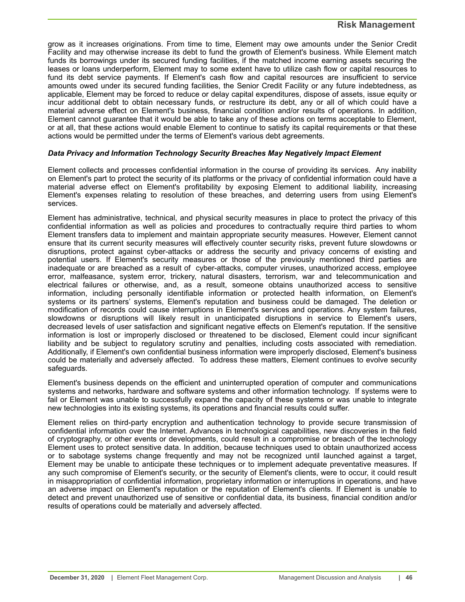grow as it increases originations. From time to time, Element may owe amounts under the Senior Credit Facility and may otherwise increase its debt to fund the growth of Element's business. While Element match funds its borrowings under its secured funding facilities, if the matched income earning assets securing the leases or loans underperform, Element may to some extent have to utilize cash flow or capital resources to fund its debt service payments. If Element's cash flow and capital resources are insufficient to service amounts owed under its secured funding facilities, the Senior Credit Facility or any future indebtedness, as applicable, Element may be forced to reduce or delay capital expenditures, dispose of assets, issue equity or incur additional debt to obtain necessary funds, or restructure its debt, any or all of which could have a material adverse effect on Element's business, financial condition and/or results of operations. In addition, Element cannot guarantee that it would be able to take any of these actions on terms acceptable to Element, or at all, that these actions would enable Element to continue to satisfy its capital requirements or that these actions would be permitted under the terms of Element's various debt agreements.

### *Data Privacy and Information Technology Security Breaches May Negatively Impact Element*

Element collects and processes confidential information in the course of providing its services. Any inability on Element's part to protect the security of its platforms or the privacy of confidential information could have a material adverse effect on Element's profitability by exposing Element to additional liability, increasing Element's expenses relating to resolution of these breaches, and deterring users from using Element's services.

Element has administrative, technical, and physical security measures in place to protect the privacy of this confidential information as well as policies and procedures to contractually require third parties to whom Element transfers data to implement and maintain appropriate security measures. However, Element cannot ensure that its current security measures will effectively counter security risks, prevent future slowdowns or disruptions, protect against cyber-attacks or address the security and privacy concerns of existing and potential users. If Element's security measures or those of the previously mentioned third parties are inadequate or are breached as a result of cyber-attacks, computer viruses, unauthorized access, employee error, malfeasance, system error, trickery, natural disasters, terrorism, war and telecommunication and electrical failures or otherwise, and, as a result, someone obtains unauthorized access to sensitive information, including personally identifiable information or protected health information, on Element's systems or its partners' systems, Element's reputation and business could be damaged. The deletion or modification of records could cause interruptions in Element's services and operations. Any system failures, slowdowns or disruptions will likely result in unanticipated disruptions in service to Element's users, decreased levels of user satisfaction and significant negative effects on Element's reputation. If the sensitive information is lost or improperly disclosed or threatened to be disclosed, Element could incur significant liability and be subject to regulatory scrutiny and penalties, including costs associated with remediation. Additionally, if Element's own confidential business information were improperly disclosed, Element's business could be materially and adversely affected. To address these matters, Element continues to evolve security safeguards.

Element's business depends on the efficient and uninterrupted operation of computer and communications systems and networks, hardware and software systems and other information technology. If systems were to fail or Element was unable to successfully expand the capacity of these systems or was unable to integrate new technologies into its existing systems, its operations and financial results could suffer.

Element relies on third-party encryption and authentication technology to provide secure transmission of confidential information over the Internet. Advances in technological capabilities, new discoveries in the field of cryptography, or other events or developments, could result in a compromise or breach of the technology Element uses to protect sensitive data. In addition, because techniques used to obtain unauthorized access or to sabotage systems change frequently and may not be recognized until launched against a target, Element may be unable to anticipate these techniques or to implement adequate preventative measures. If any such compromise of Element's security, or the security of Element's clients, were to occur, it could result in misappropriation of confidential information, proprietary information or interruptions in operations, and have an adverse impact on Element's reputation or the reputation of Element's clients. If Element is unable to detect and prevent unauthorized use of sensitive or confidential data, its business, financial condition and/or results of operations could be materially and adversely affected.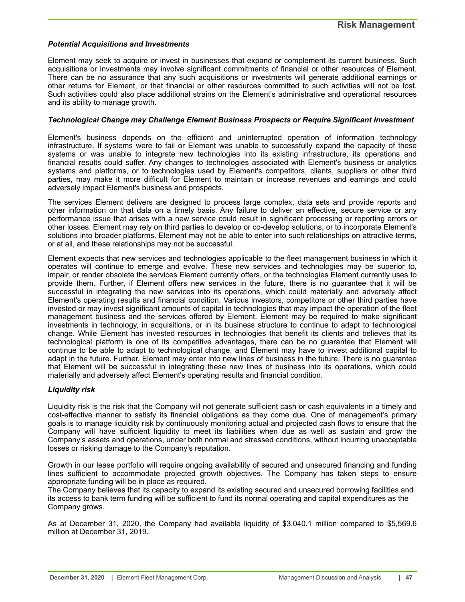### *Potential Acquisitions and Investments*

Element may seek to acquire or invest in businesses that expand or complement its current business. Such acquisitions or investments may involve significant commitments of financial or other resources of Element. There can be no assurance that any such acquisitions or investments will generate additional earnings or other returns for Element, or that financial or other resources committed to such activities will not be lost. Such activities could also place additional strains on the Element's administrative and operational resources and its ability to manage growth.

#### *Technological Change may Challenge Element Business Prospects or Require Significant Investment*

Element's business depends on the efficient and uninterrupted operation of information technology infrastructure. If systems were to fail or Element was unable to successfully expand the capacity of these systems or was unable to integrate new technologies into its existing infrastructure, its operations and financial results could suffer. Any changes to technologies associated with Element's business or analytics systems and platforms, or to technologies used by Element's competitors, clients, suppliers or other third parties, may make it more difficult for Element to maintain or increase revenues and earnings and could adversely impact Element's business and prospects.

The services Element delivers are designed to process large complex, data sets and provide reports and other information on that data on a timely basis. Any failure to deliver an effective, secure service or any performance issue that arises with a new service could result in significant processing or reporting errors or other losses. Element may rely on third parties to develop or co-develop solutions, or to incorporate Element's solutions into broader platforms. Element may not be able to enter into such relationships on attractive terms, or at all, and these relationships may not be successful.

Element expects that new services and technologies applicable to the fleet management business in which it operates will continue to emerge and evolve. These new services and technologies may be superior to, impair, or render obsolete the services Element currently offers, or the technologies Element currently uses to provide them. Further, if Element offers new services in the future, there is no guarantee that it will be successful in integrating the new services into its operations, which could materially and adversely affect Element's operating results and financial condition. Various investors, competitors or other third parties have invested or may invest significant amounts of capital in technologies that may impact the operation of the fleet management business and the services offered by Element. Element may be required to make significant investments in technology, in acquisitions, or in its business structure to continue to adapt to technological change. While Element has invested resources in technologies that benefit its clients and believes that its technological platform is one of its competitive advantages, there can be no guarantee that Element will continue to be able to adapt to technological change, and Element may have to invest additional capital to adapt in the future. Further, Element may enter into new lines of business in the future. There is no guarantee that Element will be successful in integrating these new lines of business into its operations, which could materially and adversely affect Element's operating results and financial condition.

#### *Liquidity risk*

Liquidity risk is the risk that the Company will not generate sufficient cash or cash equivalents in a timely and cost-effective manner to satisfy its financial obligations as they come due. One of management's primary goals is to manage liquidity risk by continuously monitoring actual and projected cash flows to ensure that the Company will have sufficient liquidity to meet its liabilities when due as well as sustain and grow the Company's assets and operations, under both normal and stressed conditions, without incurring unacceptable losses or risking damage to the Company's reputation.

Growth in our lease portfolio will require ongoing availability of secured and unsecured financing and funding lines sufficient to accommodate projected growth objectives. The Company has taken steps to ensure appropriate funding will be in place as required.

The Company believes that its capacity to expand its existing secured and unsecured borrowing facilities and its access to bank term funding will be sufficient to fund its normal operating and capital expenditures as the Company grows.

As at December 31, 2020, the Company had available liquidity of \$3,040.1 million compared to \$5,569.6 million at December 31, 2019.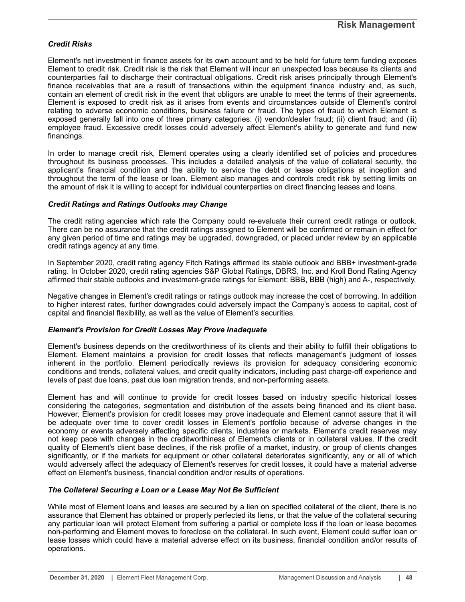# *Credit Risks*

Element's net investment in finance assets for its own account and to be held for future term funding exposes Element to credit risk. Credit risk is the risk that Element will incur an unexpected loss because its clients and counterparties fail to discharge their contractual obligations. Credit risk arises principally through Element's finance receivables that are a result of transactions within the equipment finance industry and, as such, contain an element of credit risk in the event that obligors are unable to meet the terms of their agreements. Element is exposed to credit risk as it arises from events and circumstances outside of Element's control relating to adverse economic conditions, business failure or fraud. The types of fraud to which Element is exposed generally fall into one of three primary categories: (i) vendor/dealer fraud; (ii) client fraud; and (iii) employee fraud. Excessive credit losses could adversely affect Element's ability to generate and fund new financings.

In order to manage credit risk, Element operates using a clearly identified set of policies and procedures throughout its business processes. This includes a detailed analysis of the value of collateral security, the applicant's financial condition and the ability to service the debt or lease obligations at inception and throughout the term of the lease or loan. Element also manages and controls credit risk by setting limits on the amount of risk it is willing to accept for individual counterparties on direct financing leases and loans.

#### *Credit Ratings and Ratings Outlooks may Change*

The credit rating agencies which rate the Company could re-evaluate their current credit ratings or outlook. There can be no assurance that the credit ratings assigned to Element will be confirmed or remain in effect for any given period of time and ratings may be upgraded, downgraded, or placed under review by an applicable credit ratings agency at any time.

In September 2020, credit rating agency Fitch Ratings affirmed its stable outlook and BBB+ investment-grade rating. In October 2020, credit rating agencies S&P Global Ratings, DBRS, Inc. and Kroll Bond Rating Agency affirmed their stable outlooks and investment-grade ratings for Element: BBB, BBB (high) and A-, respectively.

Negative changes in Element's credit ratings or ratings outlook may increase the cost of borrowing. In addition to higher interest rates, further downgrades could adversely impact the Company's access to capital, cost of capital and financial flexibility, as well as the value of Element's securities.

### *Element's Provision for Credit Losses May Prove Inadequate*

Element's business depends on the creditworthiness of its clients and their ability to fulfill their obligations to Element. Element maintains a provision for credit losses that reflects management's judgment of losses inherent in the portfolio. Element periodically reviews its provision for adequacy considering economic conditions and trends, collateral values, and credit quality indicators, including past charge-off experience and levels of past due loans, past due loan migration trends, and non-performing assets.

Element has and will continue to provide for credit losses based on industry specific historical losses considering the categories, segmentation and distribution of the assets being financed and its client base. However, Element's provision for credit losses may prove inadequate and Element cannot assure that it will be adequate over time to cover credit losses in Element's portfolio because of adverse changes in the economy or events adversely affecting specific clients, industries or markets. Element's credit reserves may not keep pace with changes in the creditworthiness of Element's clients or in collateral values. If the credit quality of Element's client base declines, if the risk profile of a market, industry, or group of clients changes significantly, or if the markets for equipment or other collateral deteriorates significantly, any or all of which would adversely affect the adequacy of Element's reserves for credit losses, it could have a material adverse effect on Element's business, financial condition and/or results of operations.

### *The Collateral Securing a Loan or a Lease May Not Be Sufficient*

While most of Element loans and leases are secured by a lien on specified collateral of the client, there is no assurance that Element has obtained or properly perfected its liens, or that the value of the collateral securing any particular loan will protect Element from suffering a partial or complete loss if the loan or lease becomes non-performing and Element moves to foreclose on the collateral. In such event, Element could suffer loan or lease losses which could have a material adverse effect on its business, financial condition and/or results of operations.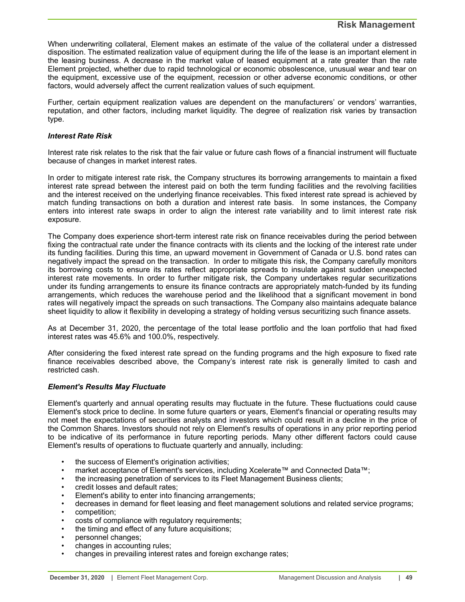# **Risk Management**

When underwriting collateral, Element makes an estimate of the value of the collateral under a distressed disposition. The estimated realization value of equipment during the life of the lease is an important element in the leasing business. A decrease in the market value of leased equipment at a rate greater than the rate Element projected, whether due to rapid technological or economic obsolescence, unusual wear and tear on the equipment, excessive use of the equipment, recession or other adverse economic conditions, or other factors, would adversely affect the current realization values of such equipment.

Further, certain equipment realization values are dependent on the manufacturers' or vendors' warranties, reputation, and other factors, including market liquidity. The degree of realization risk varies by transaction type.

#### *Interest Rate Risk*

Interest rate risk relates to the risk that the fair value or future cash flows of a financial instrument will fluctuate because of changes in market interest rates.

In order to mitigate interest rate risk, the Company structures its borrowing arrangements to maintain a fixed interest rate spread between the interest paid on both the term funding facilities and the revolving facilities and the interest received on the underlying finance receivables. This fixed interest rate spread is achieved by match funding transactions on both a duration and interest rate basis. In some instances, the Company enters into interest rate swaps in order to align the interest rate variability and to limit interest rate risk exposure.

The Company does experience short-term interest rate risk on finance receivables during the period between fixing the contractual rate under the finance contracts with its clients and the locking of the interest rate under its funding facilities. During this time, an upward movement in Government of Canada or U.S. bond rates can negatively impact the spread on the transaction. In order to mitigate this risk, the Company carefully monitors its borrowing costs to ensure its rates reflect appropriate spreads to insulate against sudden unexpected interest rate movements. In order to further mitigate risk, the Company undertakes regular securitizations under its funding arrangements to ensure its finance contracts are appropriately match-funded by its funding arrangements, which reduces the warehouse period and the likelihood that a significant movement in bond rates will negatively impact the spreads on such transactions. The Company also maintains adequate balance sheet liquidity to allow it flexibility in developing a strategy of holding versus securitizing such finance assets.

As at December 31, 2020, the percentage of the total lease portfolio and the loan portfolio that had fixed interest rates was 45.6% and 100.0%, respectively.

After considering the fixed interest rate spread on the funding programs and the high exposure to fixed rate finance receivables described above, the Company's interest rate risk is generally limited to cash and restricted cash.

### *Element's Results May Fluctuate*

Element's quarterly and annual operating results may fluctuate in the future. These fluctuations could cause Element's stock price to decline. In some future quarters or years, Element's financial or operating results may not meet the expectations of securities analysts and investors which could result in a decline in the price of the Common Shares. Investors should not rely on Element's results of operations in any prior reporting period to be indicative of its performance in future reporting periods. Many other different factors could cause Element's results of operations to fluctuate quarterly and annually, including:

- the success of Element's origination activities;
- market acceptance of Element's services, including Xcelerate™ and Connected Data™;
- the increasing penetration of services to its Fleet Management Business clients;
- credit losses and default rates;
- Element's ability to enter into financing arrangements;
- decreases in demand for fleet leasing and fleet management solutions and related service programs;
- competition;
- costs of compliance with regulatory requirements;
- the timing and effect of any future acquisitions;
- personnel changes;
- changes in accounting rules;
- changes in prevailing interest rates and foreign exchange rates;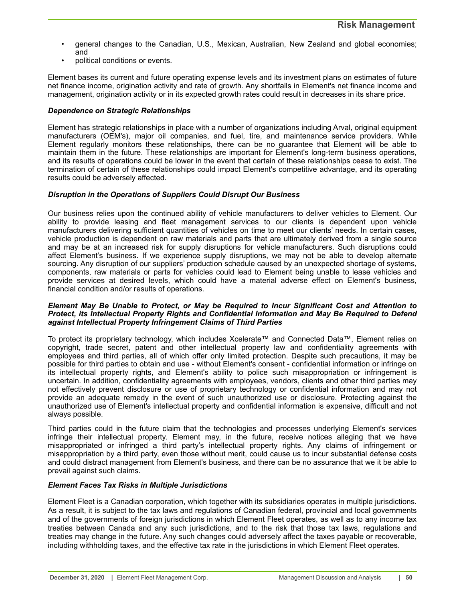- general changes to the Canadian, U.S., Mexican, Australian, New Zealand and global economies; and
- political conditions or events.

Element bases its current and future operating expense levels and its investment plans on estimates of future net finance income, origination activity and rate of growth. Any shortfalls in Element's net finance income and management, origination activity or in its expected growth rates could result in decreases in its share price.

### *Dependence on Strategic Relationships*

Element has strategic relationships in place with a number of organizations including Arval, original equipment manufacturers (OEM's), major oil companies, and fuel, tire, and maintenance service providers. While Element regularly monitors these relationships, there can be no guarantee that Element will be able to maintain them in the future. These relationships are important for Element's long-term business operations, and its results of operations could be lower in the event that certain of these relationships cease to exist. The termination of certain of these relationships could impact Element's competitive advantage, and its operating results could be adversely affected.

# *Disruption in the Operations of Suppliers Could Disrupt Our Business*

Our business relies upon the continued ability of vehicle manufacturers to deliver vehicles to Element. Our ability to provide leasing and fleet management services to our clients is dependent upon vehicle manufacturers delivering sufficient quantities of vehicles on time to meet our clients' needs. In certain cases, vehicle production is dependent on raw materials and parts that are ultimately derived from a single source and may be at an increased risk for supply disruptions for vehicle manufacturers. Such disruptions could affect Element's business. If we experience supply disruptions, we may not be able to develop alternate sourcing. Any disruption of our suppliers' production schedule caused by an unexpected shortage of systems, components, raw materials or parts for vehicles could lead to Element being unable to lease vehicles and provide services at desired levels, which could have a material adverse effect on Element's business, financial condition and/or results of operations.

#### *Element May Be Unable to Protect, or May be Required to Incur Significant Cost and Attention to Protect, its Intellectual Property Rights and Confidential Information and May Be Required to Defend against Intellectual Property Infringement Claims of Third Parties*

To protect its proprietary technology, which includes Xcelerate™ and Connected Data™, Element relies on copyright, trade secret, patent and other intellectual property law and confidentiality agreements with employees and third parties, all of which offer only limited protection. Despite such precautions, it may be possible for third parties to obtain and use - without Element's consent - confidential information or infringe on its intellectual property rights, and Element's ability to police such misappropriation or infringement is uncertain. In addition, confidentiality agreements with employees, vendors, clients and other third parties may not effectively prevent disclosure or use of proprietary technology or confidential information and may not provide an adequate remedy in the event of such unauthorized use or disclosure. Protecting against the unauthorized use of Element's intellectual property and confidential information is expensive, difficult and not always possible.

Third parties could in the future claim that the technologies and processes underlying Element's services infringe their intellectual property. Element may, in the future, receive notices alleging that we have misappropriated or infringed a third party's intellectual property rights. Any claims of infringement or misappropriation by a third party, even those without merit, could cause us to incur substantial defense costs and could distract management from Element's business, and there can be no assurance that we it be able to prevail against such claims.

### *Element Faces Tax Risks in Multiple Jurisdictions*

Element Fleet is a Canadian corporation, which together with its subsidiaries operates in multiple jurisdictions. As a result, it is subject to the tax laws and regulations of Canadian federal, provincial and local governments and of the governments of foreign jurisdictions in which Element Fleet operates, as well as to any income tax treaties between Canada and any such jurisdictions, and to the risk that those tax laws, regulations and treaties may change in the future. Any such changes could adversely affect the taxes payable or recoverable, including withholding taxes, and the effective tax rate in the jurisdictions in which Element Fleet operates.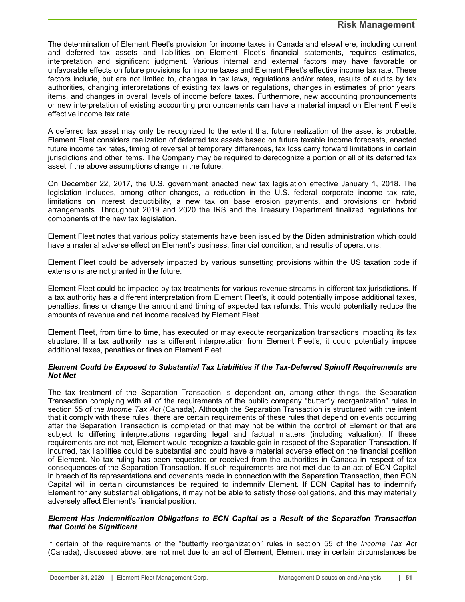# **Risk Management**

The determination of Element Fleet's provision for income taxes in Canada and elsewhere, including current and deferred tax assets and liabilities on Element Fleet's financial statements, requires estimates, interpretation and significant judgment. Various internal and external factors may have favorable or unfavorable effects on future provisions for income taxes and Element Fleet's effective income tax rate. These factors include, but are not limited to, changes in tax laws, regulations and/or rates, results of audits by tax authorities, changing interpretations of existing tax laws or regulations, changes in estimates of prior years' items, and changes in overall levels of income before taxes. Furthermore, new accounting pronouncements or new interpretation of existing accounting pronouncements can have a material impact on Element Fleet's effective income tax rate.

A deferred tax asset may only be recognized to the extent that future realization of the asset is probable. Element Fleet considers realization of deferred tax assets based on future taxable income forecasts, enacted future income tax rates, timing of reversal of temporary differences, tax loss carry forward limitations in certain jurisdictions and other items. The Company may be required to derecognize a portion or all of its deferred tax asset if the above assumptions change in the future.

On December 22, 2017, the U.S. government enacted new tax legislation effective January 1, 2018. The legislation includes, among other changes, a reduction in the U.S. federal corporate income tax rate, limitations on interest deductibility, a new tax on base erosion payments, and provisions on hybrid arrangements. Throughout 2019 and 2020 the IRS and the Treasury Department finalized regulations for components of the new tax legislation.

Element Fleet notes that various policy statements have been issued by the Biden administration which could have a material adverse effect on Element's business, financial condition, and results of operations.

Element Fleet could be adversely impacted by various sunsetting provisions within the US taxation code if extensions are not granted in the future.

Element Fleet could be impacted by tax treatments for various revenue streams in different tax jurisdictions. If a tax authority has a different interpretation from Element Fleet's, it could potentially impose additional taxes, penalties, fines or change the amount and timing of expected tax refunds. This would potentially reduce the amounts of revenue and net income received by Element Fleet.

Element Fleet, from time to time, has executed or may execute reorganization transactions impacting its tax structure. If a tax authority has a different interpretation from Element Fleet's, it could potentially impose additional taxes, penalties or fines on Element Fleet.

### *Element Could be Exposed to Substantial Tax Liabilities if the Tax-Deferred Spinoff Requirements are Not Met*

The tax treatment of the Separation Transaction is dependent on, among other things, the Separation Transaction complying with all of the requirements of the public company "butterfly reorganization" rules in section 55 of the *Income Tax Act* (Canada). Although the Separation Transaction is structured with the intent that it comply with these rules, there are certain requirements of these rules that depend on events occurring after the Separation Transaction is completed or that may not be within the control of Element or that are subject to differing interpretations regarding legal and factual matters (including valuation). If these requirements are not met, Element would recognize a taxable gain in respect of the Separation Transaction. If incurred, tax liabilities could be substantial and could have a material adverse effect on the financial position of Element. No tax ruling has been requested or received from the authorities in Canada in respect of tax consequences of the Separation Transaction. If such requirements are not met due to an act of ECN Capital in breach of its representations and covenants made in connection with the Separation Transaction, then ECN Capital will in certain circumstances be required to indemnify Element. If ECN Capital has to indemnify Element for any substantial obligations, it may not be able to satisfy those obligations, and this may materially adversely affect Element's financial position.

# *Element Has Indemnification Obligations to ECN Capital as a Result of the Separation Transaction that Could be Significant*

If certain of the requirements of the "butterfly reorganization" rules in section 55 of the *Income Tax Act* (Canada), discussed above, are not met due to an act of Element, Element may in certain circumstances be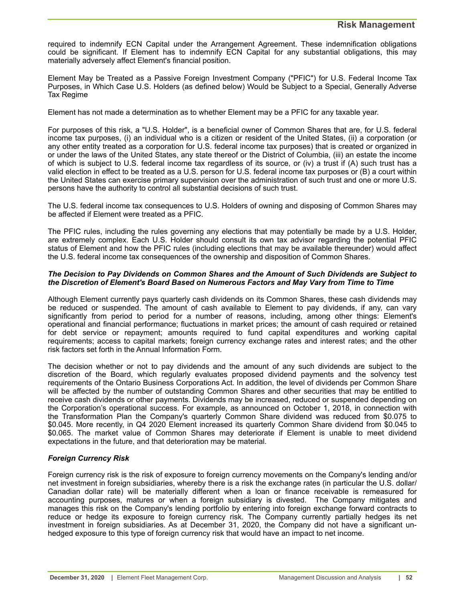required to indemnify ECN Capital under the Arrangement Agreement. These indemnification obligations could be significant. If Element has to indemnify ECN Capital for any substantial obligations, this may materially adversely affect Element's financial position.

Element May be Treated as a Passive Foreign Investment Company ("PFIC") for U.S. Federal Income Tax Purposes, in Which Case U.S. Holders (as defined below) Would be Subject to a Special, Generally Adverse Tax Regime

Element has not made a determination as to whether Element may be a PFIC for any taxable year.

For purposes of this risk, a "U.S. Holder", is a beneficial owner of Common Shares that are, for U.S. federal income tax purposes, (i) an individual who is a citizen or resident of the United States, (ii) a corporation (or any other entity treated as a corporation for U.S. federal income tax purposes) that is created or organized in or under the laws of the United States, any state thereof or the District of Columbia, (iii) an estate the income of which is subject to U.S. federal income tax regardless of its source, or (iv) a trust if (A) such trust has a valid election in effect to be treated as a U.S. person for U.S. federal income tax purposes or (B) a court within the United States can exercise primary supervision over the administration of such trust and one or more U.S. persons have the authority to control all substantial decisions of such trust.

The U.S. federal income tax consequences to U.S. Holders of owning and disposing of Common Shares may be affected if Element were treated as a PFIC.

The PFIC rules, including the rules governing any elections that may potentially be made by a U.S. Holder, are extremely complex. Each U.S. Holder should consult its own tax advisor regarding the potential PFIC status of Element and how the PFIC rules (including elections that may be available thereunder) would affect the U.S. federal income tax consequences of the ownership and disposition of Common Shares.

#### *The Decision to Pay Dividends on Common Shares and the Amount of Such Dividends are Subject to the Discretion of Element's Board Based on Numerous Factors and May Vary from Time to Time*

Although Element currently pays quarterly cash dividends on its Common Shares, these cash dividends may be reduced or suspended. The amount of cash available to Element to pay dividends, if any, can vary significantly from period to period for a number of reasons, including, among other things: Element's operational and financial performance; fluctuations in market prices; the amount of cash required or retained for debt service or repayment; amounts required to fund capital expenditures and working capital requirements; access to capital markets; foreign currency exchange rates and interest rates; and the other risk factors set forth in the Annual Information Form.

The decision whether or not to pay dividends and the amount of any such dividends are subject to the discretion of the Board, which regularly evaluates proposed dividend payments and the solvency test requirements of the Ontario Business Corporations Act. In addition, the level of dividends per Common Share will be affected by the number of outstanding Common Shares and other securities that may be entitled to receive cash dividends or other payments. Dividends may be increased, reduced or suspended depending on the Corporation's operational success. For example, as announced on October 1, 2018, in connection with the Transformation Plan the Company's quarterly Common Share dividend was reduced from \$0.075 to \$0.045. More recently, in Q4 2020 Element increased its quarterly Common Share dividend from \$0.045 to \$0.065. The market value of Common Shares may deteriorate if Element is unable to meet dividend expectations in the future, and that deterioration may be material.

# *Foreign Currency Risk*

Foreign currency risk is the risk of exposure to foreign currency movements on the Company's lending and/or net investment in foreign subsidiaries, whereby there is a risk the exchange rates (in particular the U.S. dollar/ Canadian dollar rate) will be materially different when a loan or finance receivable is remeasured for accounting purposes, matures or when a foreign subsidiary is divested. The Company mitigates and manages this risk on the Company's lending portfolio by entering into foreign exchange forward contracts to reduce or hedge its exposure to foreign currency risk. The Company currently partially hedges its net investment in foreign subsidiaries. As at December 31, 2020, the Company did not have a significant unhedged exposure to this type of foreign currency risk that would have an impact to net income.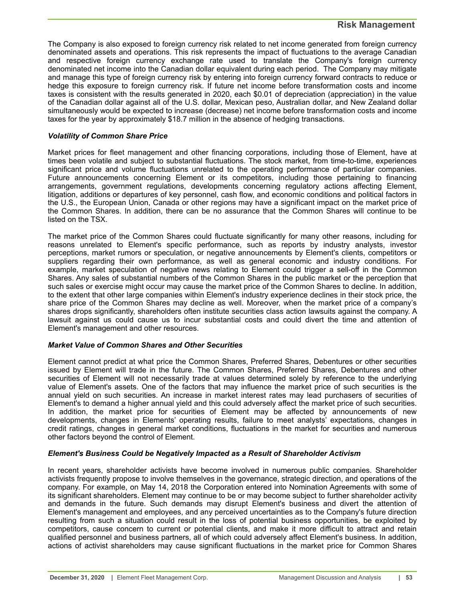# **Risk Management**

The Company is also exposed to foreign currency risk related to net income generated from foreign currency denominated assets and operations. This risk represents the impact of fluctuations to the average Canadian and respective foreign currency exchange rate used to translate the Company's foreign currency denominated net income into the Canadian dollar equivalent during each period. The Company may mitigate and manage this type of foreign currency risk by entering into foreign currency forward contracts to reduce or hedge this exposure to foreign currency risk. If future net income before transformation costs and income taxes is consistent with the results generated in 2020, each \$0.01 of depreciation (appreciation) in the value of the Canadian dollar against all of the U.S. dollar, Mexican peso, Australian dollar, and New Zealand dollar simultaneously would be expected to increase (decrease) net income before transformation costs and income taxes for the year by approximately \$18.7 million in the absence of hedging transactions.

### *Volatility of Common Share Price*

Market prices for fleet management and other financing corporations, including those of Element, have at times been volatile and subject to substantial fluctuations. The stock market, from time-to-time, experiences significant price and volume fluctuations unrelated to the operating performance of particular companies. Future announcements concerning Element or its competitors, including those pertaining to financing arrangements, government regulations, developments concerning regulatory actions affecting Element, litigation, additions or departures of key personnel, cash flow, and economic conditions and political factors in the U.S., the European Union, Canada or other regions may have a significant impact on the market price of the Common Shares. In addition, there can be no assurance that the Common Shares will continue to be listed on the TSX.

The market price of the Common Shares could fluctuate significantly for many other reasons, including for reasons unrelated to Element's specific performance, such as reports by industry analysts, investor perceptions, market rumors or speculation, or negative announcements by Element's clients, competitors or suppliers regarding their own performance, as well as general economic and industry conditions. For example, market speculation of negative news relating to Element could trigger a sell-off in the Common Shares. Any sales of substantial numbers of the Common Shares in the public market or the perception that such sales or exercise might occur may cause the market price of the Common Shares to decline. In addition, to the extent that other large companies within Element's industry experience declines in their stock price, the share price of the Common Shares may decline as well. Moreover, when the market price of a company's shares drops significantly, shareholders often institute securities class action lawsuits against the company. A lawsuit against us could cause us to incur substantial costs and could divert the time and attention of Element's management and other resources.

### *Market Value of Common Shares and Other Securities*

Element cannot predict at what price the Common Shares, Preferred Shares, Debentures or other securities issued by Element will trade in the future. The Common Shares, Preferred Shares, Debentures and other securities of Element will not necessarily trade at values determined solely by reference to the underlying value of Element's assets. One of the factors that may influence the market price of such securities is the annual yield on such securities. An increase in market interest rates may lead purchasers of securities of Element's to demand a higher annual yield and this could adversely affect the market price of such securities. In addition, the market price for securities of Element may be affected by announcements of new developments, changes in Elements' operating results, failure to meet analysts' expectations, changes in credit ratings, changes in general market conditions, fluctuations in the market for securities and numerous other factors beyond the control of Element.

### *Element's Business Could be Negatively Impacted as a Result of Shareholder Activism*

In recent years, shareholder activists have become involved in numerous public companies. Shareholder activists frequently propose to involve themselves in the governance, strategic direction, and operations of the company. For example, on May 14, 2018 the Corporation entered into Nomination Agreements with some of its significant shareholders. Element may continue to be or may become subject to further shareholder activity and demands in the future. Such demands may disrupt Element's business and divert the attention of Element's management and employees, and any perceived uncertainties as to the Company's future direction resulting from such a situation could result in the loss of potential business opportunities, be exploited by competitors, cause concern to current or potential clients, and make it more difficult to attract and retain qualified personnel and business partners, all of which could adversely affect Element's business. In addition, actions of activist shareholders may cause significant fluctuations in the market price for Common Shares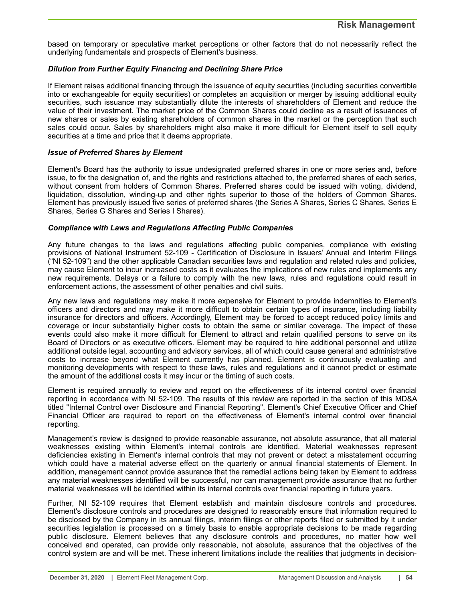based on temporary or speculative market perceptions or other factors that do not necessarily reflect the underlying fundamentals and prospects of Element's business.

### *Dilution from Further Equity Financing and Declining Share Price*

If Element raises additional financing through the issuance of equity securities (including securities convertible into or exchangeable for equity securities) or completes an acquisition or merger by issuing additional equity securities, such issuance may substantially dilute the interests of shareholders of Element and reduce the value of their investment. The market price of the Common Shares could decline as a result of issuances of new shares or sales by existing shareholders of common shares in the market or the perception that such sales could occur. Sales by shareholders might also make it more difficult for Element itself to sell equity securities at a time and price that it deems appropriate.

### *Issue of Preferred Shares by Element*

Element's Board has the authority to issue undesignated preferred shares in one or more series and, before issue, to fix the designation of, and the rights and restrictions attached to, the preferred shares of each series, without consent from holders of Common Shares. Preferred shares could be issued with voting, dividend, liquidation, dissolution, winding-up and other rights superior to those of the holders of Common Shares. Element has previously issued five series of preferred shares (the Series A Shares, Series C Shares, Series E Shares, Series G Shares and Series I Shares).

#### *Compliance with Laws and Regulations Affecting Public Companies*

Any future changes to the laws and regulations affecting public companies, compliance with existing provisions of National Instrument 52-109 - Certification of Disclosure in Issuers' Annual and Interim Filings ("NI 52-109") and the other applicable Canadian securities laws and regulation and related rules and policies, may cause Element to incur increased costs as it evaluates the implications of new rules and implements any new requirements. Delays or a failure to comply with the new laws, rules and regulations could result in enforcement actions, the assessment of other penalties and civil suits.

Any new laws and regulations may make it more expensive for Element to provide indemnities to Element's officers and directors and may make it more difficult to obtain certain types of insurance, including liability insurance for directors and officers. Accordingly, Element may be forced to accept reduced policy limits and coverage or incur substantially higher costs to obtain the same or similar coverage. The impact of these events could also make it more difficult for Element to attract and retain qualified persons to serve on its Board of Directors or as executive officers. Element may be required to hire additional personnel and utilize additional outside legal, accounting and advisory services, all of which could cause general and administrative costs to increase beyond what Element currently has planned. Element is continuously evaluating and monitoring developments with respect to these laws, rules and regulations and it cannot predict or estimate the amount of the additional costs it may incur or the timing of such costs.

Element is required annually to review and report on the effectiveness of its internal control over financial reporting in accordance with NI 52-109. The results of this review are reported in the section of this MD&A titled "Internal Control over Disclosure and Financial Reporting". Element's Chief Executive Officer and Chief Financial Officer are required to report on the effectiveness of Element's internal control over financial reporting.

Management's review is designed to provide reasonable assurance, not absolute assurance, that all material weaknesses existing within Element's internal controls are identified. Material weaknesses represent deficiencies existing in Element's internal controls that may not prevent or detect a misstatement occurring which could have a material adverse effect on the quarterly or annual financial statements of Element. In addition, management cannot provide assurance that the remedial actions being taken by Element to address any material weaknesses identified will be successful, nor can management provide assurance that no further material weaknesses will be identified within its internal controls over financial reporting in future years.

Further, NI 52-109 requires that Element establish and maintain disclosure controls and procedures. Element's disclosure controls and procedures are designed to reasonably ensure that information required to be disclosed by the Company in its annual filings, interim filings or other reports filed or submitted by it under securities legislation is processed on a timely basis to enable appropriate decisions to be made regarding public disclosure. Element believes that any disclosure controls and procedures, no matter how well conceived and operated, can provide only reasonable, not absolute, assurance that the objectives of the control system are and will be met. These inherent limitations include the realities that judgments in decision-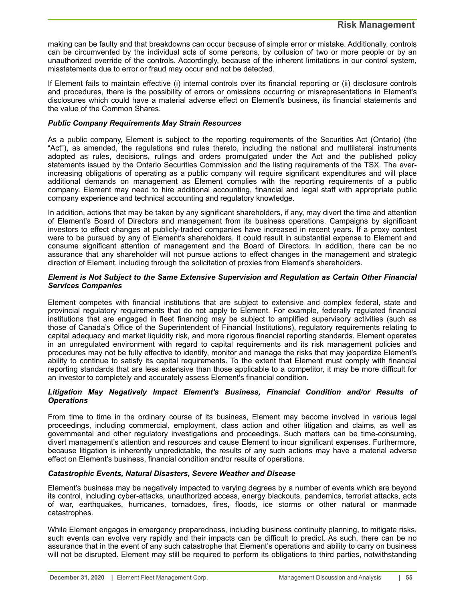making can be faulty and that breakdowns can occur because of simple error or mistake. Additionally, controls can be circumvented by the individual acts of some persons, by collusion of two or more people or by an unauthorized override of the controls. Accordingly, because of the inherent limitations in our control system, misstatements due to error or fraud may occur and not be detected.

If Element fails to maintain effective (i) internal controls over its financial reporting or (ii) disclosure controls and procedures, there is the possibility of errors or omissions occurring or misrepresentations in Element's disclosures which could have a material adverse effect on Element's business, its financial statements and the value of the Common Shares.

### *Public Company Requirements May Strain Resources*

As a public company, Element is subject to the reporting requirements of the Securities Act (Ontario) (the "Act"), as amended, the regulations and rules thereto, including the national and multilateral instruments adopted as rules, decisions, rulings and orders promulgated under the Act and the published policy statements issued by the Ontario Securities Commission and the listing requirements of the TSX. The everincreasing obligations of operating as a public company will require significant expenditures and will place additional demands on management as Element complies with the reporting requirements of a public company. Element may need to hire additional accounting, financial and legal staff with appropriate public company experience and technical accounting and regulatory knowledge.

In addition, actions that may be taken by any significant shareholders, if any, may divert the time and attention of Element's Board of Directors and management from its business operations. Campaigns by significant investors to effect changes at publicly-traded companies have increased in recent years. If a proxy contest were to be pursued by any of Element's shareholders, it could result in substantial expense to Element and consume significant attention of management and the Board of Directors. In addition, there can be no assurance that any shareholder will not pursue actions to effect changes in the management and strategic direction of Element, including through the solicitation of proxies from Element's shareholders.

#### *Element is Not Subject to the Same Extensive Supervision and Regulation as Certain Other Financial Services Companies*

Element competes with financial institutions that are subject to extensive and complex federal, state and provincial regulatory requirements that do not apply to Element. For example, federally regulated financial institutions that are engaged in fleet financing may be subject to amplified supervisory activities (such as those of Canada's Office of the Superintendent of Financial Institutions), regulatory requirements relating to capital adequacy and market liquidity risk, and more rigorous financial reporting standards. Element operates in an unregulated environment with regard to capital requirements and its risk management policies and procedures may not be fully effective to identify, monitor and manage the risks that may jeopardize Element's ability to continue to satisfy its capital requirements. To the extent that Element must comply with financial reporting standards that are less extensive than those applicable to a competitor, it may be more difficult for an investor to completely and accurately assess Element's financial condition.

### *Litigation May Negatively Impact Element's Business, Financial Condition and/or Results of Operations*

From time to time in the ordinary course of its business, Element may become involved in various legal proceedings, including commercial, employment, class action and other litigation and claims, as well as governmental and other regulatory investigations and proceedings. Such matters can be time-consuming, divert management's attention and resources and cause Element to incur significant expenses. Furthermore, because litigation is inherently unpredictable, the results of any such actions may have a material adverse effect on Element's business, financial condition and/or results of operations.

### *Catastrophic Events, Natural Disasters, Severe Weather and Disease*

Element's business may be negatively impacted to varying degrees by a number of events which are beyond its control, including cyber-attacks, unauthorized access, energy blackouts, pandemics, terrorist attacks, acts of war, earthquakes, hurricanes, tornadoes, fires, floods, ice storms or other natural or manmade catastrophes.

While Element engages in emergency preparedness, including business continuity planning, to mitigate risks, such events can evolve very rapidly and their impacts can be difficult to predict. As such, there can be no assurance that in the event of any such catastrophe that Element's operations and ability to carry on business will not be disrupted. Element may still be required to perform its obligations to third parties, notwithstanding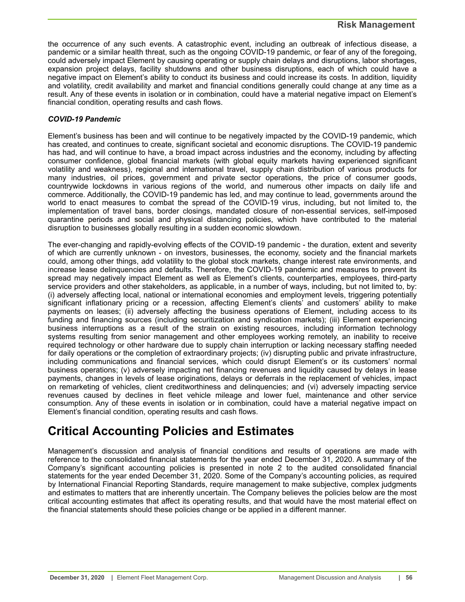# **Risk Management**

<span id="page-55-0"></span>the occurrence of any such events. A catastrophic event, including an outbreak of infectious disease, a pandemic or a similar health threat, such as the ongoing COVID-19 pandemic, or fear of any of the foregoing, could adversely impact Element by causing operating or supply chain delays and disruptions, labor shortages, expansion project delays, facility shutdowns and other business disruptions, each of which could have a negative impact on Element's ability to conduct its business and could increase its costs. In addition, liquidity and volatility, credit availability and market and financial conditions generally could change at any time as a result. Any of these events in isolation or in combination, could have a material negative impact on Element's financial condition, operating results and cash flows.

# *COVID-19 Pandemic*

Element's business has been and will continue to be negatively impacted by the COVID-19 pandemic, which has created, and continues to create, significant societal and economic disruptions. The COVID-19 pandemic has had, and will continue to have, a broad impact across industries and the economy, including by affecting consumer confidence, global financial markets (with global equity markets having experienced significant volatility and weakness), regional and international travel, supply chain distribution of various products for many industries, oil prices, government and private sector operations, the price of consumer goods, countrywide lockdowns in various regions of the world, and numerous other impacts on daily life and commerce. Additionally, the COVID-19 pandemic has led, and may continue to lead, governments around the world to enact measures to combat the spread of the COVID-19 virus, including, but not limited to, the implementation of travel bans, border closings, mandated closure of non-essential services, self-imposed quarantine periods and social and physical distancing policies, which have contributed to the material disruption to businesses globally resulting in a sudden economic slowdown.

The ever-changing and rapidly-evolving effects of the COVID-19 pandemic - the duration, extent and severity of which are currently unknown - on investors, businesses, the economy, society and the financial markets could, among other things, add volatility to the global stock markets, change interest rate environments, and increase lease delinquencies and defaults. Therefore, the COVID-19 pandemic and measures to prevent its spread may negatively impact Element as well as Element's clients, counterparties, employees, third-party service providers and other stakeholders, as applicable, in a number of ways, including, but not limited to, by: (i) adversely affecting local, national or international economies and employment levels, triggering potentially significant inflationary pricing or a recession, affecting Element's clients' and customers' ability to make payments on leases; (ii) adversely affecting the business operations of Element, including access to its funding and financing sources (including securitization and syndication markets); (iii) Element experiencing business interruptions as a result of the strain on existing resources, including information technology systems resulting from senior management and other employees working remotely, an inability to receive required technology or other hardware due to supply chain interruption or lacking necessary staffing needed for daily operations or the completion of extraordinary projects; (iv) disrupting public and private infrastructure, including communications and financial services, which could disrupt Element's or its customers' normal business operations; (v) adversely impacting net financing revenues and liquidity caused by delays in lease payments, changes in levels of lease originations, delays or deferrals in the replacement of vehicles, impact on remarketing of vehicles, client creditworthiness and delinquencies; and (vi) adversely impacting service revenues caused by declines in fleet vehicle mileage and lower fuel, maintenance and other service consumption. Any of these events in isolation or in combination, could have a material negative impact on Element's financial condition, operating results and cash flows.

# **Critical Accounting Policies and Estimates**

Management's discussion and analysis of financial conditions and results of operations are made with reference to the consolidated financial statements for the year ended December 31, 2020. A summary of the Company's significant accounting policies is presented in note 2 to the audited consolidated financial statements for the year ended December 31, 2020. Some of the Company's accounting policies, as required by International Financial Reporting Standards, require management to make subjective, complex judgments and estimates to matters that are inherently uncertain. The Company believes the policies below are the most critical accounting estimates that affect its operating results, and that would have the most material effect on the financial statements should these policies change or be applied in a different manner.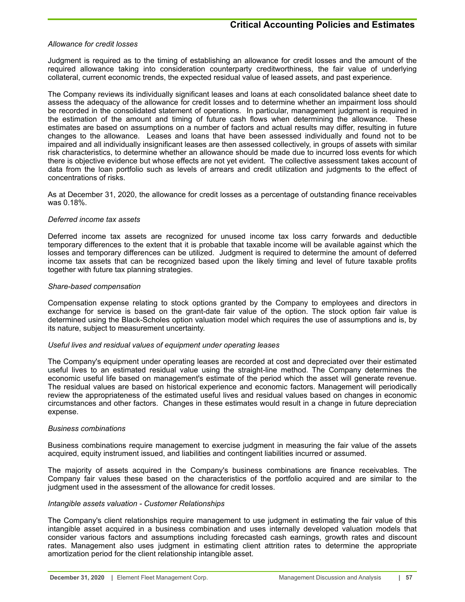### *Allowance for credit losses*

Judgment is required as to the timing of establishing an allowance for credit losses and the amount of the required allowance taking into consideration counterparty creditworthiness, the fair value of underlying collateral, current economic trends, the expected residual value of leased assets, and past experience.

The Company reviews its individually significant leases and loans at each consolidated balance sheet date to assess the adequacy of the allowance for credit losses and to determine whether an impairment loss should be recorded in the consolidated statement of operations. In particular, management judgment is required in the estimation of the amount and timing of future cash flows when determining the allowance. These estimates are based on assumptions on a number of factors and actual results may differ, resulting in future changes to the allowance. Leases and loans that have been assessed individually and found not to be impaired and all individually insignificant leases are then assessed collectively, in groups of assets with similar risk characteristics, to determine whether an allowance should be made due to incurred loss events for which there is objective evidence but whose effects are not yet evident. The collective assessment takes account of data from the loan portfolio such as levels of arrears and credit utilization and judgments to the effect of concentrations of risks.

As at December 31, 2020, the allowance for credit losses as a percentage of outstanding finance receivables was 0.18%.

### *Deferred income tax assets*

Deferred income tax assets are recognized for unused income tax loss carry forwards and deductible temporary differences to the extent that it is probable that taxable income will be available against which the losses and temporary differences can be utilized. Judgment is required to determine the amount of deferred income tax assets that can be recognized based upon the likely timing and level of future taxable profits together with future tax planning strategies.

### *Share-based compensation*

Compensation expense relating to stock options granted by the Company to employees and directors in exchange for service is based on the grant-date fair value of the option. The stock option fair value is determined using the Black-Scholes option valuation model which requires the use of assumptions and is, by its nature, subject to measurement uncertainty.

### *Useful lives and residual values of equipment under operating leases*

The Company's equipment under operating leases are recorded at cost and depreciated over their estimated useful lives to an estimated residual value using the straight-line method. The Company determines the economic useful life based on management's estimate of the period which the asset will generate revenue. The residual values are based on historical experience and economic factors. Management will periodically review the appropriateness of the estimated useful lives and residual values based on changes in economic circumstances and other factors. Changes in these estimates would result in a change in future depreciation expense.

### *Business combinations*

Business combinations require management to exercise judgment in measuring the fair value of the assets acquired, equity instrument issued, and liabilities and contingent liabilities incurred or assumed.

The majority of assets acquired in the Company's business combinations are finance receivables. The Company fair values these based on the characteristics of the portfolio acquired and are similar to the judgment used in the assessment of the allowance for credit losses.

### *Intangible assets valuation - Customer Relationships*

The Company's client relationships require management to use judgment in estimating the fair value of this intangible asset acquired in a business combination and uses internally developed valuation models that consider various factors and assumptions including forecasted cash earnings, growth rates and discount rates. Management also uses judgment in estimating client attrition rates to determine the appropriate amortization period for the client relationship intangible asset.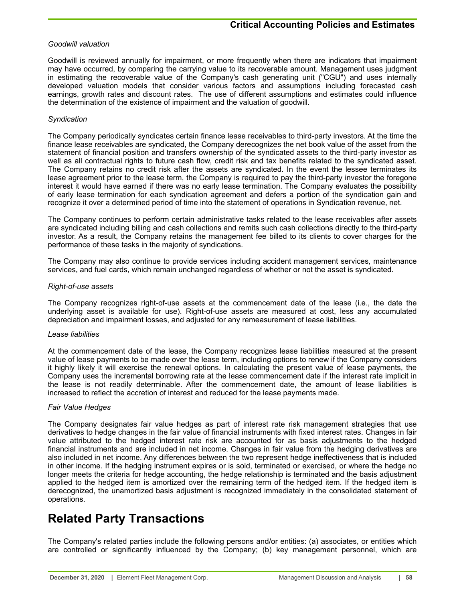### <span id="page-57-0"></span>*Goodwill valuation*

Goodwill is reviewed annually for impairment, or more frequently when there are indicators that impairment may have occurred, by comparing the carrying value to its recoverable amount. Management uses judgment in estimating the recoverable value of the Company's cash generating unit ("CGU") and uses internally developed valuation models that consider various factors and assumptions including forecasted cash earnings, growth rates and discount rates. The use of different assumptions and estimates could influence the determination of the existence of impairment and the valuation of goodwill.

### *Syndication*

The Company periodically syndicates certain finance lease receivables to third-party investors. At the time the finance lease receivables are syndicated, the Company derecognizes the net book value of the asset from the statement of financial position and transfers ownership of the syndicated assets to the third-party investor as well as all contractual rights to future cash flow, credit risk and tax benefits related to the syndicated asset. The Company retains no credit risk after the assets are syndicated. In the event the lessee terminates its lease agreement prior to the lease term, the Company is required to pay the third-party investor the foregone interest it would have earned if there was no early lease termination. The Company evaluates the possibility of early lease termination for each syndication agreement and defers a portion of the syndication gain and recognize it over a determined period of time into the statement of operations in Syndication revenue, net.

The Company continues to perform certain administrative tasks related to the lease receivables after assets are syndicated including billing and cash collections and remits such cash collections directly to the third-party investor. As a result, the Company retains the management fee billed to its clients to cover charges for the performance of these tasks in the majority of syndications.

The Company may also continue to provide services including accident management services, maintenance services, and fuel cards, which remain unchanged regardless of whether or not the asset is syndicated.

### *Right-of-use assets*

The Company recognizes right-of-use assets at the commencement date of the lease (i.e., the date the underlying asset is available for use). Right-of-use assets are measured at cost, less any accumulated depreciation and impairment losses, and adjusted for any remeasurement of lease liabilities.

### *Lease liabilities*

At the commencement date of the lease, the Company recognizes lease liabilities measured at the present value of lease payments to be made over the lease term, including options to renew if the Company considers it highly likely it will exercise the renewal options. In calculating the present value of lease payments, the Company uses the incremental borrowing rate at the lease commencement date if the interest rate implicit in the lease is not readily determinable. After the commencement date, the amount of lease liabilities is increased to reflect the accretion of interest and reduced for the lease payments made.

### *Fair Value Hedges*

The Company designates fair value hedges as part of interest rate risk management strategies that use derivatives to hedge changes in the fair value of financial instruments with fixed interest rates. Changes in fair value attributed to the hedged interest rate risk are accounted for as basis adjustments to the hedged financial instruments and are included in net income. Changes in fair value from the hedging derivatives are also included in net income. Any differences between the two represent hedge ineffectiveness that is included in other income. If the hedging instrument expires or is sold, terminated or exercised, or where the hedge no longer meets the criteria for hedge accounting, the hedge relationship is terminated and the basis adjustment applied to the hedged item is amortized over the remaining term of the hedged item. If the hedged item is derecognized, the unamortized basis adjustment is recognized immediately in the consolidated statement of operations.

# **Related Party Transactions**

The Company's related parties include the following persons and/or entities: (a) associates, or entities which are controlled or significantly influenced by the Company; (b) key management personnel, which are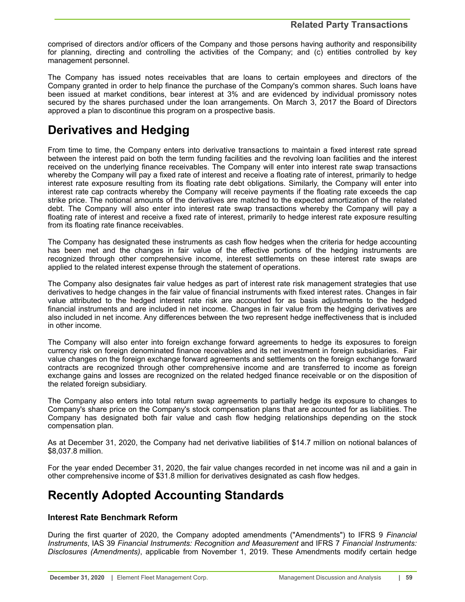<span id="page-58-0"></span>comprised of directors and/or officers of the Company and those persons having authority and responsibility for planning, directing and controlling the activities of the Company; and (c) entities controlled by key management personnel.

The Company has issued notes receivables that are loans to certain employees and directors of the Company granted in order to help finance the purchase of the Company's common shares. Such loans have been issued at market conditions, bear interest at 3% and are evidenced by individual promissory notes secured by the shares purchased under the loan arrangements. On March 3, 2017 the Board of Directors approved a plan to discontinue this program on a prospective basis.

# **Derivatives and Hedging**

From time to time, the Company enters into derivative transactions to maintain a fixed interest rate spread between the interest paid on both the term funding facilities and the revolving loan facilities and the interest received on the underlying finance receivables. The Company will enter into interest rate swap transactions whereby the Company will pay a fixed rate of interest and receive a floating rate of interest, primarily to hedge interest rate exposure resulting from its floating rate debt obligations. Similarly, the Company will enter into interest rate cap contracts whereby the Company will receive payments if the floating rate exceeds the cap strike price. The notional amounts of the derivatives are matched to the expected amortization of the related debt. The Company will also enter into interest rate swap transactions whereby the Company will pay a floating rate of interest and receive a fixed rate of interest, primarily to hedge interest rate exposure resulting from its floating rate finance receivables.

The Company has designated these instruments as cash flow hedges when the criteria for hedge accounting has been met and the changes in fair value of the effective portions of the hedging instruments are recognized through other comprehensive income, interest settlements on these interest rate swaps are applied to the related interest expense through the statement of operations.

The Company also designates fair value hedges as part of interest rate risk management strategies that use derivatives to hedge changes in the fair value of financial instruments with fixed interest rates. Changes in fair value attributed to the hedged interest rate risk are accounted for as basis adjustments to the hedged financial instruments and are included in net income. Changes in fair value from the hedging derivatives are also included in net income. Any differences between the two represent hedge ineffectiveness that is included in other income.

The Company will also enter into foreign exchange forward agreements to hedge its exposures to foreign currency risk on foreign denominated finance receivables and its net investment in foreign subsidiaries. Fair value changes on the foreign exchange forward agreements and settlements on the foreign exchange forward contracts are recognized through other comprehensive income and are transferred to income as foreign exchange gains and losses are recognized on the related hedged finance receivable or on the disposition of the related foreign subsidiary.

The Company also enters into total return swap agreements to partially hedge its exposure to changes to Company's share price on the Company's stock compensation plans that are accounted for as liabilities. The Company has designated both fair value and cash flow hedging relationships depending on the stock compensation plan.

As at December 31, 2020, the Company had net derivative liabilities of \$14.7 million on notional balances of \$8,037.8 million.

For the year ended December 31, 2020, the fair value changes recorded in net income was nil and a gain in other comprehensive income of \$31.8 million for derivatives designated as cash flow hedges.

# **Recently Adopted Accounting Standards**

# **Interest Rate Benchmark Reform**

During the first quarter of 2020, the Company adopted amendments ("Amendments") to IFRS 9 *Financial Instruments*, IAS 39 *Financial Instruments: Recognition and Measurement* and IFRS 7 *Financial Instruments: Disclosures (Amendments)*, applicable from November 1, 2019. These Amendments modify certain hedge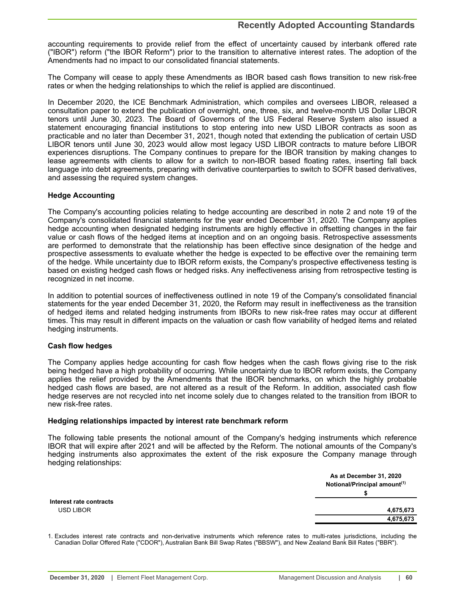# **Recently Adopted Accounting Standards**

accounting requirements to provide relief from the effect of uncertainty caused by interbank offered rate ("IBOR") reform ("the IBOR Reform") prior to the transition to alternative interest rates. The adoption of the Amendments had no impact to our consolidated financial statements.

The Company will cease to apply these Amendments as IBOR based cash flows transition to new risk-free rates or when the hedging relationships to which the relief is applied are discontinued.

In December 2020, the ICE Benchmark Administration, which compiles and oversees LIBOR, released a consultation paper to extend the publication of overnight, one, three, six, and twelve-month US Dollar LIBOR tenors until June 30, 2023. The Board of Governors of the US Federal Reserve System also issued a statement encouraging financial institutions to stop entering into new USD LIBOR contracts as soon as practicable and no later than December 31, 2021, though noted that extending the publication of certain USD LIBOR tenors until June 30, 2023 would allow most legacy USD LIBOR contracts to mature before LIBOR experiences disruptions. The Company continues to prepare for the IBOR transition by making changes to lease agreements with clients to allow for a switch to non-IBOR based floating rates, inserting fall back language into debt agreements, preparing with derivative counterparties to switch to SOFR based derivatives, and assessing the required system changes.

### **Hedge Accounting**

The Company's accounting policies relating to hedge accounting are described in note 2 and note 19 of the Company's consolidated financial statements for the year ended December 31, 2020. The Company applies hedge accounting when designated hedging instruments are highly effective in offsetting changes in the fair value or cash flows of the hedged items at inception and on an ongoing basis. Retrospective assessments are performed to demonstrate that the relationship has been effective since designation of the hedge and prospective assessments to evaluate whether the hedge is expected to be effective over the remaining term of the hedge. While uncertainty due to IBOR reform exists, the Company's prospective effectiveness testing is based on existing hedged cash flows or hedged risks. Any ineffectiveness arising from retrospective testing is recognized in net income.

In addition to potential sources of ineffectiveness outlined in note 19 of the Company's consolidated financial statements for the year ended December 31, 2020, the Reform may result in ineffectiveness as the transition of hedged items and related hedging instruments from IBORs to new risk-free rates may occur at different times. This may result in different impacts on the valuation or cash flow variability of hedged items and related hedging instruments.

### **Cash flow hedges**

The Company applies hedge accounting for cash flow hedges when the cash flows giving rise to the risk being hedged have a high probability of occurring. While uncertainty due to IBOR reform exists, the Company applies the relief provided by the Amendments that the IBOR benchmarks, on which the highly probable hedged cash flows are based, are not altered as a result of the Reform. In addition, associated cash flow hedge reserves are not recycled into net income solely due to changes related to the transition from IBOR to new risk-free rates.

#### **Hedging relationships impacted by interest rate benchmark reform**

The following table presents the notional amount of the Company's hedging instruments which reference IBOR that will expire after 2021 and will be affected by the Reform. The notional amounts of the Company's hedging instruments also approximates the extent of the risk exposure the Company manage through hedging relationships:

|                         | As at December 31, 2020<br>Notional/Principal amount <sup>(1)</sup> |
|-------------------------|---------------------------------------------------------------------|
|                         |                                                                     |
| Interest rate contracts |                                                                     |
| USD LIBOR               | 4,675,673                                                           |
|                         | 4,675,673                                                           |

1. Excludes interest rate contracts and non-derivative instruments which reference rates to multi-rates jurisdictions, including the Canadian Dollar Offered Rate ("CDOR"), Australian Bank Bill Swap Rates ("BBSW"), and New Zealand Bank Bill Rates ("BBR").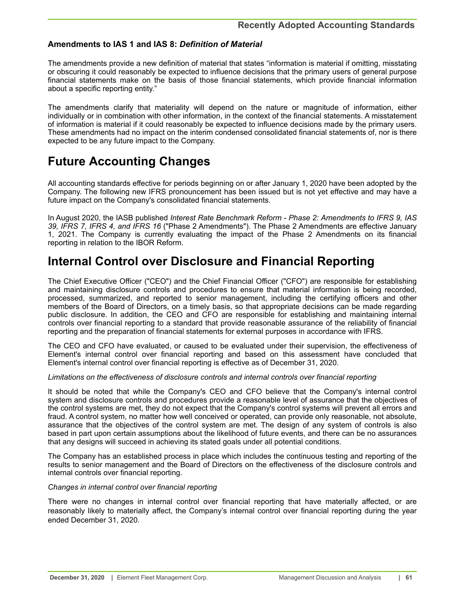# <span id="page-60-0"></span>**Amendments to IAS 1 and IAS 8:** *Definition of Material*

The amendments provide a new definition of material that states "information is material if omitting, misstating or obscuring it could reasonably be expected to influence decisions that the primary users of general purpose financial statements make on the basis of those financial statements, which provide financial information about a specific reporting entity."

The amendments clarify that materiality will depend on the nature or magnitude of information, either individually or in combination with other information, in the context of the financial statements. A misstatement of information is material if it could reasonably be expected to influence decisions made by the primary users. These amendments had no impact on the interim condensed consolidated financial statements of, nor is there expected to be any future impact to the Company.

# **Future Accounting Changes**

All accounting standards effective for periods beginning on or after January 1, 2020 have been adopted by the Company. The following new IFRS pronouncement has been issued but is not yet effective and may have a future impact on the Company's consolidated financial statements.

In August 2020, the IASB published *Interest Rate Benchmark Reform - Phase 2: Amendments to IFRS 9, IAS 39, IFRS 7, IFRS 4, and IFRS 16* ("Phase 2 Amendments"). The Phase 2 Amendments are effective January 1, 2021. The Company is currently evaluating the impact of the Phase 2 Amendments on its financial reporting in relation to the IBOR Reform.

# **Internal Control over Disclosure and Financial Reporting**

The Chief Executive Officer ("CEO") and the Chief Financial Officer ("CFO") are responsible for establishing and maintaining disclosure controls and procedures to ensure that material information is being recorded, processed, summarized, and reported to senior management, including the certifying officers and other members of the Board of Directors, on a timely basis, so that appropriate decisions can be made regarding public disclosure. In addition, the CEO and CFO are responsible for establishing and maintaining internal controls over financial reporting to a standard that provide reasonable assurance of the reliability of financial reporting and the preparation of financial statements for external purposes in accordance with IFRS.

The CEO and CFO have evaluated, or caused to be evaluated under their supervision, the effectiveness of Element's internal control over financial reporting and based on this assessment have concluded that Element's internal control over financial reporting is effective as of December 31, 2020.

### *Limitations on the effectiveness of disclosure controls and internal controls over financial reporting*

It should be noted that while the Company's CEO and CFO believe that the Company's internal control system and disclosure controls and procedures provide a reasonable level of assurance that the objectives of the control systems are met, they do not expect that the Company's control systems will prevent all errors and fraud. A control system, no matter how well conceived or operated, can provide only reasonable, not absolute, assurance that the objectives of the control system are met. The design of any system of controls is also based in part upon certain assumptions about the likelihood of future events, and there can be no assurances that any designs will succeed in achieving its stated goals under all potential conditions.

The Company has an established process in place which includes the continuous testing and reporting of the results to senior management and the Board of Directors on the effectiveness of the disclosure controls and internal controls over financial reporting.

### *Changes in internal control over financial reporting*

There were no changes in internal control over financial reporting that have materially affected, or are reasonably likely to materially affect, the Company's internal control over financial reporting during the year ended December 31, 2020.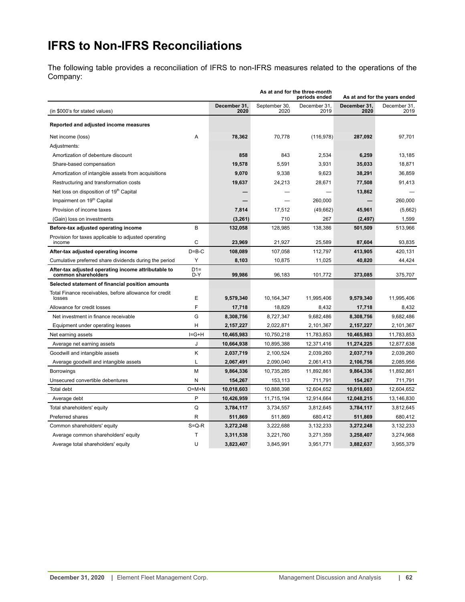# <span id="page-61-0"></span>**IFRS to Non-IFRS Reconciliations**

The following table provides a reconciliation of IFRS to non-IFRS measures related to the operations of the Company:

|                                                                            |              |                      | As at and for the three-month<br>periods ended |                      |                      | As at and for the years ended |  |  |  |
|----------------------------------------------------------------------------|--------------|----------------------|------------------------------------------------|----------------------|----------------------|-------------------------------|--|--|--|
| (in \$000's for stated values)                                             |              | December 31,<br>2020 | September 30,<br>2020                          | December 31.<br>2019 | December 31,<br>2020 | December 31,<br>2019          |  |  |  |
| Reported and adjusted income measures                                      |              |                      |                                                |                      |                      |                               |  |  |  |
| Net income (loss)                                                          | A            | 78,362               | 70,778                                         | (116, 978)           | 287,092              | 97,701                        |  |  |  |
| Adjustments:                                                               |              |                      |                                                |                      |                      |                               |  |  |  |
| Amortization of debenture discount                                         |              | 858                  | 843                                            | 2,534                | 6,259                | 13,185                        |  |  |  |
| Share-based compensation                                                   |              | 19,578               | 5,591                                          | 3,931                | 35,033               | 18,871                        |  |  |  |
| Amortization of intangible assets from acquisitions                        |              | 9,070                | 9,338                                          | 9,623                | 38,291               | 36,859                        |  |  |  |
| Restructuring and transformation costs                                     |              | 19,637               | 24,213                                         | 28,671               | 77,508               | 91,413                        |  |  |  |
| Net loss on disposition of 19 <sup>th</sup> Capital                        |              |                      |                                                |                      | 13,862               |                               |  |  |  |
| Impairment on 19 <sup>th</sup> Capital                                     |              |                      |                                                | 260,000              |                      | 260,000                       |  |  |  |
| Provision of income taxes                                                  |              | 7,814                | 17,512                                         | (49,662)             | 45,961               | (5,662)                       |  |  |  |
| (Gain) loss on investments                                                 |              | (3, 261)             | 710                                            | 267                  | (2, 497)             | 1,599                         |  |  |  |
| Before-tax adjusted operating income                                       | B            | 132,058              | 128,985                                        | 138,386              | 501,509              | 513,966                       |  |  |  |
| Provision for taxes applicable to adjusted operating<br>income             | C            | 23,969               | 21,927                                         | 25,589               | 87,604               | 93,835                        |  |  |  |
| After-tax adjusted operating income                                        | $D = B - C$  | 108,089              | 107,058                                        | 112,797              | 413,905              | 420,131                       |  |  |  |
| Cumulative preferred share dividends during the period                     | Y            | 8,103                | 10,875                                         | 11,025               | 40,820               | 44,424                        |  |  |  |
| After-tax adjusted operating income attributable to<br>common shareholders | $D1=$<br>D-Y | 99,986               | 96,183                                         | 101,772              | 373,085              | 375,707                       |  |  |  |
| Selected statement of financial position amounts                           |              |                      |                                                |                      |                      |                               |  |  |  |
| Total Finance receivables, before allowance for credit<br>losses           | E            | 9,579,340            | 10,164,347                                     | 11,995,406           | 9,579,340            | 11.995.406                    |  |  |  |
| Allowance for credit losses                                                | F            | 17,718               | 18,829                                         | 8,432                | 17,718               | 8,432                         |  |  |  |
| Net investment in finance receivable                                       | G            | 8,308,756            | 8,727,347                                      | 9,682,486            | 8,308,756            | 9,682,486                     |  |  |  |
| Equipment under operating leases                                           | н            | 2,157,227            | 2,022,871                                      | 2,101,367            | 2,157,227            | 2,101,367                     |  |  |  |
| Net earning assets                                                         | $I = G + H$  | 10,465,983           | 10,750,218                                     | 11,783,853           | 10.465.983           | 11,783,853                    |  |  |  |
| Average net earning assets                                                 | J            | 10,664,938           | 10,895,388                                     | 12,371,416           | 11,274,225           | 12,877,638                    |  |  |  |
| Goodwill and intangible assets                                             | κ            | 2,037,719            | 2,100,524                                      | 2,039,260            | 2,037,719            | 2,039,260                     |  |  |  |
| Average goodwill and intangible assets                                     | L            | 2,067,491            | 2,090,040                                      | 2,061,413            | 2,106,756            | 2,085,956                     |  |  |  |
| <b>Borrowings</b>                                                          | M            | 9,864,336            | 10,735,285                                     | 11,892,861           | 9,864,336            | 11,892,861                    |  |  |  |
| Unsecured convertible debentures                                           | N            | 154,267              | 153,113                                        | 711,791              | 154,267              | 711,791                       |  |  |  |
| Total debt                                                                 | $O=M+N$      | 10,018,603           | 10,888,398                                     | 12,604,652           | 10,018,603           | 12,604,652                    |  |  |  |
| Average debt                                                               | P            | 10.426.959           | 11,715,194                                     | 12,914,664           | 12.048.215           | 13.146.830                    |  |  |  |
| Total shareholders' equity                                                 | Q            | 3,784,117            | 3,734,557                                      | 3,812,645            | 3,784,117            | 3,812,645                     |  |  |  |
| Preferred shares                                                           | R            | 511,869              | 511,869                                        | 680,412              | 511,869              | 680,412                       |  |  |  |
| Common shareholders' equity                                                | $S = Q - R$  | 3,272,248            | 3,222,688                                      | 3,132,233            | 3,272,248            | 3,132,233                     |  |  |  |
| Average common shareholders' equity                                        | т            | 3,311,538            | 3,221,760                                      | 3,271,359            | 3,258,407            | 3,274,968                     |  |  |  |
| Average total shareholders' equity                                         | U            | 3.823.407            | 3,845,991                                      | 3,951,771            | 3,882,637            | 3.955.379                     |  |  |  |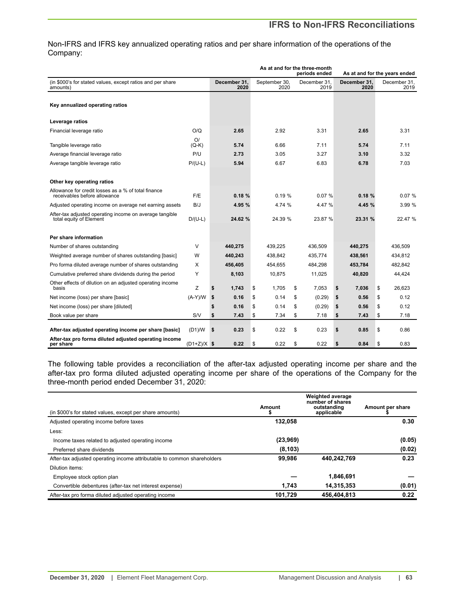# **IFRS to Non-IFRS Reconciliations**

Non-IFRS and IFRS key annualized operating ratios and per share information of the operations of the Company:

|                                                                                     |               |                      |                       | As at and for the three-month<br>periods ended |     | As at and for the years ended |                      |
|-------------------------------------------------------------------------------------|---------------|----------------------|-----------------------|------------------------------------------------|-----|-------------------------------|----------------------|
| (in \$000's for stated values, except ratios and per share<br>amounts)              |               | December 31.<br>2020 | September 30,<br>2020 | December 31.<br>2019                           |     | December 31.<br>2020          | December 31.<br>2019 |
| Key annualized operating ratios                                                     |               |                      |                       |                                                |     |                               |                      |
| Leverage ratios                                                                     |               |                      |                       |                                                |     |                               |                      |
| Financial leverage ratio                                                            | O/Q           | 2.65                 | 2.92                  | 3.31                                           |     | 2.65                          | 3.31                 |
| Tangible leverage ratio                                                             | O/<br>$(Q-K)$ | 5.74                 | 6.66                  | 7.11                                           |     | 5.74                          | 7.11                 |
| Average financial leverage ratio                                                    | P/U           | 2.73                 | 3.05                  | 3.27                                           |     | 3.10                          | 3.32                 |
| Average tangible leverage ratio                                                     | $P/(U-L)$     | 5.94                 | 6.67                  | 6.83                                           |     | 6.78                          | 7.03                 |
| Other key operating ratios                                                          |               |                      |                       |                                                |     |                               |                      |
| Allowance for credit losses as a % of total finance<br>receivables before allowance | F/E           | 0.18%                | 0.19%                 | 0.07%                                          |     | 0.18%                         | 0.07%                |
| Adjusted operating income on average net earning assets                             | B/J           | 4.95 %               | 4.74 %                | 4.47 %                                         |     | 4.45 %                        | 3.99 %               |
| After-tax adjusted operating income on average tangible<br>total equity of Element  | $D/(U-L)$     | 24.62 %              | 24.39 %               | 23.87 %                                        |     | 23.31 %                       | 22.47 %              |
| Per share information                                                               |               |                      |                       |                                                |     |                               |                      |
| Number of shares outstanding                                                        | V             | 440,275              | 439.225               | 436.509                                        |     | 440,275                       | 436,509              |
| Weighted average number of shares outstanding [basic]                               | W             | 440,243              | 438,842               | 435,774                                        |     | 438,561                       | 434,812              |
| Pro forma diluted average number of shares outstanding                              | X             | 456,405              | 454.655               | 484,298                                        |     | 453,784                       | 482.842              |
| Cumulative preferred share dividends during the period                              | Y             | 8,103                | 10,875                | 11,025                                         |     | 40,820                        | 44,424               |
| Other effects of dilution on an adjusted operating income<br>basis                  | Z             | \$<br>1,743          | \$<br>1,705           | \$<br>7,053                                    | \$  | 7,036                         | \$<br>26,623         |
| Net income (loss) per share [basic]                                                 | $(A-Y)/W$     | \$<br>0.16           | \$<br>0.14            | \$<br>(0.29)                                   | \$  | 0.56                          | \$<br>0.12           |
| Net income (loss) per share [diluted]                                               |               | \$<br>0.16           | \$<br>0.14            | \$<br>(0.29)                                   | \$  | 0.56                          | \$<br>0.12           |
| Book value per share                                                                | S/V           | \$<br>7.43           | \$<br>7.34            | \$<br>7.18                                     | \$  | 7.43                          | \$<br>7.18           |
| After-tax adjusted operating income per share [basic]                               | (D1)/W        | \$<br>0.23           | \$<br>0.22            | \$<br>0.23                                     | \$  | 0.85                          | \$<br>0.86           |
| After-tax pro forma diluted adjusted operating income<br>per share                  | $(D1+Z)/X$ \$ | 0.22                 | \$<br>0.22            | \$<br>0.22                                     | -\$ | 0.84                          | \$<br>0.83           |

The following table provides a reconciliation of the after-tax adjusted operating income per share and the after-tax pro forma diluted adjusted operating income per share of the operations of the Company for the three-month period ended December 31, 2020:

| (in \$000's for stated values, except per share amounts)                | Amount   | <b>Weighted average</b><br>number of shares<br>outstanding<br>applicable | Amount per share |
|-------------------------------------------------------------------------|----------|--------------------------------------------------------------------------|------------------|
| Adjusted operating income before taxes                                  | 132,058  |                                                                          | 0.30             |
| Less:                                                                   |          |                                                                          |                  |
| Income taxes related to adjusted operating income                       | (23,969) |                                                                          | (0.05)           |
| Preferred share dividends                                               | (8, 103) |                                                                          | (0.02)           |
| After-tax adjusted operating income attributable to common shareholders | 99,986   | 440.242.769                                                              | 0.23             |
| Dilution items:                                                         |          |                                                                          |                  |
| Employee stock option plan                                              |          | 1.846.691                                                                |                  |
| Convertible debentures (after-tax net interest expense)                 | 1.743    | 14,315,353                                                               | (0.01)           |
| After-tax pro forma diluted adjusted operating income                   | 101.729  | 456.404.813                                                              | 0.22             |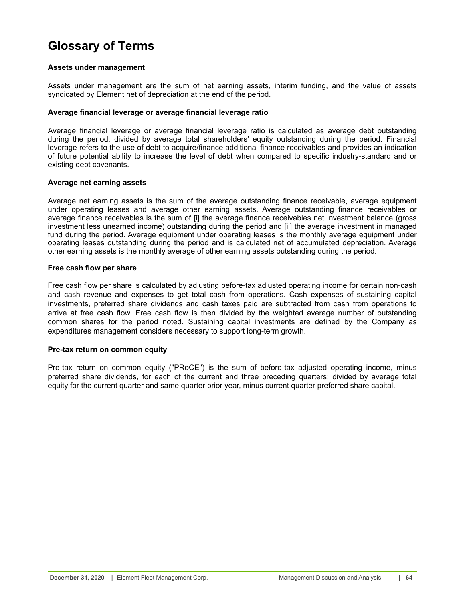# <span id="page-63-0"></span>**Glossary of Terms**

### **Assets under management**

Assets under management are the sum of net earning assets, interim funding, and the value of assets syndicated by Element net of depreciation at the end of the period.

### **Average financial leverage or average financial leverage ratio**

Average financial leverage or average financial leverage ratio is calculated as average debt outstanding during the period, divided by average total shareholders' equity outstanding during the period. Financial leverage refers to the use of debt to acquire/finance additional finance receivables and provides an indication of future potential ability to increase the level of debt when compared to specific industry-standard and or existing debt covenants.

# **Average net earning assets**

Average net earning assets is the sum of the average outstanding finance receivable, average equipment under operating leases and average other earning assets. Average outstanding finance receivables or average finance receivables is the sum of [i] the average finance receivables net investment balance (gross investment less unearned income) outstanding during the period and [ii] the average investment in managed fund during the period. Average equipment under operating leases is the monthly average equipment under operating leases outstanding during the period and is calculated net of accumulated depreciation. Average other earning assets is the monthly average of other earning assets outstanding during the period.

# **Free cash flow per share**

Free cash flow per share is calculated by adjusting before-tax adjusted operating income for certain non-cash and cash revenue and expenses to get total cash from operations. Cash expenses of sustaining capital investments, preferred share dividends and cash taxes paid are subtracted from cash from operations to arrive at free cash flow. Free cash flow is then divided by the weighted average number of outstanding common shares for the period noted. Sustaining capital investments are defined by the Company as expenditures management considers necessary to support long-term growth.

# **Pre-tax return on common equity**

Pre-tax return on common equity ("PRoCE") is the sum of before-tax adjusted operating income, minus preferred share dividends, for each of the current and three preceding quarters; divided by average total equity for the current quarter and same quarter prior year, minus current quarter preferred share capital.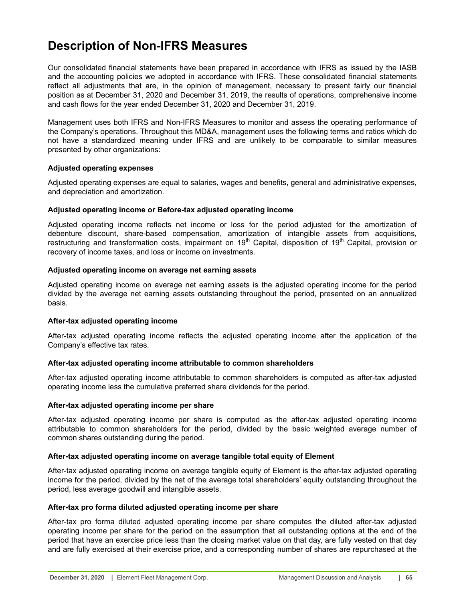# <span id="page-64-0"></span>**Description of Non-IFRS Measures**

Our consolidated financial statements have been prepared in accordance with IFRS as issued by the IASB and the accounting policies we adopted in accordance with IFRS. These consolidated financial statements reflect all adjustments that are, in the opinion of management, necessary to present fairly our financial position as at December 31, 2020 and December 31, 2019, the results of operations, comprehensive income and cash flows for the year ended December 31, 2020 and December 31, 2019.

Management uses both IFRS and Non-IFRS Measures to monitor and assess the operating performance of the Company's operations. Throughout this MD&A, management uses the following terms and ratios which do not have a standardized meaning under IFRS and are unlikely to be comparable to similar measures presented by other organizations:

# **Adjusted operating expenses**

Adjusted operating expenses are equal to salaries, wages and benefits, general and administrative expenses, and depreciation and amortization.

# **Adjusted operating income or Before-tax adjusted operating income**

Adjusted operating income reflects net income or loss for the period adjusted for the amortization of debenture discount, share-based compensation, amortization of intangible assets from acquisitions, restructuring and transformation costs, impairment on 19<sup>th</sup> Capital, disposition of 19<sup>th</sup> Capital, provision or recovery of income taxes, and loss or income on investments.

# **Adjusted operating income on average net earning assets**

Adjusted operating income on average net earning assets is the adjusted operating income for the period divided by the average net earning assets outstanding throughout the period, presented on an annualized basis.

### **After-tax adjusted operating income**

After-tax adjusted operating income reflects the adjusted operating income after the application of the Company's effective tax rates.

### **After-tax adjusted operating income attributable to common shareholders**

After-tax adjusted operating income attributable to common shareholders is computed as after-tax adjusted operating income less the cumulative preferred share dividends for the period.

### **After-tax adjusted operating income per share**

After-tax adjusted operating income per share is computed as the after-tax adjusted operating income attributable to common shareholders for the period, divided by the basic weighted average number of common shares outstanding during the period.

# **After-tax adjusted operating income on average tangible total equity of Element**

After-tax adjusted operating income on average tangible equity of Element is the after-tax adjusted operating income for the period, divided by the net of the average total shareholders' equity outstanding throughout the period, less average goodwill and intangible assets.

### **After-tax pro forma diluted adjusted operating income per share**

After-tax pro forma diluted adjusted operating income per share computes the diluted after-tax adjusted operating income per share for the period on the assumption that all outstanding options at the end of the period that have an exercise price less than the closing market value on that day, are fully vested on that day and are fully exercised at their exercise price, and a corresponding number of shares are repurchased at the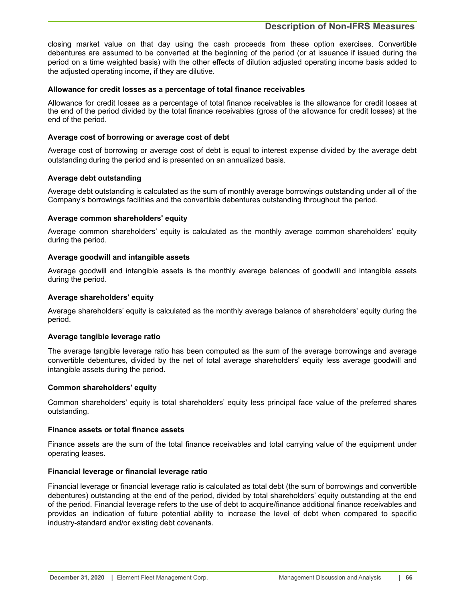# **Description of Non-IFRS Measures**

closing market value on that day using the cash proceeds from these option exercises. Convertible debentures are assumed to be converted at the beginning of the period (or at issuance if issued during the period on a time weighted basis) with the other effects of dilution adjusted operating income basis added to the adjusted operating income, if they are dilutive.

# **Allowance for credit losses as a percentage of total finance receivables**

Allowance for credit losses as a percentage of total finance receivables is the allowance for credit losses at the end of the period divided by the total finance receivables (gross of the allowance for credit losses) at the end of the period.

# **Average cost of borrowing or average cost of debt**

Average cost of borrowing or average cost of debt is equal to interest expense divided by the average debt outstanding during the period and is presented on an annualized basis.

# **Average debt outstanding**

Average debt outstanding is calculated as the sum of monthly average borrowings outstanding under all of the Company's borrowings facilities and the convertible debentures outstanding throughout the period.

# **Average common shareholders' equity**

Average common shareholders' equity is calculated as the monthly average common shareholders' equity during the period.

# **Average goodwill and intangible assets**

Average goodwill and intangible assets is the monthly average balances of goodwill and intangible assets during the period.

# **Average shareholders' equity**

Average shareholders' equity is calculated as the monthly average balance of shareholders' equity during the period.

### **Average tangible leverage ratio**

The average tangible leverage ratio has been computed as the sum of the average borrowings and average convertible debentures, divided by the net of total average shareholders' equity less average goodwill and intangible assets during the period.

### **Common shareholders' equity**

Common shareholders' equity is total shareholders' equity less principal face value of the preferred shares outstanding.

### **Finance assets or total finance assets**

Finance assets are the sum of the total finance receivables and total carrying value of the equipment under operating leases.

### **Financial leverage or financial leverage ratio**

Financial leverage or financial leverage ratio is calculated as total debt (the sum of borrowings and convertible debentures) outstanding at the end of the period, divided by total shareholders' equity outstanding at the end of the period. Financial leverage refers to the use of debt to acquire/finance additional finance receivables and provides an indication of future potential ability to increase the level of debt when compared to specific industry-standard and/or existing debt covenants.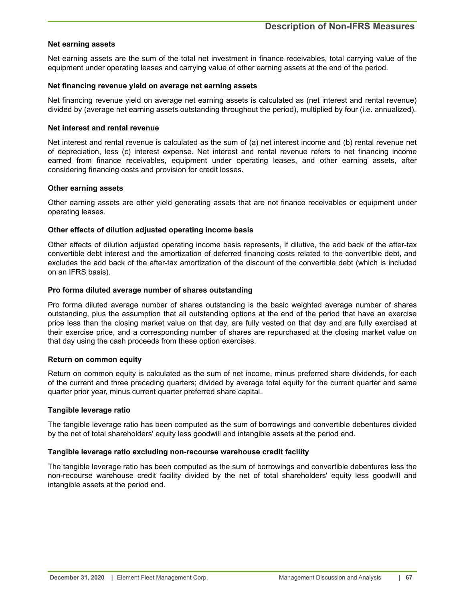### **Net earning assets**

Net earning assets are the sum of the total net investment in finance receivables, total carrying value of the equipment under operating leases and carrying value of other earning assets at the end of the period.

### **Net financing revenue yield on average net earning assets**

Net financing revenue yield on average net earning assets is calculated as (net interest and rental revenue) divided by (average net earning assets outstanding throughout the period), multiplied by four (i.e. annualized).

# **Net interest and rental revenue**

Net interest and rental revenue is calculated as the sum of (a) net interest income and (b) rental revenue net of depreciation, less (c) interest expense. Net interest and rental revenue refers to net financing income earned from finance receivables, equipment under operating leases, and other earning assets, after considering financing costs and provision for credit losses.

# **Other earning assets**

Other earning assets are other yield generating assets that are not finance receivables or equipment under operating leases.

# **Other effects of dilution adjusted operating income basis**

Other effects of dilution adjusted operating income basis represents, if dilutive, the add back of the after-tax convertible debt interest and the amortization of deferred financing costs related to the convertible debt, and excludes the add back of the after-tax amortization of the discount of the convertible debt (which is included on an IFRS basis).

# **Pro forma diluted average number of shares outstanding**

Pro forma diluted average number of shares outstanding is the basic weighted average number of shares outstanding, plus the assumption that all outstanding options at the end of the period that have an exercise price less than the closing market value on that day, are fully vested on that day and are fully exercised at their exercise price, and a corresponding number of shares are repurchased at the closing market value on that day using the cash proceeds from these option exercises.

### **Return on common equity**

Return on common equity is calculated as the sum of net income, minus preferred share dividends, for each of the current and three preceding quarters; divided by average total equity for the current quarter and same quarter prior year, minus current quarter preferred share capital.

### **Tangible leverage ratio**

The tangible leverage ratio has been computed as the sum of borrowings and convertible debentures divided by the net of total shareholders' equity less goodwill and intangible assets at the period end.

### **Tangible leverage ratio excluding non-recourse warehouse credit facility**

The tangible leverage ratio has been computed as the sum of borrowings and convertible debentures less the non-recourse warehouse credit facility divided by the net of total shareholders' equity less goodwill and intangible assets at the period end.